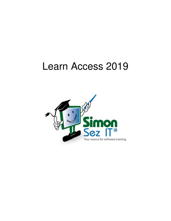# Learn Access 2019

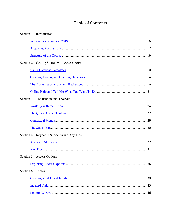# **Table of Contents**

| Section $1$ – Introduction                   |
|----------------------------------------------|
|                                              |
|                                              |
|                                              |
| Section 2 – Getting Started with Access 2019 |
|                                              |
|                                              |
|                                              |
|                                              |
| Section 3 – The Ribbon and Toolbars          |
|                                              |
|                                              |
|                                              |
|                                              |
| Section 4 – Keyboard Shortcuts and Key Tips  |
|                                              |
|                                              |
| Section 5 - Access Options                   |
|                                              |
| Section 6 - Tables                           |
|                                              |
|                                              |
|                                              |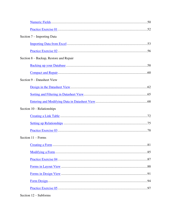| Section 7 – Importing Data             |
|----------------------------------------|
|                                        |
|                                        |
| Section 8 – Backup, Restore and Repair |
|                                        |
|                                        |
| Section 9 – Datasheet View             |
|                                        |
|                                        |
|                                        |
| Section $10$ – Relationships           |
|                                        |
|                                        |
|                                        |
| Section $11 -$ Forms                   |
|                                        |
|                                        |
|                                        |
|                                        |
|                                        |
|                                        |
|                                        |

#### Section 12 - Subforms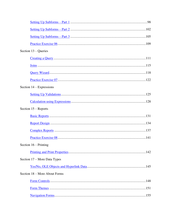| Section $13 -$ Queries        |  |
|-------------------------------|--|
|                               |  |
|                               |  |
|                               |  |
|                               |  |
| Section $14 - Expressions$    |  |
|                               |  |
|                               |  |
| Section $15$ – Reports        |  |
|                               |  |
|                               |  |
|                               |  |
|                               |  |
| Section $16$ – Printing       |  |
|                               |  |
| Section 17 – More Data Types  |  |
|                               |  |
| Section 18 – More About Forms |  |
|                               |  |
|                               |  |
|                               |  |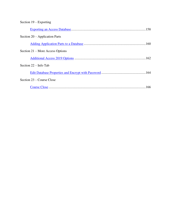# Section 19 – Exporting

| Section $20$ – Application Parts |  |
|----------------------------------|--|
|                                  |  |
| Section 21 – More Access Options |  |
|                                  |  |
| Section $22 -$ Info Tab          |  |
|                                  |  |
| Section 23 – Course Close        |  |
|                                  |  |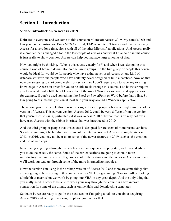# **Section 1 – Introduction**

## <span id="page-5-0"></span>**Video: Introduction to Access 2019**

**Deb:** Hello everyone and welcome to this course on Microsoft Access 2019. My name's Deb and I'm your course instructor. I'm a MOS Certified, TAP accredited IT trainer and I've been using Access for a very long time, along with all of the other Microsoft applications. And Access really is a product that's changed a lot in the last couple of versions and what I plan to do in this course is just really to show you how Access can help you manage large amounts of data.

Now you might be thinking, "Who is this course exactly for?" and when I was designing this course I kind of broke it down into three separate groups. So the first group of people this course would be ideal for would be for people who have either never used Access or any kind of database software and people who have certainly never designed or built a database. Now on that note we are going to start completely from scratch, so I don't require you to have any existing knowledge in Access in order for you to be able to sit through this course. I do however require you to have at least a little bit of knowledge of the use of Windows software and applications. So for example, if you've used something like Excel or PowerPoint or Word before that's fine. So I'm going to assume that you can at least find your way around a Windows application.

The second group of people this course is designed for are people who have maybe used an older version of Access. This current version, Access 2019, could be very different from the version that you're used to using, particularly if it was Access 2010 or before that. You may not even have used Access with the ribbon interface that was introduced in 2010.

And the third group of people that this course is designed for are users of more recent versions. So whilst you might be familiar with some of the later versions of Access, so maybe Access 2013 or 2016, you may not be used to some of the newer features in 2019, such as the creation and use of web apps.

Now I am going to go through this whole course in sequence, step by step, and I would advise you to do the exactly the same. Some of the earlier sections are going to contain more introductory material where we'll go over a lot of the features and the views in Access and then we'll work our way up through some of the more intermediate modules.

Now the version I'm using is the desktop version of Access 2019 and there are some things that are not going to be covering in this course, such as VBA programming. Now we will be looking a little bit at macros but we won't be going into VBA in any great depth. And the only thing that you really need in order to be able to work your way through this course is a live internet connection for some of the things, such as online Help and downloading templates.

So that it is, we are ready to go. In the next section I'm going to talk to you about acquiring Access 2019 and getting it working, so please join me for that.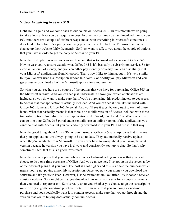#### <span id="page-6-0"></span>**Video: Acquiring Access 2019**

**Deb:** Hello again and welcome back to our course on Access 2019. In this module we're going to take a look at how you can acquire Access. In other words how you can download it onto your PC. And there are a couple of different ways and as with everything in Microsoft sometimes it does tend to look like it's a pretty confusing process due to the fact that Microsoft do tend to change up their website fairly frequently. So I just want to talk to you about the couple of options that you have in order to get the copy of Access on your PC.

Now the first option is what you can see here and that is to download a version of Office 365. Now in case you're unsure exactly what Office 365 is it's basically a subscription service. So for a certain amount of money, and you can either pay monthly or yearly, you can essentially rent your Microsoft applications from Microsoft. That's how I like to think about it. It's very similar to if you've ever used a subscription service like Netflix or Spotify you pay Microsoft and you get access to download all of the Microsoft applications and use them.

So what you can see here are a couple of the options that you have for purchasing Office 365 on the Microsoft website. And you can see just underneath it shows you which applications are included, so you do want to make sure that if you're purchasing this predominately to get access to Access that that application is actually included. And you can see it here, it's included with Office 365 Home and Office 365 Personal. And you'll see it says PC only next to each of these icons. What that basically means is that there's no mobile version of Access included with these two subscriptions. So unlike the other applications, like Word, Excel and PowerPoint where you can go into your Office 365 portal and essentially use an online version of the applications you can't do that with Access but you can certainly download it to your PC and use it in that way.

Now the good thing about Office 365 or purchasing an Office 365 subscription is that it means that your applications are always going to be up to date. They automatically receive updates when they're available from Microsoft. So you never have to worry about purchasing the next version because he version you have is always and consistently kept up to date. So that's why sometimes I feel that this is a good investment.

Now the second option that you have when it comes to downloading Access is that you could choose to do a one-time purchase of Office. And you can see here I've got up on the screen a few of the different plans that you have. The cost is a lot higher and this is a one-time purchase which means you're not paying a monthly subscription. Once you pay your money you download the software and it's yours to keep. However, just be aware that unlike Office 365 it doesn't receive constant updates. So it might be that you download this once, you use it for a couple of years and then you need to repurchase it. So it's really up to you whether you choose to go the subscription route or if you go the one-time purchase route. Just make sure if you are doing a one-time purchase and you specifically want it to contain Access, make sure that you go through and the version that you're buying does actually contain Access.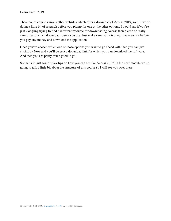There are of course various other websites which offer a download of Access 2019, so it is worth doing a little bit of research before you plump for one or the other options. I would say if you're just Googling trying to find a different resource for downloading Access then please be really careful as to which download source you use. Just make sure that it is a legitimate source before you pay any money and download the application.

Once you've chosen which one of those options you want to go ahead with then you can just click Buy Now and you'll be sent a download link for which you can download the software. And then you are pretty much good to go.

So that's it, just some quick tips on how you can acquire Access 2019. In the next module we're going to talk a little bit about the structure of this course so I will see you over there.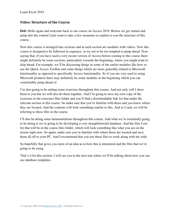#### <span id="page-8-0"></span>**Video: Structure of the Course**

**Deb:** Hello again and welcome back to our course on Access 2019. Before we get started and jump into the content I just want to take a few moments to explain to you the structure of this course.

Now this course is arranged into sections and in each section are modules with videos. Now this course is designed to be followed in sequence, so try not to be too tempted to jump ahead. Now saying that, if you have used a very recent version of Access before coming to this course there might definitely be some sections, particularly towards the beginning, where you might want to skip ahead. For example, we'll be discussing things in some of the earlier modules like how to use the Quick Access Toolbar and some things which are more generally related to Microsoft functionality as opposed to specifically Access functionality. So if you are very used to using Microsoft products there may definitely be some modules at the beginning which you can comfortably jump ahead of.

I'm also going to be setting some exercises throughout this course. And not only will I show them to you but we will also do them together. And I'm going to save my own copy of the exercises in the exercises files folder and you'll find a downloadable link for that under the relevant section in this course. So make sure that you're familiar with those and you know where they are located. And the contents will look something similar to this. And as I said, we will be referring to these files in the course.

I'll also be doing some demonstrations throughout this course. And what we're essentially going to be doing is we're going to be developing a very straightforward database. And the files I use for that will be in the course files folder, which will look something like what you see on the screen right now. So again, make sure you're familiar with where those are located and save them all off to your PC. And I recommend that you use these files to work along with me with.

So hopefully that gives you more of an idea as to how this is structured and the files that we're going to be using.

That's it for this section. I will see you in the next one where we'll be talking about how you can use database templates.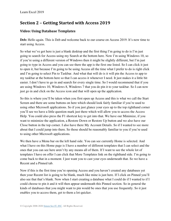# **Section 2 – Getting Started with Access 2019**

## <span id="page-9-0"></span>**Video: Using Database Templates**

**Deb:** Hello again. This is Deb and welcome back to our course on Access 2019. It's now time to start using Access.

So what we've got here is just a blank desktop and the first thing I'm going to do is I'm just going to search for Access using my Search at the bottom here. Now I'm using Windows 10, so if you're using a different version of Windows then it might be slightly different, but I'm just going to type in Access and you can see there the app is the first one listed. So I can click it just to open it, but because I'm going to be using Access all the time what I prefer to do is right click and I'm going to select Pin to Taskbar. And what that will do is it will pin the Access to app to my taskbar at the bottom here so that I can access it whenever I need. It just makes it a little bit easier. I don't have to go in and search for every single time. So I would recommend that if you are using Windows 10, Windows 8, Windows 7 that you do pin it to your taskbar. So I can now just go in and click on the Access icon and that will open up the application.

So this is where you'll be taken when you first open up Access and this is what we call the Start Screen and there are some buttons on here which should look fairly familiar if you're used to using other Microsoft applications. So if you just glance your eyes up to the top righthand corner you'll see we have a little question mark just there which will allow you to access the Access Help. You could also press the F1 shortcut key to get into that. We have our Minimize, if you want to minimize the application, a Restore Down or Restore Up button and we also have our Close button in the top corner. I also have there My Account Details. So if I wanted to see more about that I could jump into there. So those should be reasonably familiar to you if you're used to using other Microsoft applications.

We then have a Menu bar on the left hand side. You can see currently Home is selected. And what I have on this Home page is I have a number of different templates that I can select and the ones that you can see here aren't by any means all of them. If I want to see the whole lot of templates I have on offer I can click that More Templates link on the righthand side. I'm going to come back to that in a moment. I just want you to cast your eyes underneath that. So we have a Recent and a Pinned tab.

Now if this is the first time you're opening Access and you haven't created any databases yet then your Recent list is going to be blank, much like mine is just here. If I click on Pinned you'll also see that that's blank. Now when I start creating a database what I could do if I wanted to if I could choose to pin it and it will then appear underneath this Pinned section. So in general the kinds of databases that you might want to pin would be ones that you use frequently. So it just enables you to access them, get to them a lot quicker.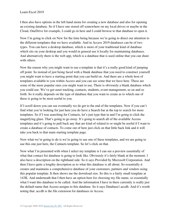I then also have options in the left hand menu for creating a new database and also for opening an existing database. So if I have one stored off somewhere on my local drives or maybe in the Cloud, OneDrive for example, I could go in here and I could browse to that database to open it.

Now I'm going to click on New for the time being because we're going to direct our attention to the different templates that we have available. And in Access 2019 databases can be of two types. You can have a desktop database, which is more of your traditional kind of database which sits on your desktop and you would in general use it locally for maintaining databases. And alternatively there is the web app, which is a database that is used online that you can share with others.

Now the reason why you might want to use a template is that it's a really good kind of jumping off point. So instead of just being faced with a blank database that you need to construct yourself you might want to have a starting point that you can build on. And there are a whole host of templates available to you within Access and you can see some that we have here. These are some of the more popular ones you might want to use. There is obviously a blank database which you could use. We've got asset tracking, contacts, students, event management, so on and so forth. So it really depends on the type of database that you want to create as to which one of these is going to be most useful to you.

If I scroll down you can see eventually we do get to the end of the templates. Now if you can't find what you're looking for just here you do have a Search bar at the top to search for more templates. So if I was searching for Contacts, let's just type that in and I'm going to click the magnifying glass. That's going to go away. It's going to search all of the available Access templates and it's going to pull back any that are kind of related to or might be useful if I want to create a database of contacts. To come out of here just click on that little back link and it will take you back to that main starting template page.

Now what we're going to do is we're going to use one of these templates, and we are going to use this one just here, the Contacts template. So let's click on that.

Now what I'm presented with when I select my template is I can see a preview essentially of what that contact list database is going to look like. Obviously it's fairly blank at the moment. I also have a description on the righthand side. So it says Provided by Microsoft Corporation. And then I have quite a lengthy description as to what this database is all about. So essentially it creates and maintains a comprehensive database of your customers, partners and vendors using this popular template. It then shows me the download size. So this is a fairly small template at 143K. And underneath that I then have an option here for choosing my file name, so essentially what I want this database to be called. And the information I have in there currently is really just the default name that Access assigns to this database. So it says Database1.accdb. And it's worth noting that .accdb is the file extension for databases in Access.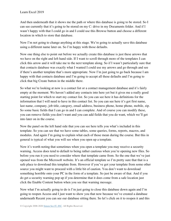And then underneath that it shows me the path or where this database is going to be stored. So I can see currently that it's going to be stored on my C: drive in my Documents folder. And if I wasn't happy with that I could go in and I could use this Browse button and choose a different location in which to store that database.

Now I'm not going to change anything at this stage. We're going to actually save this database using a different name later on. So I'm happy with those defaults.

Now one thing else to point out before we actually create this database is just these arrows that we have on the right and left hand side. If I want to scroll through more of the templates I can click this arrow and it will take me to the next template along. So if I wasn't particularly sure that that contacts database was exactly what I wanted I could use my arrows and go through and see if there's another template that's more appropriate. Now I'm just going to go back because I am happy with that contacts database and I'm going to accept all these defaults and I'm going to click that big Create button in the middle there.

So what we're looking at now is a contact list or a contact management database and it's fairly empty at the moment. We haven't added any contacts into here yet but it gives me a really good starting point for which to start my contact list. So you can see here it has definitions for the information that I will need to have in this contact list. So you can see here it's got first name, last name, company, job title, category, email address, business phone, home phone, mobile, zip. So some basic fields that I can go in and I can complete. And of course you can modify these, you can remove fields you don't want and you can add fields that you do want, which we'll get into later on in the course.

Now the panel on the left hand side that you can see here tells you what's included in this template. So you can see that we have some tables, some queries, forms, reports, macros, and modules. And again I'm going to explain what each of those mean during the course. But this in general is typical of what you will see when you open up a template.

Now it's worth noting that sometimes when you open a template you may receive a security warning. Access does tend to default to being rather cautious when you're opening new files. So before you run it you need to consider where that template came from. So the one that we've just opened was from the Microsoft website. It's an official template so I'm pretty sure that that is a safe place to download this template from. However if you've got your template from some other source you might want to proceed with a little bit of caution. You don't want to download something horrible onto your PC in the form of a template. So just be aware of that. And if you do get a security warning pop up if you determine that it does come from a safe location just click the Enable Content button when you see that warning message.

Now what I'm actually going to do is I'm just going to close this database down again and I'm going to reopen Access and I just want to show you that now because we've created a database underneath Recent you can see our database sitting there. So let's click on it to reopen it and this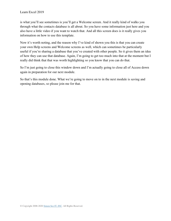is what you'll see sometimes is you'll get a Welcome screen. And it really kind of walks you through what the contacts database is all about. So you have some information just here and you also have a little video if you want to watch that. And all this screen does is it really gives you information on how to use this template.

Now it's worth noting, and the reason why I've kind of shown you this is that you can create your own Help screens and Welcome screens as well, which can sometimes be particularly useful if you're sharing a database that you've created with other people. So it gives them an idea of how they can use that database. Again, I'm going to get too much into that at the moment but I really did think that that was worth highlighting so you know that you can do that.

So I'm just going to close this window down and I'm actually going to close all of Access down again in preparation for our next module.

So that's this module done. What we're going to move on to in the next module is saving and opening databases, so please join me for that.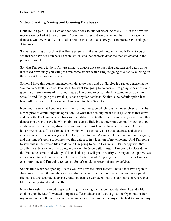#### <span id="page-13-0"></span>**Video: Creating, Saving and Opening Databases**

Deb: Hello again. This is Deb and welcome back to our course on Access 2019. In the previous module we looked at those different Access templates and we opened up the first contacts list database. So now what I want to talk about in this module is how you can create, save and open databases.

So we're starting off back at that Home screen and if you look now underneath Recent you can see that we have our Database1.accdb, which was that contacts database that we created in the previous module.

So what I'm going to do is I'm just going to double click to open that database and again as we discussed previously you will get a Welcome screen which I'm just going to close by clicking on the cross at this moment in time.

So now I have this contact management database open and we did give it a rather generic name. We took a default name of Database1. So what I'm going to do now is I'm going to save this and give it a different name of my choosing. So I'm going to go to File, I'm going to go down to Save As and I'm going to save this just as a regular database. So that's the default option just here with the .accdb extension, and I'm going to click Save As.

Now you'll see what I get here is a little warning message which says, All open objects must be closed prior to continuing this operation. So what that actually means is if I just close that down and click the Back arrow to go back to my database I actually have to essentially close down this database in order to save it. Which kind of seems a little bit counterintuitive but I'm going to go all the way over to the righthand side and you'll see just here we have a little cross. And as I hover over it says, Close Contact List, which will essentially close that database and all the attached objects. I can now go back to File, down to Save As and click the Save As button again, and this time it's going to let me save this database in a location of my choosing. And I'm going to save this in the course files folder and I'm going to call it Contacts01. I'm happy with that .accdb file extension and I'm going to click on the Save button. Again I'm going to close down the Welcome screen and what you'll see is that you will get a security warning at the top here. So all you need to do there is just click Enable Content. And I'm going to close down all of Access one more time and I'm going to reopen. So let's click on Access from my taskbar.

So this time when we open up Access you can now see under Recent I have those two separate databases. So even though they are essentially the same at the moment we've got two separate file names, two separate databases. And you can see Contact01 has the path name of where that file is actually stored underneath.

Now obviously if I wanted to go back in, just working on that contacts database I can double click to open it. But if I wanted to open a different database I would go to the Open button from my menu on the left hand side and what you can also see in there is my contacts database and my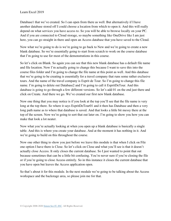Database1 that we've created. So I can open from there as well. But alternatively if I have another database stored off I could choose a location from which to open it. And this will really depend on what services you have access to. So you will be able to browse locally on your PC. And if you are connected to Cloud storage, so maybe something like OneDrive like I am just here, you can go straight in there and open an Access database that you have saved to the Cloud.

Now what we're going to do is we're going to go back to New and we're going to create a new blank database. So we're essentially going to start from scratch to work on the course database that I'm going to use for most of the demonstrations in this course.

So let's click on Blank. So again you can see that this new blank database has a default file name and file location. Now I'm actually going to change this because I want to save this into the course files folder and I'm going to change the file name at this point as well. And this database that we're going to be creating is essentially for a travel company that runs some rather exclusive tours. And the name of the travel company is Esprit de Tour. So I'm going to change this file name. I'm going to delete out Database2 and I'm going to call it EspritDeTour. And this database is going to go through a few different versions. So let's add 01 on the end just there and click on Create. And there we go. We've created our first new blank database.

Now one thing that you may notice is if you look at the top you'll see that the file name is very long at the top there. So where it says EspritDeTour01 and it then has Database and then a very long path name as to where that database is saved. And that looks a little bit messy there at the top of the screen. Now we're going to sort that out later on. I'm going to show you how you can make that look a lot neater.

Now what you're actually looking at when you open up a blank database is basically a single table. And this is where you create your database. And at the moment it has nothing in it. And we're going to build on this throughout the course.

Now one other thing to show you just before we leave this module is that when I click on File one option I have there is Close. So let's click on Close and what you'll see is that it doesn't actually close Access. It only closes the current database. So I just wanted to point that out because sometimes that can be a little bit confusing. You're never sure if you're closing the file or if you're going to close Access entirely. So in this instance it closes the current database that you have open but leaves the Access application open.

So that's about it for this module. In the next module we're going to be talking about the Access workspace and the backstage area, so please join me for that.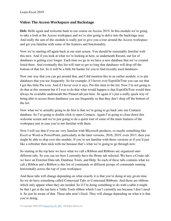#### <span id="page-15-0"></span>**Video: The Access Workspace and Backstage**

**Deb:** Hello again and welcome back to our course on Access 2019. In this module we're going to take a look at the Access workspace and we're also going to delve into the backstage area. And really the aim of this module is really just to give you a tour around the Access workspace and get you familiar with some of the features and functionality.

Now we're starting off again back at our start screen. You should be reasonably familiar with this now. And if you look at what we're looking at here, so underneath Recent, our list of databases is getting ever longer. Each time we go in we have a new database that we've created listed there. And eventually this list will start to get so long that databases will drop off the bottom of that list. So it will be a little bit harder for you to find recently used databases.

Now one way that you can get around that, and I did mention this in an earlier module, is to pin databases that you use frequently. So for example, if I hover over EspritDeTour you can see that I get this little Pin icon. And if I hover over it says, Pin this item to the list. Now I'm not going to do that at this moment but if I was to do that what would happen is that EspritDeTour would then always be available underneath this Pinned tab just here. So again it's just a really quick way of being able to access those databases you use frequently so that they don't drop off the bottom of the list.

Now what we're actually going to do first is that we're going to go back into our Contacts database. So I'm going to double click to open Contacts. Again I'm going to close down this welcome screen and we're just going to do a quick tour of some of the main features of the workspace just in case you're not familiar with them.

Now I will say that if you are very familiar with Microsoft products, so maybe something like Excel or Word or PowerPoint, particularly in the later versions, 2016, 2019, even 2013, then you might be able to skip over this module. If you're not familiar with those versions or if you'd just like a refresher then stick with me because that's what we're going to go through now.

So starting at the top here we have what we call a Ribbon and Ribbons are organized onto different tabs. So you can see here I currently have the Home tab selected. We have a Create tab, we have an External Data tab, Database Tools, and Help. So each of these tabs contains what we call a Ribbon and a Ribbon is this list of commands or different groups of commands running horizontally across the top of your workspace.

And these tabs will change depending on what exactly it is that you're doing at any given time. So we do have something called Contextual Tabs or Contextual Ribbons. And those are ribbons which only appear when they are needed. So if I'm doing something to do with a table it might be that I get at the top here a Table Tools ribbon which I can't currently see because I don't need it. So just be aware of that. These tabs aren't fixed. They will change depending on what it is that you're doing.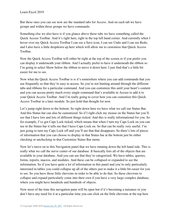But these ones you can see now are the standard tabs for Access. And on each tab we have groups and within those groups we have commands.

Something else we also have is if you glance above those tabs we have something called the Quick Access Toolbar. And it's right here, right in the top left hand corner. And currently when I hover over my Quick Access Toolbar I can see a Save icon, I can see Undo and I can see Redo, and I also have a little dropdown up here which will allow me to customize that Quick Access Toolbar.

Now the Quick Access Toolbar will either be right at the top of the screen or if you prefer you can display it underneath your ribbon. And I actually prefer to have it underneath the ribbon so I'm going to select Show below the ribbon to move it down here. I just find that's a little bit easier for me to see.

Now what the Quick Access Toolbar is is it's somewhere where you can add commands that you use frequently so that they're easy to access. So you're not hunting around through the different tabs and ribbons for a particular command. And you can customize this until your heart's content and you can access pretty much every single command that's available in Access to add it to your Quick Access Toolbar. And I'm really going to cover how you can customize this Quick Access Toolbar in a later module. So just hold that thought for now.

Let's jump right down to the bottom. So right down here we have what we call our Status Bar. And this Status bar can also be customized. So if I right click my mouse on the Status bar you'll see that I have lots and lots of different things ticked. And this is really informational for you. So for example, I've got Caps Lock ticked, which means that when I turn my Caps Lock on you can see in the Status bar it tells me that I have Caps Lock on. So that can be really very useful. I'm just going to turn my Caps Lock off and you'll see that that disappears. So there's lots of pieces of information that you can choose to display in that Status bar at the bottom just be either checking or unchecking in that Customize Status Bar menu.

Now let's move on to this Navigation panel that we have running down the left hand side. This is really what we call the nerve center of our database. It basically lists all of the objects that are available in your database. And you can see that they're categorized. We have tables, queries, forms, reports, macros, and modules. And these can be collapsed or expanded to see the information. So if you have quite a lot of information in this panel and you're only particularly interested in tables you could collapse up all of the others just to make it a little bit easier for you to see. So you have those little chevrons in order to be able to do that. So these chevrons to collapse and expand particularly come into their own if you have a very large complex database, where you might have hundreds and hundreds of objects.

Now most of the time this navigation pane will be open but if it's becoming a nuisance or you don't have any need for it at a particular time you can click on the little chevrons at the top here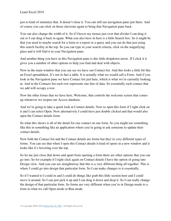just to kind of minimize that. It doesn't close it. You can still see navigation pane just there. And of course you can click on those chevrons again to bring that Navigation pane back.

You can also change the width of it. So if I hover my mouse just over that divider I can drag it out or I can drag it back in again. What you also have in here is a little Search box. So it might be that you need to maybe search for a form or a report or a query and you can do that just using this search facility at the top. So you can type in your search criteria, click on the magnifying glass and it will find it in your Navigation pane.

And another thing you have in this Navigation pane is this little dropdown arrow. If I click it it gives you a number of other options to help you find and deal with objects.

Now in the main window that you can see we have our Contact list. And this looks a little bit like an Excel spreadsheet. It's not in fact a table. It is actually what we would call a Form. And if you look in the Navigation pane we have Contact list just here, which is what we're currently looking at. And in the Contacts list each row represents one line of data. So essentially each contact that we add will occupy a row.

Now the other forms that we have here, Welcome, that controls the welcome screen that comes up whenever we reopen our Access database.

And we're going to take a quick look at Contact details. Now to open this form if I right click on it and I can select Open. Now alternatively I could have just double clicked and that would also open the Contact details form.

So what this shows is all of the detail for one contact on one form. So you might use something like this in something like an application where you're going to ask someone to update their contact details.

Now both the Contact list and the Contact details are forms but they're very different types of forms. You can see that when I open this Contact details it kind of opens in a new window and it looks like it's hovering over the top.

So let me just close that down and apart from opening a form there are other options that you can go into. So for example if I right click again on Contact details I have the option of going into Design view. And you can see straightaway that this is a very different thing all together. This is where I could go into design that particular form. So I can make changes to it essentially.

So if I wanted to I could in and I could do things like grab this little section here and I could move it around. So I can just pick it up and I can drag it down and drop it. So I can really change the design of that particular form. So forms are very different when you're in Design mode to a form in what we call Open mode or Run mode.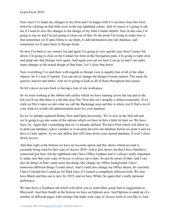Now once I've made my changes to my form and I'm happy with it I can then close this form down by clicking on that little cross in the top righthand corner. And of course it's going to ask me if I want to save the changes to the design of my form Contact details. Now in this case I'm going to say no and I'm just going to close out of that. So the point I'm trying to make here is that sometimes we'll open forms to use them, to add information into our database, and sometimes we'll open them in Design mode.

So now I'm back to my contact list and again I'm going to very quickly just close Contact list down. I'm going to click on the Contact list form in the Navigation pane, I'm going to right click and jump into that Design view again. And again you can see here I can go in and I can make some changes to the actual design of that form. Let's close that down.

Now everything I've said there with regards to Design view is equally true of all of the other objects. So it's true of reports. You can run or change the design of some reports. The same for queries, macros and tables. And we're going to look at all of those throughout this course.

So let's move on now back to having a tour of our workspace.

So we were looking at the ribbon tabs earlier which we have running across the top and to the left you'll see that there is a tab that says File. Now this isn't actually a ribbon essentially. If we click on File it takes us into what we call the Backstage area and this is where you'll find a lot of your what we would call administration tasks for your database.

So we've already explored Home, New and Open previously. We're now in the Info tab and we're going to go into some of the options which we have in Info a little bit later on. We have Save As. Again that's something that we've already utilized. We have Print which will allow us to print our database, select a printer or even print preview our database before we print it and we have a Close option. As we saw before that will close down your current database. It won't close down Access.

And then right at the bottom we have an Account option and this shows which account is currently being used for this copy of Access 2019. And it also shows me that I have OneDrive connected just here. On the righthand side I have Office Updates and it's always really important to make sure that your copy of Access is always up to date. So just be aware of that. And I can also do things in here, some more fun things like change my Office background. I have numerous different things I could select. And I could also change my Office theme. So currently I have Colorful but I could go for Dark Gray if I wanted a completely different look. We also have Black and that one is new for 2019, and we have White. So again that's really personal preference.

We then have a Feedback tab which will allow you to send either good, bad or suggestions to Microsoft. And then finally at the bottom we have an Options area. And Options is made up of a number of different pages with settings that make your copy of Access work as you like it. And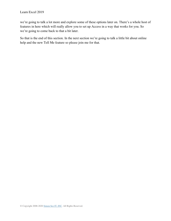we're going to talk a lot more and explore some of these options later on. There's a whole host of features in here which will really allow you to set up Access in a way that works for you. So we're going to come back to that a bit later.

So that is the end of this section. In the next section we're going to talk a little bit about online help and the new Tell Me feature so please join me for that.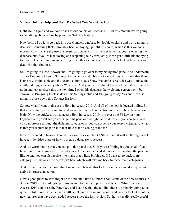#### <span id="page-20-0"></span>**Video: Online Help and Tell Me What You Want To Do**

**Deb:** Hello again and welcome back to our course on Access 2019. In this module we're going to be talking about online help and the Tell Me feature.

Now before I do let's go back into our Contacts database by double clicking and we're going to deal with something that's probably been annoying up until this point, which is this welcome screen. Now it is a really useful screen, particularly if it's the first time that you're opening the database but if you're just closing and reopening fairly frequently it can get a little bit annoying to have to keep coming in and closing down this welcome screen. So let's look at how we can deal with that first of all.

So I'm going to close it down and I'm going to go over to my Navigation pane. And underneath Tables I'm going to go to Settings. And when you double click on Settings you'll see that there is one row in this table and the second column says Show Welcome screen, if I was to make that a little bit bigger, or sorry Show Welcome. And you can see that it has a tick in that box. So if I go in and just uncheck this the next time I open this database that welcome screen won't be shown. So I'm going to close down this Settings table and I'm going to say Yes and I'm also going to close down this Contact list form.

So now what I want to discuss is Help in Access 2019. And all of the help is located online. So that means that you're going to need an active internet connection in order to be able to access Help. Now the quickest way to access Help in Access 2019 is to press the F1 key on your keyboard and you'll see you then get this pane on the righthand side where you can go in and you can browse through the different categories or you can type in your search criteria, so what it is that you require help on into that field that's flashing at the top.

Now if I wanted to browse I could click on for example Get Started and it will go through and I have a little video there of how to create a database in Access.

And it's worth noting that you can pull this panel out. So if you're finding it quite small if you hover your mouse over the top until you get that double headed cursor you can drag the panel out like so and you can also resize it to make that a little bit bigger. If I want to go back to my category list I have a little arrow just here which will take me back to those main categories.

And just to reiterate the point that I mentioned before, this Help is online so you do require an active internet connection.

Now a good place to start might be to find out a little bit more about some of the new features in Access 2019. So I could go up to my Search bar at the top here and type in What's new in Access 2019 and press the Enter key and I can see that the top link there is probably going to be quite useful to me. So let's have a little click and we can go through and we can look at all of the new features that have been added Access since the last version. So that's a really, really useful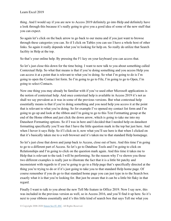thing. And I would say if you are new to Access 2019 definitely go into Help and definitely have a look through this because it's really going to give you a good idea of some of the new stuff that you can expect.

So again let's click on the back arrow to go back to our menu and if you just want to browse through these categories you can. So if I click on Tables you can see I have a whole host of other links. So again it really depends what you're looking for help on. So really do utilize that Search facility in Help at the top.

So that's your online help. By pressing the F1 key on your keyboard you can access that.

So let's just close this down for the time being. I want to now talk to you about something called Contextual Help. So what that means is that if you're doing something and you access Help you can access it at a point that is relevant to what you're doing. So what I'm going to do is I'm going to open the Contact list form. So I'm going to go to File, I'm going to go to Open, I'm going to select Contacts.

Now one thing you may already be familiar with if you've used other Microsoft applications is the notion of contextual help. And once contextual help is available in Access 2019 it's not as shall we say prevalent as it was in some of the previous versions. But what contextual help essentially means is that if you're doing something and you need help you access it at the point that is relevant to what you're doing. So for example I've opened my contact list form and I'm going to go up and look at the ribbon and I'm going to go to this Text Formatting group at the end of the Home ribbon and just click the down arrow, which is going to take me into my Datasheet Formatting options. So if I was in here and I decided that I needed help on datasheet formatting specifically you'll see that I have the little question mark in the top bar just here. And when I hover it says Help. So if I click on it, now what you'll see here is that when I clicked on that it's basically taken me to a web browser and it's taken me to that standard Help homepage.

So let's just close that down and jump back to Access, close out of here. And this time I'm going to go to a different part of Access. So let's go to Database Tools and I'm going to click on Relationships and I'm going to click on the question mark again. And this time it takes me to Help that is relevant to the task I will be performing. So the reason why I've shown you those two different examples is really just to illustrate the fact that it is a little bit patchy and inconsistent with regards to if you're going to go to a Help page that's specifically directed at the thing you're trying to do or if it's just going to take you to that standard Help home page. Of course remember if you do go to that standard home page you can just type in to the Search box exactly what it is that you're looking for. But just be aware that it can be a little bit flaky in that regard.

Finally I want to talk to you about the new Tell Me feature in Office 2019. Now I say new, this was included in the previous version as well, so in Access 2016, and you'll find it up here. So it's next to your ribbons essentially and it's this little kind of search box that says Tell me what you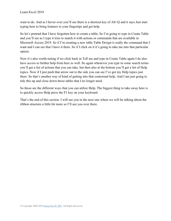want to do. And as I hover over you'll see there is a shortcut key of Alt+Q and it says Just start typing here to bring features to your fingertips and get help.

So let's pretend that I have forgotten how to create a table. So I'm going to type in Create Table and you'll see as I type it tries to match it with actions or commands that are available in Microsoft Access 2019. So if I'm creating a new table Table Design is really the command that I want and I can see that I have it there. So if I click on it it's going to take me into that particular option.

Now it's also worth noting if we click back in Tell me and type in Create Table again I do also have access to further help from here as well. So again whenever you type in some search terms you'll get a list of actions that you can take, but then also at the bottom you'll get a list of Help topics. Now if I just push that arrow out to the side you can see I've got my Help topics just there. So that's another way of kind of getting into that contextual help. And I am just going to tidy this up and close down those tables that I no longer need.

So those are the different ways that you can utilize Help. The biggest thing to take away here is to quickly access Help press the F1 key on your keyboard.

That's the end of this section. I will see you in the next one where we will be talking about the ribbon structure a little bit more so I'll see you over there.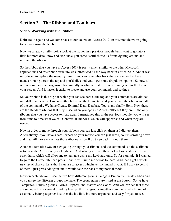# **Section 3 – The Ribbon and Toolbars**

## <span id="page-23-0"></span>**Video: Working with the Ribbon**

Deb: Hello again and welcome back to our course on Access 2019. In this module we're going to be discussing the Ribbon.

Now we already briefly took a look at the ribbon in a previous module but I want to go into a little bit more detail now and also show you some useful shortcuts for navigating around and utilizing the ribbon.

So the ribbon that you have in Access 2019 is pretty much similar to the other Microsoft applications and this ribbon structure was introduced all the way back in Office 2007. And it was introduced to replace the menu system. If you can remember back that far we used to have menus running across the top and you'd click and you'd get some dropdown options. So now all of our commands are organized horizontally in what we call Ribbons running across the top of your screen. And it makes it easier to locate and use your commands and settings.

So your ribbon is this big bar which you can see here at the top and your commands are divided into different tabs. So I'm currently clicked on the Home tab and you can see the ribbon and all of the commands. We have Create, External Data, Database Tools, and finally Help. Now these are the standard ribbons that they'll see when you open up Access 2019 but they aren't the only ribbons that you have access to. And again I mentioned this in the previous module, you will see from time to time what we call Contextual Ribbons, which will appear as and when they are needed.

Now in order to move through your ribbons you can just click on them as I did just then. Alternatively if you have a scroll wheel on your mouse you can just scroll, so I'm scrolling down and that will move me across those ribbons or scroll up to go back through them.

Another alternative way of navigating through your ribbons and the commands on those ribbons is to press the Alt key on your keyboard. And what you'll see there is I get some shortcut keys essentially, which will allow me to navigate using my keyboard only. So for example, if I wanted to go to the Create tab I can press C and it will jump me across to there. And then I get a whole new set of shortcut keys that I can use to access whichever command I want. If I want to get rid of them I just press Alt again and it would take me back to my normal mode.

Now on each tab you'll see that we have different groups. So again I'm on the Create ribbon and you can see the different groups we have. The group names are listed at the bottom. So we have Templates, Tables, Queries, Forms, Reports, and Macros and Codes. And you can see that these are separated by a vertical dividing line. So this just groups together commands which kind of essentially belong together just to make it a little bit more organized and easy for you to see.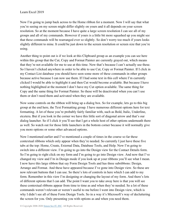Now I'm going to jump back across to the Home ribbon for a moment. Now I will say that what you're seeing on my screen might differ slightly on yours and it all depends on your screen resolution. So at the moment because I have quite a large screen resolution I can see all of my groups and all of my commands. However if yours is a little bit more squashed up you might see that these commands will be rearranged ever so slightly. So don't worry too much if yours looks slightly different to mine. It could be just down to the screen resolution or screen size that you're using.

Another thing to point out is if we look at this Clipboard group as an example you can see here within this group that the Cut, Copy and Format Painter are currently grayed out, which means that they're not available for me to use at this time. Now that's because I can't actually use these. So I haven't clicked anywhere in order to be able to use Cut, Copy or Format Painter. If I click in my Contact List database you should have seen some more of these commands in other groups because active because I can now use them. If I had some text in this cell where I'm currently clicked I would be able to highlight it and then Cut would become available. But because I have nothing highlighted at the moment I don't have my Cut option available. The same thing for Copy and the same thing for Format Painter. So these will be deactivated when you can't use them or don't need them and activated when they are available.

Now some controls on the ribbon will bring up a dialog box. So for example, lets go to this big group at the end here, the Text Formatting group. I have numerous different options here for text formatting. A lot of these you're probably fairly familiar with, such as Bold, Italic, Underline, etcetera. But if you look in the corner we have this little sort of diagonal arrow and that's our dialog launcher. So if I click it you'll see that I get a whole host of other options underneath there as well. So watch out for those little launchers in the bottom corner because it will normally give you more options or some other advanced options.

Now I mentioned earlier and I've mentioned a couple of times in the course so far these contextual ribbons which only appear when they're needed. So currently I just have these five tabs at the top: Home, Create, External Data, Database Tools, and Help. Now I'm going to switch into a different view. I'm going to go into the Design view for the Contact Details form. So I'm going to right click on my form and I'm going to go into Design view. And now that I've changed my view and I'm in Design mode if you look up at your ribbons you'll see what I mean. I now have this large ribbon that say Form Design Tools and has three subribbons: Design, Arrange and Format. And these have appeared because I've gone into Design view. So these are now relevant buttons that I can use. So there's lots of controls in here which I can add to my form. Remember in this view I'm designing or changing the layout of my form. And there's lots of different options that I can add. The point I want you to take away here is that you will see these contextual ribbons appear from time to time as and when they're needed. So a lot of these commands weren't relevant or weren't useful to me before I went into Design view, which is why I didn't see all of these Form Design Tools. So in a way it's Microsoft's way of decluttering the screen for you. Only presenting you with options as and when you need them.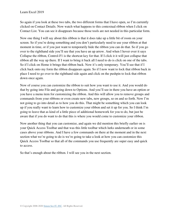So again if you look at these two tabs, the two different forms that I have open, so I'm currently clicked on Contact Details. Now watch what happens to this contextual ribbon when I click on Contact List. You can see it disappears because those tools are not needed in this particular form.

Now one thing I will say about this ribbon is that it does take up a little bit of room on your screen. So if you're doing something and you don't particularly need to use your ribbon at that moment in time, or if you just want to temporarily hide the ribbon you can do that. So if you go over to the righthand side you'll see that you have an up arrow. And when I hover over it says Collapse the ribbon, Control-F1 is the shortcut key for that. If I click it it will just collapse that ribbon all the way up there. If I want to bring it back all I need to do is click on one of the tabs. So if I click on Home it brings that ribbon back. Now it's only temporary. You'll see that if I click back onto my form the ribbon disappears again. So if I now want to lock that ribbon back in place I need to go over to the righthand side again and click on the pushpin to lock that ribbon down once again.

Now of course you can customize the ribbon to suit how you want to use it. And you would do that by going into File and going down to Options. And you'll see in there you have an option or you have a menu item for customizing the ribbon. And this will allow you to remove groups and commands from your ribbons or even create new tabs, new groups, so on and so forth. Now I'm not going to go into detail as to how you do this. That might be something which you can look up if you really want to learn how to customize your ribbon and set it up for you. So I think I'm going to leave that as kind of a little piece of additional homework for you to do, but just be aware that if you do want to do that this is where you would come to customize your ribbon.

Now another thing that you can customize, and again we did mention this briefly earlier on is your Quick Access Toolbar and that was this little toolbar which lurks underneath or in some cases above your ribbons. And I have a few commands on there at the moment and in the next section what we're going to do is we're going to take a look at how you can customize this Quick Access Toolbar so that all of the commands you use frequently are super easy and quick to access.

So that's enough about the ribbon. I will see you in the next section.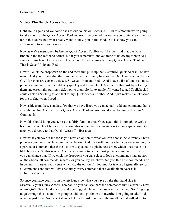#### <span id="page-26-0"></span>**Video: The Quick Access Toolbar**

Deb: Hello again and welcome back to our course on Access 2019. In this module we're going to take a look at the Quick Access Toolbar. And I've pointed this out to your quite a few times so far in this course but what I really want to show you in this module is just how you can customize it to suit your own needs.

Now as we've mentioned before the Quick Access Toolbar you'll either find it above your ribbon in the top left hand corner, but if you remember I moved mine to below my ribbon so I can see it just here. And currently I only have three commands on my Quick Access Toolbar. That is Save, Undo and Redo.

Now if I click the dropdown on the end there this pulls up the Customize Quick Access Toolbar menu. And you can see that the commands that I currently have on my Quick Access Toolbar or QAT for short are currently ticked. So Save, Undo and Redo. And I have a list of ten or so most popular commands that I could very quickly add to my Quick Access Toolbar just by selecting them and essentially putting a tick next to them. So for example if I wanted to add Spellcheck I could click on Spelling to add that to my Quick Access Toolbar. And it just makes it a lot easier for me to find when I need it.

Now aside from these standard few that we have listed you can actually add any command that's available within Access to your Quick Access Toolbar. And you do that by going down to More Commands.

Now this should jump you across to a fairly familiar area. Once again this is something we've been into a couple of times already. And this is essentially your Access Options again. And it's taken you directly to that Quick Access Toolbar area.

Now what you have at the top is you have an option of what you can choose. So currently I have popular commands displayed in this list below. And it's worth noting when you are searching for a particular command that these lists are displayed in alphabetical order, which does make it a little bit easier. So this is what Access determines to be the most popular commands. However you can change that. If we click the dropdown you can select to look at commands that are not on the ribbon, all commands, macros, or you can by whichever tab you think the command is on. In general I'm never really sure which tab the option I'm looking for is on so I generally go for all commands and that will list absolutely every command that's available in Access in alphabetical order.

So once you have your list on the left hand side what you have on the righthand side is essentially your Quick Access Toolbar. So you can see there the commands that I currently have on my QAT. Save, Undo, Redo, and Spelling, which was the last one that I added. So I'm going to go through this list and I'm going to add, let's go for an old favorite. I'm going to add Bold which is just there. So I select it and click on the Add button in the middle and it will add it to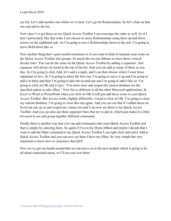my list. Let's add another one whilst we're here. Let's go for Relationships. So let's click on that one and add to the list.

Now once I've got these on my Quick Access Toolbar I can rearrange the order as well. So if I don't particularly like that order I can choose to move Relationships using these up and down arrows on the righthand side. So I'm going to move Relationships down to the end. I'm going to move Bold down like so.

Now another thing that's quite useful sometimes is if you want to kind of separate your icons on the Quick Access Toolbar into groups. So much like on our ribbons we have those vertical divider lines. You can do the same on the Quick Access Toolbar by adding a separator. And separator will always be listed at the top of the list. And you can add as many of these as you like. So I'm going to click Add, let's add a couple, and I can then choose where I want those separators to live. So I'm going to select the first one, I'm going to move it up and I'm going to add it in there and then I'm going to take the second one and I'm going to add it like so. I'm going to click on OK and it says, "You must close and reopen the current database for the specified option to take effect." Now this is different to all the other Microsoft applications. In Excel or Word or PowerPoint when you click on OK it will just add those icons to your Quick Access Toolbar. But Access works slightly differently. I need to click on OK. I'm going to close my current database. I'm going to close this one again. And you can see that it's added those on. So let me just go in and reopen my contact list and I can now see there is my Quick Access Toolbar. And you can also see those separator lines that we've put in, which just makes it a little bit easier to see and group together different commands.

Finally there is another way that you can add commands onto your Quick Access Toolbar and that is simply by selecting them. So again if I'm on the Home ribbon and maybe I decide that I want to add the Filter command to my Quick Access Toolbar I can right click and select Add to Quick Access Toolbar and you can now see there I have my Filter. So very simple but very important to know how to customize that QAT.

Now we've got our heads around that we can move on to the next module which is going to be all about contextual menu, so I'll see you over there.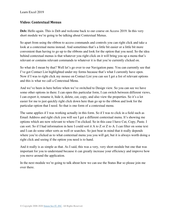### <span id="page-28-0"></span>**Video: Contextual Menus**

**Deb:** Hello again. This is Deb and welcome back to our course on Access 2019. In this very short module we're going to be talking about Contextual Menus.

So apart from using the ribbon to access commands and controls you can right click and take a look at a contextual menu instead. And sometimes that's a little bit easier or a little bit more convenient than having to go up to the ribbons and look for the option that you need. So the idea behind contextual menus is that whatever you right click on it will bring you up a menu that's relevant or contains relevant commands to whatever it is that you're currently clicked on.

So what do I mean by that? Well let's go over to our Navigation pane. You can currently see that I've got Contact List highlighted under my forms because that's what I currently have open. Now if I was to right click my mouse on Contact List you can see I get a list of relevant options and this is what we call a Contextual Menu.

And we've been in here before when we've switched to Design view. So you can see we have some other options in there. I can open this particular form, I can switch between different views, I can export it, rename it, hide it, delete, cut, copy, and also view the properties. So it's a lot easier for me to just quickly right click down here than go up to the ribbon and look for the particular option that I need. So that is one form of a contextual menu.

The same applies if I was working actually in this form. So if I was to click in a field such as Email Address and right click you will see I get a different contextual menu. It's showing me options which are now relevant to where I'm clicked. So in this case I have Cut, Copy, Paste. I can sort. So if I had information in here I could sort it A to Z or Z to A. I can filter on some text and I can do some other sorts as well or searches. So just bear in mind that it really depends where you're clicked as to what contextual menu you you will get, but it is always worth doing a right click and seeing if the option you need is to hand.

And it really is as simple as that. As I said, this was a very, very short module but one that was important for you to understand because it can greatly increase your efficiency and improve how you move around the application.

In the next module we're going to talk about how we can use the Status Bar so please join me over there.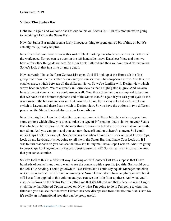#### <span id="page-29-0"></span>**Video: The Status Bar**

Deb: Hello again and welcome back to our course on Access 2019. In this module we're going to be taking a look at the Status Bar.

Now the Status Bar might seem a fairly innocuous thing to spend quite a bit of time on but it's actually really, really helpful.

Now first of all your Status Bar is this sort of blank looking bar which runs across the bottom of the workspace. So you can see over on the left hand side it says Datasheet View and then we have a few other things down here. So Num Lock, Filtered and then we have our different views. So let's look at that in a little bit more detail.

Now currently I have the form Contact List open. And if I look up at the Home tab the first group that I have there is called Views and you can see that it has dropdown arrow. And this just enables me to switch between all the different views. So we're familiar with Design view which we've been in before. We're currently in Form view as that's highlighted in gray. And we also have a Layout view which we could use as well. Now those three buttons correspond to buttons that we have on the bottom righthand end of the Status Bar. So again if you cast your eyes all the way down to the bottom you can see that currently I have Form view selected and there I can switch to Layout and there I can switch to Design view. So you have the options in two different places, on the Status Bar and also on your Home ribbon.

Now if we right click on the Status Bar, again we came into this a little bit earlier on, you have some options which allow you to customize the type of information that's shown on your Status Bar which can be very useful. So the ones that are currently ticked are the ones that are currently turned on. And you can go in and you can turn these off and on to heart's content. So I could untick Caps Lock, for example. So that means that when I have Caps Lock on, so if I press Caps Lock on my keyboard it's not going to tell me in the Status Bar that I have Caps Lock on. If I was to turn that back on you can see that now it's telling me I have Caps Lock on. And I'm going to press Caps Lock again on my keyboard just to turn that off. So it's really an information area that you can customize.

So let's look at this in a different way. Looking at this Contacts List let's suppose that I have hundreds of contacts and I only want to see the contacts with a specific job title. So I could go to the Job Title heading, I could go down to Text Filters and I could say equals Manager and click on OK. So now that list is filtered on managers. Now I know I don't have anything in here but it still has a filter applied to this column and you can see the little filter up there. And what you'll also see is down on the Status Bar it's telling me that it's filtered and that's because when I right click I have that Filtered Option turned on. Now what I'm going to do is I'm going to clear that filter and you can see that the word Filtered has now disappeared from that bottom Status Bar. So it's really an informational area that can be pretty useful.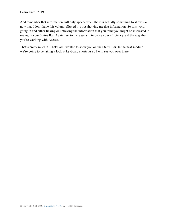And remember that information will only appear when there is actually something to show. So now that I don't have this column filtered it's not showing me that information. So it is worth going in and either ticking or unticking the information that you think you might be interested in seeing in your Status Bar. Again just to increase and improve your efficiency and the way that you're working with Access.

That's pretty much it. That's all I wanted to show you on the Status Bar. In the next module we're going to be taking a look at keyboard shortcuts so I will see you over there.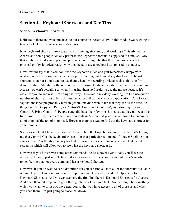# **Section 4 – Keyboard Shortcuts and Key Tips**

## <span id="page-31-0"></span>**Video: Keyboard Shortcuts**

**Deb:** Hello there and welcome back to our course on Access 2019. In this module we're going to take a look at the use of keyboard shortcuts.

Now keyboard shortcuts are a great way of moving efficiently and working efficiently within Access and some people actually prefer to use keyboard shortcuts as opposed to a mouse. Now that might just be down to personal preference or it might be that they have some kind of physical or physiological reason why they need to use a keyboard as opposed to a mouse.

Now I would say that if you don't use the keyboard much and you're perfectly happy with working with the mouse then you can skip this section, but I would say that I use keyboard shortcuts a lot but I don't tend to use them when I'm recording a video such as this one for demonstration. Mainly for the reason that if I'm using keyboard shortcuts when I'm working in Access you can't actually see when I'm using them so I prefer to use the mouse because it's easier for you to see what I'm doing that way. However in my daily working life I do use quite a number of shortcuts not only in Access but across all of the Microsoft applications. And I would say that most people probably have in general maybe seven to ten that they use all the time. So thing like Cut, Copy and Paste, so Control-X, Control-C, Control-V, and also maybe Save, Control-S, Print, Control-P. People generally have their favorite shortcuts that they utilize all the time. And I will say there are so many shortcuts in Access that you're never going to remember all of them off the top of your head. However there is a way to find out the keyboard shortcut for your commands.

So for example, if I hover over on the Home ribbon the Copy button you'll see there it's telling me that Control-C is the keyboard shortcut for that particular command. If I hover Spelling you can see that F7 is the shortcut key for that. So some of these commands do have that useful screen tip which will allow you to see what the keyboard shortcut is.

However if you hover over some other commands, so let's hover over Totals, you'll see the screen tip literally just says Totals. It doesn't show me the keyboard shortcut. So it's worth remembering that not every command has a keyboard shortcut.

However, if you do want to see a definitive list you can find a list of all of the shortcuts available within Help. So I'm going to press F1 to pull up my Help and I could in Help search for Keyboard Shortcuts. And you can see here the first link there is Keyboard Shortcuts for Access. And I can then put it up and it goes through the whole list in a table. So that might be something which you want to print out, have near you so that you have access to all of those as and when you need them. I'm just going to close that down.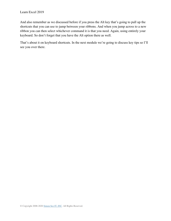And also remember as we discussed before if you press the Alt key that's going to pull up the shortcuts that you can use to jump between your ribbons. And when you jump across to a new ribbon you can then select whichever command it is that you need. Again, using entirely your keyboard. So don't forget that you have the Alt option there as well.

That's about it on keyboard shortcuts. In the next module we're going to discuss key tips so I'll see you over there.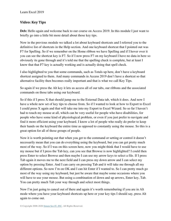## <span id="page-33-0"></span>**Video: Key Tips**

**Deb:** Hello again and welcome back to our course on Access 2019. In this module I just want to briefly go into a little bit more detail about those key tips.

Now in the previous module we talked a lot about keyboard shortcuts and I referred you to the definitive list of shortcuts in the Help section. And one keyboard shortcut that I pointed out was F7 for Spelling. So if we remember on the Home ribbon we have Spelling and if I hover over it you can see the shortcut key is F7. So if I now press F7 on my keyboard I have no data in here so obviously its gone through and it's told me that the spelling check is complete, but at least I know that that F7 key is actually working and is actually doing that spell check.

I also highlighted to you that some commands, such as Totals up here, don't have a keyboard shortcut assigned to them. And many commands in Access 2019 don't have a shortcut so that alternative facility then becomes really important and that is what we call Key Tips.

So again if we press the Alt key it lets us access all of our tabs, our ribbons and the associated commands on those tabs using our keyboard.

So if this if I press X that should jump me to the External Data tab, which it does. And now I have a whole new set of key tips to choose from. So if I wanted to look at how to Export to Excel I could press X again and that will take me into my Export to Excel Wizard. So so far I haven't had to touch my mouse at all, which can be very useful for people who have disabilities, for people who have some kind of physiological problem, or even if you just prefer to navigate and find it more efficient using your keyboard. I know a lot of people who really do prefer to keep their hands on the keyboard the entire time as opposed to constantly using the mouse. So this is a great option for all of those groups of people.

Now it is worth pointing out that when you get to the command or setting or control it doesn't necessarily mean that you can do everything using the keyboard, but you can get pretty much most of the way. So if I was on this screen here, now you might think that I would have to use my mouse but if I press the Tab key, can you see that Browse is now highlighted? I could then press Enter to select Browse and then maybe I can use my arrow keys to select a file. If I press Tab again it moves me to the next field and I can press my down arrow and I can select my option by pressing Enter. And I can carry on pressing Tab and it will take me through all my different options. So now I'm on OK and I can hit Enter if I wanted to. So I can pretty much go most of the way using my keyboard, but just be aware that maybe some occasions where you will have to use your mouse. But using a combination of down and up arrows, Enter key, Tab. You can pretty much Tab your way through and select most things.

Now I'm just going to cancel out of there and again it's worth remembering if you are in Alt mode where you have your keyboard shortcuts up here or your key tips I should say, press Alt again to come out.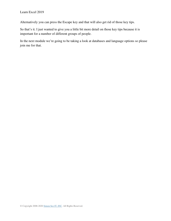Alternatively you can press the Escape key and that will also get rid of those key tips.

So that's it. I just wanted to give you a little bit more detail on those key tips because it is important for a number of different groups of people.

In the next module we're going to be taking a look at databases and language options so please join me for that.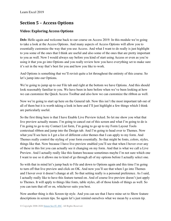## **Section 5 – Access Options**

## <span id="page-35-0"></span>**Video: Exploring Access Options**

Deb: Hello again and welcome back to our course on Access 2019. In this module we're going to take a look at the Access Options. And many aspects of Access Options will allow you to essentially customize the way that you use Access. And what I want to do really is just highlight to you some of the ones that I think are useful and also some of the ones that are pretty important to you as well. Now I would always say before you kind of start using Access or even as you're using it that you go into Options and you really review how you have everything set to make sure it's set in the way that's best for you and how you like to work.

And Options is something that we'll revisit quite a lot throughout the entirety of this course. So let's jump into our Options.

We're going to jump up to our File tab and right at the bottom we have Options. And this should look reasonably familiar to you. We have been in here before when we've been looking at how we can customize the Quick Access Toolbar and also how we can customize the ribbon as well.

Now we're going to start up here on the General tab. Now this isn't the most important tab out of all of them but it is worth taking a look in here and I'll just highlight a few things which I think are particularly useful.

So the first thing here is that I have Enable Live Preview ticked. So let me show you what that live preview actually means. I'm going to cancel out of this screen and what I'm going to do is I'm going to go to my Contact List form, I'm going to go up to my Form Layout Tools contextual ribbon and jump into the Design tab. And I'm going to head over to Themes. Now what you'll see here is I get a list of different color themes that I can apply to my form. And Themes really control the styling of your form essentially. So that might be fonts, colors, styles, things like that. Now because I have live preview enabled you'll see that when I hover over any of these in this list you can actually see it changing on my form. And that is what we call a Live Preview. And I actually really like this feature because sometimes maybe I'm not sure which one I want to use so it allows me to kind of go through all of my options before I actually select one.

So with that in mind let's jump back to File and down to Options again and this time I'm going to turn off that live preview and click on OK. And now you'll see that when I go into Themes and I hover over it doesn't change at all. So that setting really is a personal preference. As I said, I actually really like to have this feature turned on. And of course live preview doesn't just apply to Themes. It will apply to things like fonts, table styles, all of those kinds of things as well. So you can turn that off or on, whichever suits you best.

Now another thing is this Screen tip style. And you can see that I have mine set to Show feature descriptions in screen tips. So again let's just remind ourselves what we mean by a screen tip.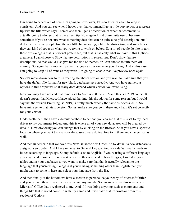I'm going to cancel out of here. I'm going to hover over, let's do Themes again to keep it consistent. And you can see when I hover over that command I get a little pop up box or a screen tip with the title which says Themes and then I get a description of what that command is actually going to do. So that is the screen tip. Now again I find these quite useful because sometimes if you're not sure what something does that can be quite a helpful description, but I do know that some people find them a little bit annoying, a little bit distracting, and sometimes they can kind of cover up what you're trying to work on below. So a lot of people do like to turn these off. So again that is personal preference, but that is basically what we have in this Options area here. I can choose to Show feature descriptions in screen tips, Don't show feature descriptions, so that would just give me the title of themes, or I can choose to turn them off entirely. So again that's another feature that you can customize to your liking. And in this case I'm going to keep all of mine as they were. I'm going to enable that live preview once again.

So let's move down now to this Creating Databases section and you want to make sure that you have the default file format for new blank databases set correctly. And you have numerous options in this dropdown so it really does depend which version you were using.

Now you may have noticed that mine's set to Access 2007 to 2016 and this is a 2019 course. It doesn't appear that Microsoft have added that into this dropdown for some reason, but I would say that the version I'm using, so 2019, is pretty much exactly the same as Access 2016. So I have mine set to that latest version. So just make sure you go in there and check it's set correctly for your version.

Underneath that I then have a default database folder and you can see that this is set to my local drives to my documents folder. And this is where all of your new databases will be created by default. Now obviously you can change that by clicking on the Browse. So if you have a specific location where you want to save your databases please do feel free to in there and change that as well.

And then underneath that we have this New Database Sort Order. So by default a new database is assigned a sort order. And I have mine set to General Legacy. And your default really needs to be set according to language. So my default is set to English. If you're using a different language you may need to use a different sort order. So this is related to how things get sorted in your tables and in your databases so you want to make sure that that is actually relevant to the language that you're using. So again if you're using something other than English then you might want to come in here and select your language from the list.

And then finally at the bottom we have a section to personalize your copy of Microsoft Office and you can see there it has my username and my initials. So this means that this is a copy of Microsoft Office that's registered to me. And if I was doing anything such as comments and things like that it would come up with my name and it will take that information from this section of Options.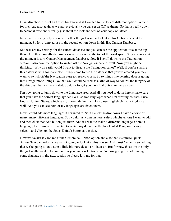I can also choose to set an Office background if I wanted to. So lots of different options in there for me. And also again as we saw previously you can set an Office theme. So that is really down to personal taste and is really just about the look and feel of your copy of Office.

Now there's really only a couple of other things I want to look at in this Options page at the moment. So let's jump across to the second option down in this list, Current Database.

So these are my settings for the current database and you can see the application title at the top there. And this basically determines what is shown at the top of the workspace. So you can see at the moment it says Contact Management Database. Now if I scroll down to the Navigation section I also have the option to switch off the Navigation pane as well. Now you might be thinking, "Why on earth would I want to disable the Navigation pane?" Well, if you're sharing this database with someone else, if they come to use the database that you've created you may want to switch off the Navigation pane to restrict access. So to things like deleting data or going into Design mode, things like that. So it could be used as a kind of way to control the integrity of the database that you've created. So don't forget you have that option in there as well.

I'm now going to jump down to the Language area. And all you need to do in here is make sure that you have the correct language set. So I use two languages when I'm creating courses. I use English United States, which is my current default, and I also use English United Kingdom as well. And you can see both of my languages are listed there.

Now I could add more languages if I wanted to. So if I click the dropdown I have a choice of many, many different languages. So I could just come in here, select whichever one I want to add and then click that Add button just there. And if I want to make a different language a default language, for example if I wanted to switch my default to English United Kingdom I can just select it and click on the Set as Default button at the side.

Now we've already looked at the Customize Ribbon option and also the Customize Quick Access Toolbar. Add-ins we're not going to look at in this course. And Trust Center is something that we're going to look at in a little bit more detail a bit later on. But for now those are the only things I really wanted to point out in your Access Options. We're now going to start making some databases in the next section so please join me for that.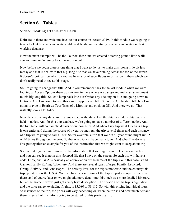# **Section 6 – Tables**

# **Video: Creating a Table and Fields**

**Deb:** Hello there and welcome back to our course on Access 2019. In this module we're going to take a look at how we can create a table and fields, so essentially how we can create our first working database.

Now the main example will be the Tour database and we created a starting point a little while ago and now we're going to add some content.

Now before we begin there is one thing that I want to do just to make this look a little bit less messy and that is deal with that big, long title that we have running across the top of the screen. It doesn't look particularly tidy and we have a lot of superfluous information in there which we don't really need to see at this stage.

So I'm going to change that title. And if you remember back to the last module when we were looking at Access Options there was an area in there where we can go and make an amendment to this big long title. So let's jump back into our Options by clicking on File and going down to Options. And I'm going to give this a more appropriate title. So in this Application title box I'm going to type in Esprit de Tour Trips of a Lifetime and click on OK. And there we go. That instantly looks a lot tidier.

Now the core of any database that you create is the data. And the data in modern databases is held in tables. And for this tour database we're going to have a number of different tables. And the first table will contain the details of our core trips. And when I say trip what I mean is a trip is one entity and during the course of a year we may run the trip several times and each instance of a trip we're going to call a Tour. So for example, a trip that we run all year round might run 15 or 20 times throughout the year. So that one trip will have many tours. And what I've done is I've put together an example for you of the information that we might want to keep about trip.

So I've put together an example of the information that we might want to keep about each trip and you can see it there in this Notepad file that I have on the screen. So each trip will have a code, GCA, and GCA is basically an abbreviation of the name of the trip. So in this case Grand Canyon Family Rafting Adventure. And there are several types of trips: Family, Escorted, Group, Activity, and Landscapes. The activity level for the trip is moderate and the country this trip operates in is the U.S.A. We then have a description of the trip, so just a couple of lines just there, and of course later on we might add more detail into this, such as a more detailed itinerary, but at the moment we've just got a very brief description. The duration of this trip is eight days and the price range, excluding flights, is \$3,080 to \$3,112. So with this pricing individual tours, so instances of the trip, the prices will vary depending on when the trip is and how much demand there is. So all of this info is going to be stored for this particular trip.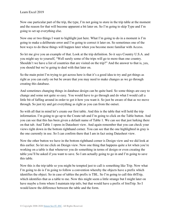Now one particular part of the trip, the type, I'm not going to store in the trip table at the moment and the reason for that will become apparent a bit later on. So I'm going to skip Type and I'm going to set up everything else.

Now one or two things I want to highlight just here. What I'm going to do in a moment is I'm going to make a deliberate error and I'm going to correct it later on. So sometimes one of the best ways to do these things will happen later when you become more familiar with Access.

So let me give you an example of that. Look at the trip definition. So it says Country U.S.A. and you might say to yourself, "Well surely some of the trips will go to more than one country. Shouldn't we have a list of countries that are visited on the trip?" And the answer to that is, yes, you should but we're going to deal with that later on.

So the main point I'm trying to get across here is that it's a good idea to try and get things as right as you can early on but be aware that you may need to make changes as we go through creating this database.

And sometimes changing things in database design can be quite hard. So some things are easy to change and some not quite so easy. You would have to go through and do what I would call a little bit of faffing around in order to get it how you want it. So just be aware of that as we move through. So just try and get everything as right as you can from the outset.

So with all that in mind let's create our first table. And this is the table that will hold the trip information. I'm going to go up to the Create tab and I'm going to click on the Table button. And you can see that this has been given a default name of Table 1. We can see that just lurking there on that tab. And Table 1 opens in Datasheet view. And again remember that you can check your views right down in the bottom righthand corner. You can see that the one highlighted in gray is the one currently in use. So I can confirm there that I am in fact using Datasheet view.

Now the other button we have in the bottom righthand corner is Design view and we did look at this earlier. So let me click on Design view. Now one thing that happens quite a lot when you're working on a table is that whenever you do something in terms of design or even creating the table you'll be asked if you want to save. So I am actually going to go in and I'm going to save this table.

Now this is the trip table so you might be tempted just to call is something like Trip. Now what I'm going to do is I'm going to follow a convention whereby the objects have a prefix which identifies the object. So in case of tables the prefix is TBL. So I'm going to call this tblTrip, which identifies that as a table to me. Now this might seem a little strange but I might later on have maybe a form where I maintain trip info, but that would have a prefix of frmTrip. So I would know the difference between the table and the form.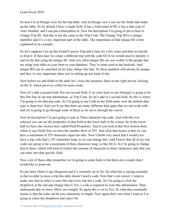So now I'm in Design view for the trip table. And in Design view I can see the fields that make up the table. So by default I have a single field. It has a field name of ID, it has a data type of Auto Number, and I can put a description in. Now the description I'm going to put in here is Unique Trip ID. And this is not the same as the Trip Code. The Unique Trip ID is a unique identifier and it's a very important part of the table. The importance of that unique ID is best explained in an example.

So let's suppose I set up this Grand Canyon Trip and it runs for a few years and then we decide to drop it. If then later we create a different trip with the code GCA we would need to identify it and we do that using the unique ID. And very often unique IDs are not visible to the people that are using your table or your form or your database. They're more used in the backend. And unique IDs can be searched on for trips, things like that. So these numbers will always be unique and they're very important when you're setting up any kind of trip.

Now before we add fields to the table let's close this property sheet on the right just by clicking on the X, which gives us a little bit more room.

Now let's add a second field. For our second field, if we refer back to our Notepad, is going to be this first line in our trip information, so Trip Code. So let's add in a second field. So this is where I'm going to list that trip code. So I'm going to say Code as the field name. now the default data type is short text. And you'll see that there are many different data types that we can work with and we're going to go through some of these as we move through the course.

Now in description I'm just going to type in Three character trip code. And with this row selected you can see the properties of that field in the lower half of the screen. So in the lower half we have this section here called Field Properties. And if you look at that first section there where it says Field Size we have the number there of 255. And what that means is that we can have a maximum of 255 characters input into this. Now I doubt very much that I would ever have a trip code that's 255 characters long, so we can change this. And I know that all of my trip codes are going to be a maximum of three characters long, so like GCA. So I'm going to change that to three, which will kind of restrict the amount of characters to three characters only that you can enter into that specific field.

Now a lot of these other properties we're going to come back to but there are a couple that I would like to point out.

So just here where it says Required and it's currently set to No. So what this is saying currently is that in order to store a trip this table doesn't need a code. Now that's not correct. I want to make sure that in order to store this trip every trip has a code. So I'm going to click the dropdown at the end and change that to Yes, a code is required to store this information. Then underneath that we have Allow zero length. So again this is set to Yes. So what that essentially means is that the code can be zero characters in length. Now again that's not what I want so I'm going to select the dropdown and select No.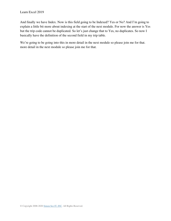And finally we have Index. Now is this field going to be Indexed? Yes or No? And I'm going to explain a little bit more about indexing at the start of the next module. For now the answer is Yes but the trip code cannot be duplicated. So let's just change that to Yes, no duplicates. So now I basically have the definition of the second field in my trip table.

We're going to be going into this in more detail in the next module so please join me for that. more detail in the next module so please join me for that.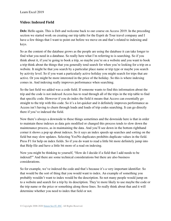### **Video: Indexed Field**

Deb: Hello again. This is Deb and welcome back to our course on Access 2019. In the preceding section we started work on creating our trip table for the Esprit de Tour travel company and I have a few things that I want to point out before we move on and that's related to indexing and keys.

So as the content of the database grows as the people are using the database it can take longer to find what you need in a database. So really here what I'm referring to is searching. So if you think about it, if you're going to book a trip, so maybe you're on a website and you want to book a trip think about the things that you generally tend search for when you're looking for a trip on a website. It might be that you search by a particular place name or trip type or maybe you search by activity level. So if you want a particularly active holiday you might search for trips that are active. Or you might be more interested in the price of the holiday. So this is where indexing comes in. And indexing really improves performance when searching.

So the last field we added was a code field. If someone wants to find this information about the trip and the code is not indexed Access has to read through all of the trips in the trip table to find that specific code. However if you do index the field it means that Access can essentially go straight to the trip with this code. So it's a lot quicker and it definitely improves performance as Access isn't having to churn through loads and loads of trip codes searching. It can go directly there if you've indexed the field.

Now there's always a downside to these things sometimes and the downside here is that in order to maintain these indexes as data gets modified or changed this process tends to slow down the maintenance process, as in maintaining the data. And you'll see down in the bottom righthand corner it shows a pop up about indexes. So it says an index speeds up searches and sorting on the field but may slow updates. Selecting Yes/No duplicates prohibits duplicate values in the field. Press F1 for help on index fields. So if you do want to read a little bit more definitely jump into that Help file and have a little bit more of a read on indexing.

Now you might be thinking to yourself, "How do I decide if a field that I add needs to be indexed?" And there are some technical considerations but there are also business considerations.

So for example, we've indexed the code and that's because it's a very important identifier. So that would be the sort of thing that you would want to index. An example of something you probably wouldn't want to index would be the description. So not many people would jump on to a website and search for a trip by its description. They're more likely to use maybe the code or the trip name or the price or something along those lines. So really think about that and it will determine whether you need to index that field or not.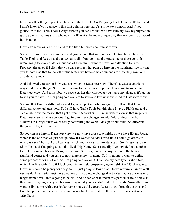Now the other thing to point out here is in the ID field. So I'm going to click on the ID field and I don't know if you can see in this first column here there's a little key symbol. And if you glance up at the Table Tools Design ribbon you can see that we have Primary Key highlighted in gray. So what that means is whatever the ID is it's the main unique way that we identify a record in this table.

Now let's move on a little bit and talk a little bit more about these views.

So we're currently in Design view and you can see that we have a contextual tab up here. So Table Tools and Design and that contains all of our commands. And some of these controls we're going to look at later on but one of them that I want to draw your attention to is this Property Sheet. So if I click that you can see I get that pain up here on the righthand side. I want you to note also that to the left of this button we have some commands for inserting rows and also deleting rows.

And I showed you earlier how you can switch to Datasheet view. There's always a couple of ways to do these things. So if I jump across to this Views dropdown I'm going to switch to Datasheet view. And remember we spoke earlier that whenever you make any changes it's going to ask you to save. So I'm going to click Yes to save and I've now switched to Datasheet view.

So now that I'm in a different view if I glance up at my ribbons again you'll see that I have different contextual tabs now. So I still have Table Tools but this time I have a Fields tab and a Table tab. Now the reason that I get different tabs when I'm in Datasheet view is that in general Datasheet view is what you would go into to make changes, to add fields, things like that. Whereas in Design view we're really controlling the overall design of our table. So different things you'll get different tabs.

So you can see here in Datasheet view we now have those two fields. So we have ID and Code, which is the one that we just set up. Now if I wanted to add a third field I could go across to where is says Click to Add, I can right click and I can select my data type. So I'm going to say Short Text and I'm going to call this field Trip Name. So essentially I've now defined another field. Let's switch back to Design view now. So I'm going to use my button in the bottom righthand corner and you can see now there is my trip name. So I'm going to want to define some properties for my field. So I'm going to click on it. I can see my data type is short text, which I'm fine with. And if I look down in my field properties, again field size 255 characters. Now that should be plenty for a trip so I'm just going to leave that. Do we require a name? Well yes we do. Every trip must have a name so I'm going to change that to Yes. Do we allow a zero length name? Well that's going to be No. And do we want to index this particular field? Now in this case I'm going to say No because in general you wouldn't index text fields. Normally if you want to find a trip with a particular name you would expect Access to go through the trips and find that particular one so we're going to say No to indexed. So those are the basic settings for Trip Name.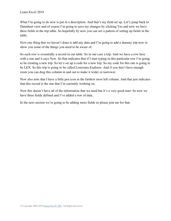What I'm going to do now is put in a description. And that's my field set up. Let's jump back to Datasheet view and of course I'm going to save my changes by clicking Yes and now we have three fields in the trip table. So hopefully by now you can see a pattern of setting up fields in the table.

Now one thing that we haven't done is add any data and I'm going to add a dummy trip now to show you some of the things you need to be aware of.

So each row is essentially a record in our table. So in our case a trip. And we have a row here with a star and it says New. So that indicates that if I start typing in this particular row I'm going to be creating a new trip. So let's set up a code for a new trip. So my code for this one is going to be LEX. So this trip is going to be called Louisiana Explorer. And if you don't have enough room you can drag this column in and out to make it wider or narrower.

Now also note that I have a little pen icon in the farthest most left column. And that just indicates that this record is the one that I'm currently working on.

Now this doesn't have all of the information that we need but it's a very good start. So now we have three fields defined and I've added a row of data.

In the next section we're going to be adding more fields so please join me for that.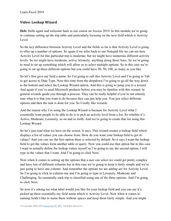### **Video: Lookup Wizard**

**Deb:** Hello again and welcome back to our course on Access 2019. In this module we're going to continue setting up the trip table and particularly focusing on the next field which is Activity Level.

So the key difference between Activity Level and the fields so far is that Activity Level is going to offer up a number of options. So again if we refer back to our Notepad file we can see here Activity Level for this particular trip is moderate, but we might have numerous different activity levels. So we might have moderate, active, leisurely, anything along those lines. So we're going to need to set up something which will allow us to select multiple options. So in this case we're going to set up three different options but you could have 20, 50, 100, as many as you like.

So let's first give our field a name. So I'm going to call this Activity Level and I'm going to Tab to get across to Data Type. Now this time from the dropdown I'm going to go all the way down to the bottom and select the Lookup Wizard option. And this is going to jump you to a wizard. And again if you've used Microsoft products before you may be familiar with this wizard. In general wizards guide you through a process. They can be really helpful if you're not entirely sure what it is that you want to do because they can just help you. You just select different options and then the task is done for you. So I really like wizards.

And the reason why I'm using the Lookup Wizard is because for Activity Level what I essentially want people to be able to do is to pick an activity level from a list. So whether it's Active, Moderate, Leisurely, so on and so forth. And we're going to create that list using this Lookup Wizard.

So let's just read what we have on the screen. It says, This wizard creates a lookup field which displays a list of values you can choose from. How do you want your lookup field to get its values? And you can see the first option there is selected by default. So it says I want the lookup field to get the values form another table or query. Now you could use that option but in this case I want to actually define the lookup values myself so I'm going to say the second option, I will type in the values that I want. And I'm going to click Next.

Now when it comes to setting up the options that a user can select we could get pretty complex and have lots of different columns but in this case we're going to keep it fairly simple and we're just going to have one column. And remember the options we are adding are for Activity Level. So I'm going to click in column one and I'm going to type in Leisurely, Moderate and Challenging. So essentially each trip is classified using one of the three options. And I'm going to click Next.

So now it's asking me what label would you like for your lookup field and you can see it's picked up there essentially my field name which is Activity Level. Now when it comes to naming fields I like to name them without spaces and keep them fairly simple. And you might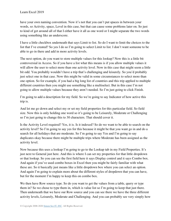have your own naming convention. Now it's not that you can't put spaces in between your words, so Activity, space, Level in this case, but that can cause some problems later on. So just to kind of get around all of that I either have it all as one word or I might separate the two words using something like an underscore.

I have a little checkbox underneath that says Limit to list. So do I want to limit the choices to the list that I've created? So yes I do so I'm going to select Limit to list. I don't want someone to be able to go in there and add in more activity levels.

The next option, do you want to store multiple values for this lookup? Now this is a little bit controversial in Access. So if you have a list what this means is if you allow multiple values it will allow the user to select more than one activity level. Now in this case that might seem a little bit odd. You probably wouldn't have a trip that's challenging and leisurely. So you'd probably just select one in that case. Now this might be valid in some circumstances to select more than one option. So for example, if you had a big long list of countries and this trip applied to multiple different countries then you might use something like a multiselect. But in this case I'm not going to allow multiple values because they aren't needed. So I'm just going to click Finish.

I'm going to add a description for my field. So we're going to say Indicator of how active this trip is.

And let me go down and select my or set my field properties for this particular field. So field size. Now this is only holding one word so it's going to be Leisurely, Moderate or Challenging so I'm just going to change this to 30 characters. That should cover it.

Is the Activity Level required? Yes, it is. Is it indexed? So do we want to be able to search on the activity level? So I'm going to say yes for this because it might be that you want go in and do a search for all holidays that are moderate. So I'm going to say Yes and I'm going to say duplicates okay because there might be multiple trips where Moderate has been assigned as the activity level.

Now because this uses a lookup I'm going to go to the Lookup tab in my Field Properties. It's just next to General just here. And this is where I can set my properties for that little dropdown or that lookup. So you can see the first field here it says Display control and it says Combo box. And again if you've used combo boxes in Excel then you might be fairly familiar with what these are. So it basically just means like a little dropdown box where you can select an option. And again I'm going to explain more about the different styles of dropdown that you can have, but for the moment I'm happy to keep this on combo box.

We then have Row source type. So do you want to get the values from a table, query or type them in? So we chose to type them in, which is value list so I'm going to keep that just there. Then underneath that we have our Row source and you can see there we have the three different activity levels, Leisurely, Moderate and Challenging. And you can probably see very simply how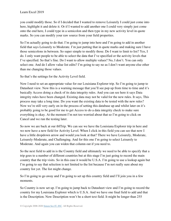you could modify those. So if I decided that I wanted to remove Leisurely I could just come into here, highlight it and delete it. Or if I wanted to add another one I could very simply just come onto the end here, I could type in a semicolon and then type in my new activity level in quote marks. So you can modify your raw source from your field properties.

So I'm actually going to do that. I'm going to jump into here and I'm going to add in another field that says Leisurely to Moderate. I'm just putting that in quote marks and making sure I have those semicolons in between. So super simple to modify those. Do I want to limit to list? Yes, I do. I only want people to be able to select the data that I've specified or the activity levels that I've specified. So that's fine. Do I want to allow multiple values? No, I don't. You can only select one. And do I allow value list edits? I'm going to say no as I don't want anyone else other than me changing those values.

So that's the settings for the Activity Level field.

Now I need to set an appropriate value for our Louisiana Explorer trip. So I'm going to jump to Datasheet view. Now this is a warning message that you'll see pop up from time to time and it's basically Access doing a check of its data integrity rules. And you can see here it says Data integrity rules have been changed. Existing data may not be valid for the new rules. It says, This process may take a long time. Do you want the existing data to be tested with the new rules? Now we're still very early on in the process of setting this database up and whilst later on it's probably going to be good for me to get Access to do a data integrity check to make sure everything is okay. At the moment I'm not too worried about that so I'm going to click on Cancel and we run the testing later.

So now we are back at our tblTrip. We can see we have the Louisiana Explorer trip in here and we now have a new field for Activity Level. When I click in this field you can see that now I have a little dropdown arrow and would you look at that? There we have Leisurely, Moderate, Leisurely-Moderate, and Challenging. And for this one I'm going to select Leisurely to Moderate. And again you can widen that column out if you need to.

So the next field to add in is the Country field and ultimately we need to be able to specify that a trip goes to a number of different countries but at this stage I'm just going to record the main country that the trip visits. So in this case it would be U.S.A. I'm going to use a lookup again but I'm going to say that selection is not limited to the list because I'm not really sure about my country list yet. The list might change.

So I'm going to go away and I'm going to set up this country field and I'll join you in a few moments.

So Country is now set up. I'm going to jump back to Datasheet view and I'm going to record the country for my Louisiana Explorer which is U.S.A. And we have one final field to add and that is the Description. Now Description won't be a short text field. It might be longer than 255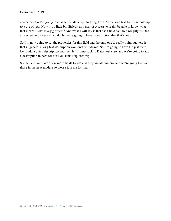characters. So I'm going to change this data type to Long Text. And a long text field can hold up to a gig of text. Now it's a little bit difficult as a user of Access to really be able to know what that means. What is a gig of text? And what I will say is that each field can hold roughly 64,000 characters and I very much doubt we're going to have a description that that's long.

So I'm now going to set the properties for this field and the only one to really point out here is that in general a long text description wouldn't be indexed. So I'm going to have No just there. Let's add a quick description and then let's jump back to Datasheet view and we're going to add a description in here for our Louisiana Explorer trip.

So that's it. We have a few more fields to add and they are all numeric and we're going to cover those in the next module so please join me for that.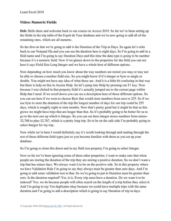### **Video: Numeric Fields**

Deb: Hello there and welcome back to our course on Access 2019. So far we've been setting up the fields in the trip table of the Esprit de Tour database and we're now going to add all of the remaining ones, which are all numeric.

So the first on that we're going to add is the Duration of the Trip in Days. So again let's refer back to our Notepad file and you can see the duration here is eight days. So I'm going to add in a field name and I'm going to say Duration Days and this time the data type is going to be number because it's a numeric field. Now if we glance down to the properties for the field you can see here it says Field Size Long Integer and we have a whole host of different options.

Now depending on how much you know about the way numbers are stored you may or may not be able to choose a number field size. So you might know if it's integer or byte or single or double. You might not have any idea of what those are. And it is a little bit confusing in that way but there is help on this in Access Help. So let's jump into Help by pressing our F1 key. Now because I was clicked in that property field it's actually jumped me to the correct page within Help that I need. If we scroll down you can see a description here of those different options. So you can see here if we were to choose Byte that would store numbers from zero to 255. So if we use byte to store the duration of the trip the longest number of days for our trip could be 255 days, which is roughly eight or nine months. Now that's pretty good but it might be that as this grows we might have trips that are longer than that. So it's probably going to be better for us to go to the next one up which is Integer. So you can see here integer stores numbers from minus-32,768 to plus-32,767, which is a pretty long trip. So to be on the safe side I'm probably going to select Integer for my trip.

Now while we're here I would definitely say it's worth looking through and reading through the rest of these different field types just so you become familiar with them as you set up your database.

So I'm going to close this down and in my field size property I'm going to select Integer.

Now so far we've been ignoring some of these other properties. I want to make sure that when people are storing the duration of the trip they are storing a positive duration. So we don't want a trip that has minus days. We always want it to be on the positive side. So in this property where we have Validation Rule I'm going to say they always must be greater than zero days. And I'm going to add some validation text to that. So we're going to put in Duration must be greater than zero. Is the duration required? Yes, it is. Every trip must have a duration. Do we want it to be indexed? Yes, we do because people will often search on the length of a trip before they select it. And I'm going to say Yes duplicates okay because we could have multiple trips with the same duration and I'm going to add a description which is going to say Duration of trip in days.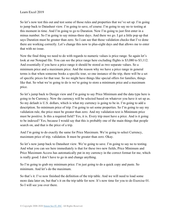So let's now test this out and test some of those rules and properties that we've set up. I'm going to jump back to Datasheet view. I'm going to save, of course. I'm going to say no to testing at this moment in time. And I'm going to go to Duration. Now I'm going to just first enter in a minus number. So I'm going to say minus-three days. And there we go. I get a little pop up that says Duration must be greater than zero. So I can see that those validation checks that I've done there are working correctly. Let's change this now to plus-eight days and that allows me to enter that with no issue.

Now the final thing we need to do with regards to numeric values is price range. So again let's look at our Notepad file. You can see the price range here excluding flights is \$3,080 to \$3,112. And essentially if you have a price range it should be stored as two separate values. So a minimum price and a maximum price. And the reason why we have a price range in general terms is that when someone books a specific tour, so one instance of the trip, there will be a set of specific prices for that tour. So we might have things like special offers for families, things like that. So what we're going to do is we're going to store a minimum price and a maximum price.

So let's jump back to Design view and I'm going to say Price Minimum and the data type here is going to be Currency. Now the currency will be selected based on whatever you have it set up as. So my default is U.S. dollars, which is what my currency is going to be in. I'm going to add a description. So minimum price of trip. I'm going to set some properties. So I'm going to say my validation rule, the price must be greater than zero. And my validation text is Minimum price must be positive. Is this a required field? Yes, it is. Every trip must have a price. And is it going to be indexed? Yes, because I would say that this is probably one of the main things that people search on, and that is the price of a trip.

And I'm going to do exactly the same for Price Maximum. We're going to select Currency, maximum price of trip, validation. It must be greater than zero. Okay.

So let's now jump back to Datasheet view. We're going to save. I'm going to say no to testing. And what you can see here immediately is that for these two new fields, Price Minimum and Price Maximum Access has automatically put in my currency in the correct format for me, which is really good. I don't have to go in and change anything.

So I'm going to grab my minimum price. I'm just going to do a quick copy and paste. So minimum. And let's do the maximum.

So that's it. I've now finished the definition of the trip table. And we will need to load some more data later on, but that's it on the trip table for now. It's now time for you to do Exercise 01. So I will see you over there.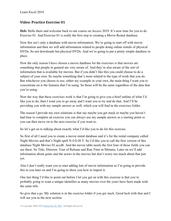### **Video: Practice Exercise 01**

**Deb:** Hello there and welcome back to our course on Access 2019. It's now time for you to do Exercise 01. And Exercise 01 is really the first step to creating a Movie Rental database.

Now this isn't only a database with movie information. We're going to start off with movie information and then we will add information related to people doing online rentals of physical DVDs. So not downloads but physical DVDs. And we're going to put a pretty simple database in place.

Now the only reason I have chosen a movie database for the exercises is that movies are something that people in general are very aware of. And they're also aware of the sort of information that is available for movies. But if you didn't like this you could choose to do a subject of your own. So maybe something that's more related to the type of work that you do. But whichever you choose to use, either my example or your own, the main thing I want you to concentrate on is the features that I'm using. So those will be the same regardless of the data that you're using.

Now the way that these exercises work is that I'm going to give you a brief outline of what I'd like you to do, then I want you to go away and I want you to try and do that. And I'll be providing you with my sample answer as well, which you will find in the exercises folder.

The reason I provide my own solutions is that say maybe you get stuck or maybe you haven't had time to complete an exercise you can always use my sample answer as a starting point so you can then move on to the next exercise if you want to.

So let's get on to talking about exactly what I'd like you to do for this exercise.

So first of all I need you to create a movie rental database and it's for the rental company called Night Movies and that's Night spelt N-I-G-H-T. So I'd like you to call the first version of this database Night Movies 01.accdb. And the movie table needs the first four of those fields you can see there. So Title, Director, Year of Release and Run Time in Minutes. Later on we'll add information about genre and the actors in the movies but don't worry too much about that just yet.

Also I don't really want you to start adding lots of movie information as I'm going to provide this to you later on and I'm going to show you how to import it.

One last thing I'd like to point out before I let you get on with this exercise is that you're probably going to want a unique identifier as many movies over the years have been made with the same title.

So give that a go. My solution is in the exercise folder if you get stuck. Good luck with that and I will see you in the next section.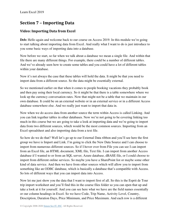# **Section 7 – Importing Data**

### **Video: Importing Data from Excel**

Deb: Hello again and welcome back to our course on Access 2019. In this module we're going to start talking about importing data from Excel. And really what I want to do is just introduce to you some basic ways of importing data into a database.

Now before we start, so far when we talk about a database we mean a single file. And within that file there are many different things. For example, there could be a number of different tables. And we've already seen how to create some tables and you could have a lot of different tables within your database.

Now it's not always the case that these tables will hold the data. It might be that you need to import data from a different source. So the data might be essentially external.

So we mentioned earlier on that when it comes to people booking vacations they probably book and then pay using their local currency. So it might be that there is a table somewhere where we look up the currency conversation rates. Now that might not be a table that we maintain in our own database. It could be on an external website or in an external service or in a different Access database somewhere else. And we really just want to import that data in.

Now when we do access data from another source the term within Access is called Linking. And you can link together tables in other databases. Now we're not going to be covering linking too much in this course but we are going to take a look at importing data and we're going to import data from two different sources, which would be the most common sources. Importing from an Excel spreadsheet and also importing data from a text file.

So how do we do that? Well let's go up to our External Data ribbon and you'll see here the first group we have is Import and Link. I'm going to click the New Data Source and I can choose to import from numerous different sources. So if I hover over from File you can see I can import from an Excel file, an HTML document, XML file, Text file. I can import from another Access database if I wanted to or from an SQL server, Azure database, dBASE file, or I could choose to import from different online services. So maybe you have a SharePoint list or maybe some other kind of data service. And then we have from other sources which will allow you to import from something like an ODBC database, which is basically a database that's compatible with Access. So lots of different ways that you can import data into Access.

Now let me just show you the data that I want to import first of all. So this is the Esprit de Tour trip import worksheet and you'll find this in the course files folder so you can open that up and take a look at it for yourself. And you can see here what we have are the field names essentially or our column headings in Excel. So we have Code, Trip Name, Activity Level, Country, Description, Duration Days, Price Minimum, and Price Maximum. And each row is a different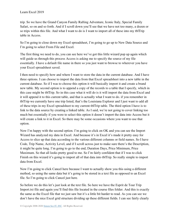trip. So we have the Grand Canyon Family Rafting Adventure, Iconic Italy, Special Family Safari, so on and so forth. And if I scroll down you'll see that we have not too many, a dozen or so trips within this file. And what I want to do is I want to import all of these into my tblTrip table in Access.

So I'm going to close down my Excel spreadsheet, I'm going to go up to New Data Source and I'm going to select From File and Excel.

The first thing we need to do, you can see here we've got this little wizard pop up again which will guide us through this process Access is asking me to specify the source of my file essentially. I have a default file name in there so you just want to browse to wherever you have your Excel spreadsheet saved.

I then need to specify how and where I want to store the data in the current database. And I have three options. I can choose to import the data from that Excel spreadsheet into a new table in the current database. So if I was to choose this option it will basically import it and create a brand new table. My second option is to append a copy of the records to a table that I specify, which in this case might be tblTrip. So in this case what it will do is it will import the data from Excel and it will append it to this current table, and that is actually what I want to do. if you remember in tblTrip we currently have one trip listed, that's the Louisiana Explorer and I just want to add all of these trips in my Excel spreadsheet to my current tblTrip table. The third option I have is to link to the data source by creating a linked table. As I said, we're not going to cover linking too much but essentially if you were to select this option it doesn't import the data into Access but it will create a link to it in Excel. So there may be some occasions where you want to use that option.

Now I'm happy with the second option. I'm going to click on OK and you can see the Import Wizard has analyzed my data in Excel. And because it's in Excel it's made it pretty easy for Access to slice up that data according to the various different columns or field names. So I have Code, Trip Name, Activity Level, and if I scroll across just to make sure there's the Description, it might be quite long. I'm going to go to the end, Duration Days, Price Minimum, Price Maximum. So that all looks pretty good to me. So I'm fairly confident that if I was to click Finish on this wizard it's going to import all of that data into tblTrip. So really simple to import data from Excel.

Now I'm going to click Cancel here because I want to actually show you this using a different method, so using the same data but it's going to be stored in a text file as opposed to an Excel file. So I'm going to click Cancel just here.

So before we do this let's just look at the text file. So here we have the Esprit de Tour Trip Import.txt file and again you'll find this file located in the course files folder. And this is exactly the same as the Excel file that we just saw but it's a little bit harder to read. As you can see we don't have the nice Excel grid structure dividing up these different fields. I can see fairly clearly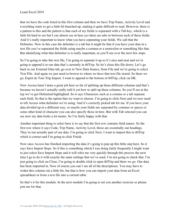that we have the code listed in this first column and then we have Trip Name, Activity Level and everything starts to get a little bit bunched up, making it quite difficult to read. However, there is a pattern to this and the pattern is that each of my fields is separated with a Tab key, which is a little bit hard to see but I can almost see in here yes there are tabs in between each of these fields. And it's really important to know what you have separating your fields. We call that the Delimiter. Now in this case the delimiter is a tab but it might be that if you have your data in a text file you've separated the fields using maybe a comma or a semicolon or something like that. But identifying what that delimiter is is really important, as you'll see over the next few steps.

So I'm going to take this text file, I'm going to separate it up so it's nice and neat and we're going to append it to our data that's currently in tblTrip. So let's close this file down. Let's go back to our External Data tab, go over to New Data Source, from File and we're going to select Text File. And again we just need to browse to where we have that text file stored. So there we go, Esprit de Tour Trip Import. I want to append to the bottom of tblTrip, click on OK.

Now Access hasn't done a great job here so far of splitting up these different columns and that's because we haven't actually really told it yet how to split up these columns. So you'll see at the top we've got Delimited highlighted. So it says Characters such as a comma or a tab separate each field. So that is the option that we want to choose. I'm going to click Next and we now need to tell Access what delimiter we're using. And it's correctly picked tab for me. If you have your data divided up in a different way, so maybe your fields are separated by commas or spaces or some other kind of character you can also specify those in here. But with Tab selected you can see now my data looks a lot neater. So I'm fairly happy with that.

Another important thing to select here is to say that the first row contains field names. So the first row where it says Code, Trip Name, Activity Level, those are essentially our headings. They're not actually part of our data. I'm going to click Next. I want to import this to tblTrip which is correct and I'm going to click Finish.

Now once Access has finished importing the data it's going to pop up this little step here. So it says Save Import Steps. So if this is something which I was doing fairly frequently I might want to just select Save Import Steps and it will whiz me very quickly through this process the next time I go to do it with exactly the same settings that we've used. I'm not going to check that. I'm just going to click on Close, I'm going to double click to open tblTrip and there we go. Our data has been imported in. Now of course you can't see all of the descriptions. You may have to widen this column out a little bit, but that is how you can import your data from an Excel spreadsheet or from a text file into a current table.

So that's it for this module. In the next module I'm going to set you another exercise so please join me for that.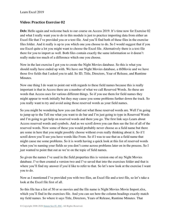### **Video: Practice Exercise 02**

**Deb:** Hello again and welcome back to our course on Access 2019. It's time now for Exercise 02 and what I really want you to do in this module is just to practice importing data from either an Excel file that I've provided you or a text file. And you'll find both of these files in the exercise files folder. And it really is up to you which one you choose to do. So I would suggest that if you use Excel quite a lot you might want to choose the Excel file. Alternatively there is a text file there for you to import as well. Both files contain exactly the same information so it doesn't really make too much of a difference which one you choose.

Now in the last exercise I got you to create the Night Movies database. So this is what you should really have ended up with. We have our Night Movies database, a tblMovie and we have those five fields that I asked you to add. So ID, Title, Directors, Year of Release, and Runtime Minutes.

Now one thing I do want to point out with regards to these field names because this is really important is that in Access there are a number of what we call Reserved Words. So these are words that Access uses for various different things. So if you use them for field names they might appear to work initially but they may cause you some problems further down the track. So you really want to try and avoid using those reserved words as your field names.

So you might be wondering how you can find out what those reserved words are. Well I'm going to jump up to the Tell me what you want to do bar and I'm just going to type in Reserved Words and I'm going to get help on reserved words and there you go. The first link says Learn about Access reserved words and symbols. And as we scroll down you can then see the list of all of the reserved words. Now some of these you would probably never choose as a field name but there are some in here that you might possibly choose without even really thinking about it. So if I scroll down you'll see you have words like From. So if I was to use that as a field name that might cause me some problems. So it is worth having a quick look at this list of reserved words when you're naming your fields so you don't come across problems later on in the process. So I just wanted to point that out as we're on the topic of field names.

So given the names I've used in the field properties this is version one of my Night Movies database. I've then created a version two and I've saved that into the exercises folder and that is where you'll find my answer if you'd like to refer to that. So let's now look at the exercise I want you to do.

Now as I mentioned I've provided you with two files, an Excel file and a text file, so let's take a look at the Excel file first of all.

So this file has a list of 50 or so movies and the file name is Night Movies Movie Import.xlsx, which you'll find in the exercises file. And you can see here the column headings exactly match my field names. So where it says Title, Directors, Years of Release, Runtime Minutes. That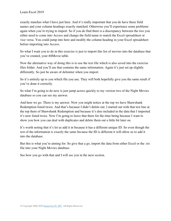exactly matches what I have just here. And it's really important that you do have these field names and your column headings exactly matched. Otherwise you'll experience some problems again when you're trying to import. So if you do find there is a discrepancy between the two you either need to come into Access and change the field name to match the Excel spreadsheet or vice versa. You could jump into here and modify the column heading in your Excel spreadsheet before importing into Access.

So what I want you to do in this exercise is just to import this list of movies into the database that you've created, your tblMovie table.

Now the alternative way of doing this is to use the text file which is also saved into the exercise files folder. And you'll see that contains the same information. Again it's just set up slightly differently. So just be aware of delimiter when you import.

So it's entirely up to you which file you use. They will both hopefully give you the same result if you've done it correctly.

So what I'm going to do now is just jump across quickly to my version two of the Night Movies database so you can see my answer.

And here we go. There is my answer. Now you might notice at the top we have Shawshank Redemption listed twice. And that's because I didn't delete out. I started out with that test line at the top there of Shawshank Redemption and because it's also included in the data that I imported it's now listed twice. Now I'm going to leave that there for the time being because I want to show you how you can deal with duplicates and delete them out a little bit later on.

It's worth noting that it's let us add it in because it has a different unique ID. So even though the rest of the information is exactly the same because the ID is different it will allow us to add it into the database.

But this is what you're aiming for. So give that a go, import the data from either Excel or the .txt file into your Night Movies database.

See how you go with that and I will see you in the next section.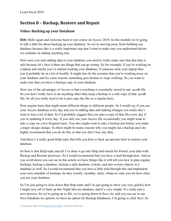# **Section 8 – Backup, Restore and Repair**

### **Video: Backing up your Database**

**Deb:** Hello again and welcome back to our course on Access 2019. In this module we're going to talk a little bit about backing up your database. So we're moving away from building our database because this is a really important step that I want to make sure you understand before we continue on adding anything else.

Now once you start adding data to your database you need to really make sure that that data is safe because let's face it there are things that can go wrong. So for example, if you're working on a laptop and maybe you've started creating your database, if someone stole your laptop then you'd probably be in a lot of trouble. It might also be the scenario that you're working away on your database and for some reasons something gets broken or stops working. So you want to make sure that you have a backup copy of your database.

Now one of the advantages of Access is that everything is essentially stored in one .accdb file. So you don't really have to do anything other than keep a backup or a safe copy of that .accdb file. So all you really need to do is just copy the file on a regular basis.

Now regular basis that might mean different things to different people. So I would say if you use your Access database every day and you're adding data and making changes you really don't want to lose a lot of data. So I'd probably suggest that you take a copy of that file every day if you're updating it every day. If you only use your Access file occasionally you might want to take a copy on a less frequent basis. You also might want to take a backup just before you make a major design change. So there might be many reasons why you might run a backup and I do highly recommend that you do do this so that you don't lose any data.

And there's a really good Help topic that tells you how to back up and also how to restore your database.

So here is that Help topic and all I've done is go into Help and search for Protect your data with Backup and Restore processes. So I would recommend that you have a read through here. And as you scroll down you can see in this article we have things like it will tell you how to plan regular backups, backup a database, backup a split database, restore, and also restore objects in a database as well. So I would recommend that you have a little read through this and implement your own schedule of backups, be they weekly, monthly, daily, whatever suits you for how often you use your database.

So I'm just going to close down that Help topic and I'm just going to show you very quickly how I might save off or back up this Night Movies database, and it's very simple. It's really just a save process. So we're going up to file, we're going down to Save As, and you can see in our Save Database As options we have an option for Backup Databases. I'm going to click Save As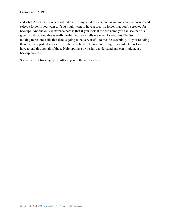and what Access will do is it will take me to my local folders, and again you can just browse and select a folder if you want to. You might want to have a specific folder that you've created for backups. And the only difference here is that if you look at the file name you can see that it's given it a date. And this is really useful because it tells me when I saved this file. So if I'm looking to restore a file that date is going to be very useful to me. So essentially all you're doing there is really just taking a copy of the .accdb file. So nice and straightforward. But as I said, do have a read through all of those Help options so you fully understand and can implement a backup process.

So that's it for backing up. I will see you in the next section.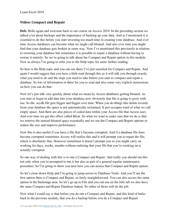### **Video: Compact and Repair**

**Deb:** Hello again and welcome back to our course on Access 2019. In the preceding section we talked a lot about backups and the importance of backing up your data. And as I mentioned it is essential to do this before you start investing too much time in creating your database. And over time Access databases can become what we might call bloated. And also over time you might find that your database gets broken in some way. Now I've mentioned this previously in relation to restoring your database but sometimes it is possible to repair a database without having to restore it entirely. So we're going to talk about the Compact and Repair option in this module. Now as always I'm going to refer you to the Help topic for some further reading.

So here is the Help topic and you can see there I've just searched for Compact and Repair. And again I would suggest that you have a little read through this as it will talk you through exactly what you need to do and the steps you need to take before you start to compact and repair a database. So lots of information in there for you to read and also some very explicit instructions on how you can do that.

Now let's just talk very quickly about what we mean by Access databases getting bloated. As you start or begin to add data into your database now obviously that file is going to grow with use. So the .accdb file gets bigger and bigger over time. When you do things like delete records from your database the space is not automatically reclaimed. It just occupies kind of what we call empty space. And there are also pieces of coded data within your Access file that Access uses. And over time we get this effect called Bloat. So what we want to make sure that we do is that we remove the unused bloated space essentially and we use the Compact and Repair options to reduce the size and improve performance.

Now this is also useful if you have a file that's become corrupted. And if a database file does become corrupted sometimes Access will realize this and it will prompt you to repair the file, which is absolutely fine. However sometimes it doesn't prompt you so you might carry on working for days, weeks, months without realizing that your file that you're working on is actually corrupted.

So one way of dealing with this is to run a Compact and Repair. And really you should run this not only when you're prompted to run it but also as part of a general regular maintenance procedure. So I'm going to show you now how you can access that Compact and Repair option.

So let's close down Help and I'm going to jump across to Database Tools. And you'll see the first option there is Compact and Repair, so fairly straightforward. You can also access the same option in the backstage area. So let's go up to File and you can see on the Info tab we also have the same Compact and Repair Database button. So either of those will do the job.

Now what I would say is that before you do run a Compact and Repair, and this kind of harks back to the previous module, that you do a backup before you do a Compact and Repair.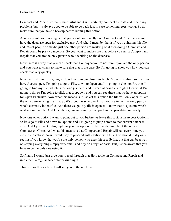Compact and Repair is usually successful and it will certainly compact the data and repair any problems but it's always good to be able to go back just in case something goes wrong. So do make sure that you take a backup before running this option.

Another point worth noting is that you should only really do a Compact and Repair when you have the database open for exclusive use. And what I mean by that is if you're sharing this file and lots of people or maybe just one other person are working on it then doing a Compact and Repair could be pretty dangerous. So you want to make sure that before you run a Compact and Repair that you are the only person who's working on the database.

Now there is a way that you can check that. So maybe you're not sure if you are the only person and you want to check to make sure that that is the case. So I'm going to show you how you can check that very quickly.

Now the first thing I'm going to do is I'm going to close this Night Movies database so that I just have Access open. I'm going to go to File, down to Open and I'm going to click on Browse. I'm going to find my file, which is this one just here, and instead of doing a straight Open what I'm going to do, so I'm going to click that dropdown and you can see there that we have an option for Open Exclusive. Now what this means is if I select this option the file will only open if I am the only person using that file. So it's a good way to check that you are in fact the only person who's currently in that file. And there we go. My file is open so I know that it's just me who's working in this file. And I can then go in and run my Compact and Repair database safely.

Now one other option I want to point out to you before we leave this topic is in Access Options, so let's go to File and down to Options and I'm going to jump across to that current database area. And I just want to highlight to you this option just here in the middle of the screen, Compact on Close. And what this means is that Compact and Repair will run every time you close the database. Now I would say to proceed with caution with this. You should really only set this if you know that you're the only person who uses this .accdb file, but that can be a way of keeping everything simply very small and tidy on a regular basis. But just be aware that you have to be the only one using it.

So finally I would just urge you to read through that Help topic on Compact and Repair and implement a regular schedule for running it.

That's it for this section. I will see you in the next one.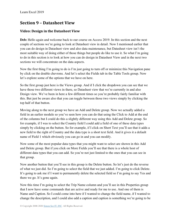# **Section 9 – Datasheet View**

# **Video: Design in the Datasheet View**

**Deb:** Hello again and welcome back to our course on Access 2019. In this section and the next couple of sections we're going to look at Datasheet view in detail. Now I mentioned earlier that you can do design in Datasheet view and also data maintenance, but Datasheet view isn't the most suitable way of doing either of those things but people do like to use it. So what I'm going to do in this section is to look at how you can do design in Datasheet View and in the next two sections we will concentrate on the data aspects.

Now the first thing I'm going to do is I'm just going to turn off or minimize this Navigation pane by click on the double chevrons. And let's select the Fields tab in the Table Tools group. Now let's explore some of the options that we have on here.

So the first group just here is the Views group. And if I click the dropdown you can see that we have those two different views in there, so Datasheet view that we're currently in and also Design view. We've been in here a few different times so you're probably fairly familiar with this. But just be aware also that you can toggle between those two views simply by clicking the top half of that button.

Moving along to the next group we have an Add and Delete group. Now we actually added a field in an earlier module so you've seen how you can do that using the Click to Add at the end of the columns but I could do this a slightly different way using this Add and Delete group. So for example, if I was to select the Country field I could add a field of one of these data types simply by clicking on the button. So for example, if I click on Short Text you'll see that it adds a new field to the right of Country and the data type is a short text field. And it gives it a default name of Field 1 which obviously you can go in and you can modify.

Now some of the most popular data types that you might want to select are shown in this Add and Delete group. But if you click on More Fields you'll see that there is a whole host of different data types that you can add. So you're not just limited to the ones that you can see in that group.

Now another button that you'll see in this group is the Delete button. So let's just do the reverse of what we just did. So I'm going to select the field that we just added. I'm going to click Delete. It's going to ask me if I want to permanently delete the selected field so I'm going to say Yes and there we go. It's gone again.

Now this time I'm going to select the Trip Name column and you'll see in this Properties group that I now have some commands that are active and ready for me to use. And one of them is Name and Caption. So I could come into here if I wanted to change the field name, if I wanted to change the description, and I could also add a caption and caption is something we're going to be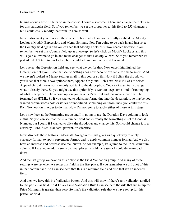talking about a little bit later on in the course. I could also come in here and change the field size for this particular field. So if you remember we set the properties to this field to 255 characters but I could easily modify that from up here as well.

Now I also want you to notice these other options which are not currently enabled. So Modify Lookups, Modify Expression, and Memo Settings. Now I'm going to go back in and just select the Country field again and you can see that Modify Lookups is now enabled because if you remember we set this Country field up as a lookup. So let's click on Modify Lookups and this will again allow me to go in and make changes to that Lookup Wizard. So if you remember we just added U.S.A. into our lookup but I could add in more in there if I wanted to.

Let's select the Description field and see what we get for that. Now once I highlighted the Description field you'll see that Memo Settings has now become available for me to select. And we haven't looked at Memo Settings at all in this course so far. Now if I click the dropdown you'll see that there's two options there, Append Only and Rich Text. Now if I was to select Append Only it means you can only add text to the description. You can't essentially change what's already there. So you might use this option if you want to keep some kind of running log of what's happened. The second option you have is Rich Text and this means that it will be formatted as HTML. So if you wanted to add some formatting into the description, so maybe you wanted certain words bold or italics or underlined, something on those lines, you could use this Rich Text option in order to do that. Now I'm not going to apply either of those at this stage.

Let's now look at the Formatting group and I'm going to use the Duration Days column to look at this. So you can see that this is a number field and currently the formatting is set to General Number, but I could if I wanted to click the dropdown and change this. So I could change it to a currency, Euro, fixed, standard, percent, or scientific.

Now also note these buttons underneath. So again this just gives us a quick way to apply currency format, to apply percentage format, and to apply common number format. And we also have an increase and decrease decimal button. So for example, let's jump to the Price Minimum column. If I wanted to add in some decimal places I could increase or I could decrease back down.

And the last group we have on this ribbon is the Field Validation group. And many of these settings were set when we setup this field in the first place. If you remember we did a lot of this in that bottom pane. So I can see here that this is a required field and also that it's an indexed field.

And then we have this big Validation button. And this will show if there's any validation applied to this particular field. So if I click Field Validation Rule I can see here the rule that we set up for Price Minimum is greater than zero. So that's the validation rule that we have set up for this particular field.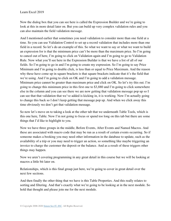Now the dialog box that you can see here is called the Expression Builder and we're going to look at this in more detail later on. But you can build up very complex validation rules and you can also maintain the field validation message.

And I mentioned earlier that sometimes you need validation to consider more than one field at a time. So you can use Validation Control to set up a record validation that includes more than one field in a record. So let's do an example of this. So what we want to say or what we want to build an expression for is that the minimum price can't be more than the maximum price. So I'm going to cancel out of here, I'm going to click on Validation again and I'm going to go to Validation Rule. Now what you'll see here in the Expression Builder is that we have a list of all of our fields. So I'm going to go in and I'm going to create my expression. So I'm going to say Price Minimum and I'm going to double click, is less than or equal to Price Maximum. And the reason why these have come up in square brackets is that square brackets indicate that it's the field that we're using. And I'm going to click on OK and I'm going to add a validation message. Minimum price cannot be greater than maximum price and click on OK. So let's try this out. I'm going to change this minimum price in this first one to \$3,880 and I'm going to click somewhere else in the column and you can see there we are now getting that validation message pop up so I can see that that validation that we've added is kicking in, it is working. Now I'm actually going to change this back so I don't keep getting that message pop up. And when we click away this time obviously we don't get that validation message.

So now let's move on to taking a look at the other tab that we underneath Table Tools, which is this one here, Table. Now I'm not going to focus or spend too long on this tab but there are some things that I'd like to highlight to you.

Now we have three groups in the middle, Before Events, After Events and Named Macros. And these are associated with macro code that may be run as a result of certain events occurring. So if someone makes a booking you may need other information in the database to update, such as the availability of a trip or you may need to trigger an action, so something like maybe triggering an invoice to charge the customer the deposit or the balance. And as a result of these triggers other things may happen.

Now we aren't covering programming in any great detail in this course but we will be looking at macros a little bit later on.

Relationships, which is this final group just here, we're going to cover in great detail over the next few sections.

And then finally the other thing that we have is this Table Properties. And this really relates to sorting and filtering. And that's exactly what we're going to be looking at in the next module. So hold that thought and please join me for the next module.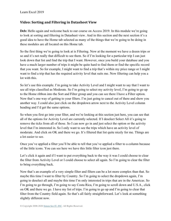#### **Video: Sorting and Filtering in Datasheet View**

Deb: Hello again and welcome back to our course on Access 2019. In this module we're going to look at sorting and filtering in Datasheet view. And in this section and the next section it's a good idea to have the Home tab selected as many of the things that we're going to be doing in these modules are all located on this Home tab.

So the first thing we're going to look at is Filtering. Now at the moment we have a dozen trips or so and it's not really that difficult to see them. So if I'm looking for a particular trip I can just look down that list and find the trip that I want. However, once you build your database and you have a much larger number of trips it might be quite hard to find them or find the specific record that you want. So for example, I might want to find a trip that's within my price range or I might want to find a trip that has the required activity level that suits me. Now filtering can help you a lot with this.

So let's use this example. I'm going to take Activity Level and I might want to say that I want to see all trips classified as Moderate. So I'm going to select my activity level, I'm going to go up to the Home ribbon into the Sort and Filter group and you can see there I have a Filter option. Now that's one way of getting to your filters. I'm just going to cancel out of there and show you another way. I could also just click on the dropdown arrow next to the Activity Level column heading and I'd get the same options.

So when you first go into your filter, and we're looking at this section just here, you can see that all of the options for Activity Level are currently selected. If I deselect Select All it's going to remove the ticks from all of those. So I can now go in and just select the option or the activity level that I'm interested in. So I only want to see the trips which have an activity level of moderate. And click on OK and there we go. It's filtered that list quite nicely for me. Things are a lot easier to see.

Once you've applied a filter you'll be able to tell that you've applied a filter to a column because of the little icons. You can see here we have this little filter icon just there.

Let's click it again and if I want to put everything back to the way it was I could choose to clear the filter from Activity Level or I could choose to select all again. So I'm going to clear the filter to bring everything back.

Now that's an example of a very simple filter and filters can be a lot more complex than that. So maybe this time I want to filter by Country. So I'm going to select the dropdown again, I'm going to deselect all and maybe this time I'm only interested in trips that are in the Americas. So I'm going to go through, I'm going to say Costa Rica, I'm going to scroll down and U.S.A., click on OK and there we go. I have my list of trips. I'm going to go up and I'm going to clear that filter from the Country field again. So that's all fairly straightforward. Let's look at something slightly different now.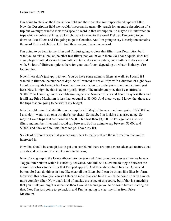I'm going to click on the Description field and there are also some specialized types of filter. Now the Description field we wouldn't necessarily generally search for an entire description of a trip but we might want to look for a specific word in that description. So maybe I'm interested in trips which involve trekking. So I might want to look for the word Trek. So I'm going to go down to Text Filters and I'm going to go to Contains. And I'm going to say Description contains the word Trek and click on OK. And there we go. I have one record.

I'm going to go back to my filter and I'm just going to clear that filter from Description but I want you to take a look at the other text filters that you have in there. So I have equals, does not equal, begins with, does not begin with, contains, does not contain, ends with, and does not end with. So lots of different options there for your text filters, depending on what it is that you're looking for.

Now filters don't just apply to text. You do have some numeric filters as well. So I could if I wanted to filter on the number of days. So if I wanted to see all trips with a duration of eight days I could say equals to eight but I want to draw your attention to the price maximum column just here. Now it might be that I say to myself, "Right. The maximum price that I can afford is \$3,000." So I could go into Price Maximum, go into Number Filters and I could say less than and it will say Price Maximum is less than or equal to \$3,000. And there we go. I know that those are the trips that are going to be within my budget.

Now I could make that slightly more complicated. Maybe I have a maximum price of \$3,000 but I also don't want to go on a trip that's too cheap. So maybe I'm looking at a price range. So maybe I want trips that are more than \$2,000 but less than \$3,000. So let's go back into our filters and number filter and I could say between. So I'm going to say between \$2,000 and \$3,000 and click on OK. And there we go. I have my list.

So lots of different ways that you can use filters to really pull out the information that you're interested in.

Now that should be enough just to get you started but there are some more advanced features that you should be aware of when it comes to filtering.

Now if you go up to the Home ribbon into the Sort and Filter group you can see here we have a Toggle Filter button which is currently activated. And this will allow me to toggle between the entire list or back to the filter that I've just applied. And then above that I have an Advanced button. So I can do things in here like clear all the filters, but I can do things like filter by form. Now with this option you can set filters on more than one field at a time to come up with a much more complex filter. Now that's kind of outside the scope of this course but if that is something that you think you might want to use then I would encourage you to do some further reading on that. Now I'm just going to go back in and I'm just going to clear my filter from Price Maximum.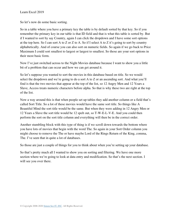So let's now do some basic sorting.

So in a table where you have a primary key the table is by default sorted by that key. So if you remember the primary key in our table is that ID field and that is what this table is sorted by. But if I wanted to sort by say Country, again I can click the dropdown and I have some sort options at the top here. So I can sort A to Z or Z to A. So if I select A to Z it's going to sort by country alphabetically. And of course you can also sort on numeric fields. So again if we go back to Price Maximum I could sort smallest to largest or largest to smallest. So those are your sort options in their most basic form.

Now I've just switched across to the Night Movies database because I want to show you a little bit of a problem that can occur and how we can get around it.

So let's suppose you wanted to sort the movies in this database based on title. So we would select the dropdown and we're going to do a sort A to Z or an ascending sort. And what you'll find is that the two movies that appear at the top of the list, so 12 Angry Men and 12 Years a Slave, Access treats numeric characters before alpha. So that is why these two are right at the top of the list.

Now a way around this is that when people set up tables they add another column or a field that's called Sort Title. So a lot of these movies would have the same sort title. So things like A Beautiful Mind the sort title would be the same. But when they were adding in 12 Angry Men or 12 Years a Slave the sort title would be 12 spelt out, so T-W-E-L-V-E. And you could then perform the sort on the sort title column and everything will then be in the correct order.

Another stumbling block with this type of thing is if we scroll down towards the bottom where you have lots of movies that begin with the word The. So again in your Sort Order column you might choose to remove the The or have maybe Lord of the Rings Return of the King, comma, The. I've seen that in quite a lot of databases.

So those are just a couple of things for you to think about when you're setting up your database.

So that's pretty much all I wanted to show you on sorting and filtering. We have one more section where we're going to look at data entry and modification. So that's the next section. I will see you over there.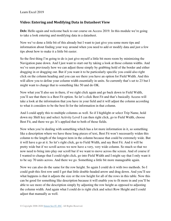### **Video: Entering and Modifying Data in Datasheet View**

**Deb:** Hello again and welcome back to our course on Access 2019. In this module we're going to take a look entering and modifying data in a datasheet.

Now we've done a little bit of this already but I want to just give you some more tips and information about finding your way around when you need to add or modify data and just a few tips about how to make it a little bit easier.

So the first thing I'm going to do is just give myself a little bit more room by minimizing the Navigation pane down. And I just want to start out by taking a look at those column widths. And we've seen previously how we can adjust those simply by grabbing hold of the border and either dragging in or dragging out. But if you want it to be particularly specific you could also right click on the column heading and you can see there you have an option for Field Width. And this will allow you to define your column width essentially in units. So currently that's set to 23 but I might want to change that to something like 50 and do OK.

Now what you'll also see in there, if we right click again and go back down to Field Width, you'll see that there is a Best Fit option. So let's click Best Fit and that's basically Access will take a look at the information that you have in your field and it will adjust the column according to what it considers to be the best fit for the information in that column.

And I could apply this to multiple columns as well. So if I highlight or select Trip Name, hold down my Shift key and select Activity Level I can then right click, go to Field Width, choose Best Fit, and there we go. It's applied that to both of those fields.

Now when you're dealing with something which has a lot more information in it, so something like a description where we have these long pieces of text, Best Fit won't necessarily widen this column to the length of the longest item in the column because that could be extremely wide. But it will have a go at it. So let's right click, go to Field Width, and say Best Fit. And it will be pretty wide but if we scroll across we now have a very, very wide column. So much so that we now need to bring into play our scroll bar if we want to move across the screen. And of course if I wanted to change that I could right click, go into Field Width and I might say that I only want it to be say 70 units across. And there we go. Something a little bit more manageable again.

Now we can also do the same for the row height. So again I could do it with two methods. So I could grab this first row until I get that little double-headed arrow and drag down. And you'll see what happens is that it adjusts the size or the row height for all of the rows in this table. Now this can be good for something like description because it will enable you to fit more in and you'll be able to see more of the description simply by adjusting the row height as opposed to adjusting the column width. And again what I could do is right click and select Row Height and I could adjust that manually as well.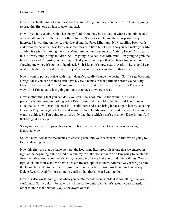Now I'm actually going to put these back to something like they were before. So I'm just going to drag this first one up just to take that back.

Now if you have a table which has many fields there may be a situation where you only need to see a small number of the fields or the columns. So for example, maybe your particularly interested in working on the Activity Level and the Price Minimum. Now scrolling backwards and forwards between these two can sometimes be a little bit of a pain so you can make your life a little bit easier by moving the Price Minimum column over next to Activity Level. And again this is a very simple drag and drop. So I'm going to select Price Minimum, I'm going to grab the header row and I'm just going to drag it. And you can see I get that big black line which is showing me where it's going to be placed. So if I let go it's now next to Activity Level and I can work on both of these side by side. So just be aware that you can also do that as well.

Now I want to point out that with that it doesn't actually change the design. So if we go back into Design view you can see that I still have my field names in that particular order. So Activity Level is still there and Price Minimum is just there. So it only really changes it in Datasheet view. And I'm actually just going to move that back to where it was.

Now another thing that you can do is you can hide a column. So for example if I wasn't particularly interested in looking at the Description field I could right click and I could select Hide Fields. Now it hasn't deleted it. It's still there and I can bring it back again just by selecting Duration Days and right clicking and saying Unhide Fields. And it will ask me which columns I want to unhide. So I'm going to say the only one there which hasn't got a tick, Description. And that brings it back again.

So again these are all tips on how you can become really efficient when you're working in Datasheet view.

So let's now look at the mechanics of entering data into your datasheet. So first we're going to look at deleting records.

Now this first trip that we have up here, the Louisiana Explorer, this is one that we entered in right at the beginning but it's kind of a dummy trip. It's not a real trip so I'm going to delete that from my table. And again there's always a couple of ways that you can do these things. We can right click our mouse and we have a Delete Record option in there. Alternatively if we go up to the Home tab and into the Records group we have a Delete option just there. So I could say Delete Record. And I'm just going to confirm that that's what I want to do.

Now it's also worth noting that when you delete records from a table it is something that you can't undo. So I wouldn't be able to click the Undo button, in fact it's actually deactivated, in order to undo that deletion. So just be aware of that.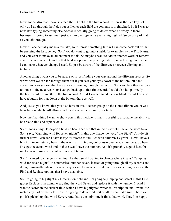Now notice also that I have selected the ID field in the first record. If I press the Tab key not only do I go through the fields but as I enter each field the contents is highlighted. So if I was to now start typing something else Access is actually going to delete what's already in there because it's going to assume I just want to overtype whatever is highlighted. So be wary of that as you tab through.

Now if I accidentally make a mistake, so if I press something like X I can come back out of that by pressing the Escape key. So if you do want to go into a field, for example say the Trip Name, and you want to make an amendment to this. So maybe I want to add in another word or remove a word, you must click within that field as opposed to pressing Tab. So now I can go in here and I can make whatever change I need. So just be aware of the difference between clicking and tabbing.

Another thing I want you to be aware of is just finding your way around the different records. So we've seen we can tab through them but if you cast your eyes down to the bottom left hand corner you can see we also have a way of moving through the record. So I can click these arrows to move to the next record or I can go back up to that first record. I could also jump directly to the last record or directly to the first record. And if I wanted to add a new blank record I do also have a button for that down at the bottom there as well.

And just so you know, that you also have in this Records group on the Home ribbon you have a New button which will allow you to add a new record into your table.

Now the final thing I want to show you in this module is that it's useful to also have the ability to be able to find and replace data.

So if I look at my Description field up here I can see that in this first field I have the word Seven. So it says, "Camping wild for seven nights". In this one I have the word "the Big 6". A little bit further down I can see I have it says "Tailored to families with children 13 years." Now I have a bit of an inconsistency here in the way that I'm typing out or using numerical numbers. So here I've got the actual word and in these two I have the number. And it's probably a good idea for me to make those consistent across my database.

So if I wanted to change something like that, so if I wanted to change where it says "Camping wild for seven nights" to a numerical number seven, instead of going through all my records and doing it manually where it's very easy for me to make a mistake or miss something I can use the Find and Replace options that I have available.

So I'm going to highlight my Description field and I'm going to jump up and select in this Find group Replace. I'm going to say find the word Seven and replace it with the number 7. And I want to search in the current field which I have highlighted which is Description and I want it to match any part of the field. Now I'm going to do a Find first of all just to make sure. There we go. It's picked up that word Seven. And that's the only time it finds that word. Now I'm happy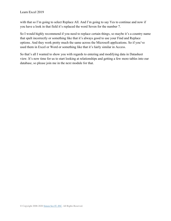with that so I'm going to select Replace All. And I'm going to say Yes to continue and now if you have a look in that field it's replaced the word Seven for the number 7.

So I would highly recommend if you need to replace certain things, so maybe it's a country name that spelt incorrectly or something like that it's always good to use your Find and Replace options. And they work pretty much the same across the Microsoft applications. So if you've used them in Excel or Word or something like that it's fairly similar in Access.

So that's all I wanted to show you with regards to entering and modifying data in Datasheet view. It's now time for us to start looking at relationships and getting a few more tables into our database, so please join me in the next module for that.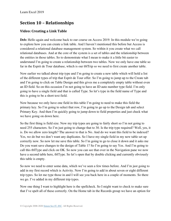# **Section 10 – Relationships**

# **Video: Creating a Link Table**

Deb: Hello again and welcome back to our course on Access 2019. In this module we're going to explore how you can create a link table. And I haven't mentioned this before but Access is considered a relational database management system. So within it you create what we call relational databases. And at the core of the system is a set of tables and the relationship between the entities in those tables. So to demonstrate what I mean to make it a little bit easier to understand I'm going to create a relationship between two tables. Now we only have one table so far in the Esprit de Tour database, which is our tblTrip so we need to first create another table.

Now earlier we talked about trip type and I'm going to create a new table which will hold a list of the different types of trip that Esprit de Tour offer. So I'm going to jump up to the Create tab and I'm going to click on Table Design and this gives me a completely empty table without even an ID field. So on this occasion I'm not going to have an ID auto number type field. I'm only going to have a single field and that is called Type. So let's type in the field name of Type and this is going to be a short text field.

Now because we only have one field in this table I'm going to need to make this field the primary key. So I'm going to select that row, I'm going to go up to the Design tab and select Primary Key. And then I'm quickly going to jump down to field properties and just check what we have going on down here.

So the first thing is field size. Now my trip types are going to fairly short so I'm not going to need 255 characters. So I'm just going to change that to 30. Is the trip type required? Well, yes, it is. Do we allow zero length? The answer to that is No. And do we want this field to be indexed? Yes, we do but we don't want any duplicates. So I have my single field in my new table set up correctly now. So now let me save this table. So I'm going to go to close it down and it asks me Do you want save changes to the design of Table 1? So I'm going to say Yes. And I'm going to call this tblType and click on OK. So now you can see that over in the Navigation pane we now have a second table here, tblType. So let's open that by double clicking and currently obviously this table is empty.

So now we need to enter some data, which we've seen a few times before. And I'm just going to add in my first record which is Activity. Now I'm going to add in about seven or eight different trip types. So let me type those in and I will see you back here in a couple of moments. So there we go. I've added in my different trip types.

Now one thing I want to highlight here is the spellcheck. So I might want to check to make sure that I've spelt all of these correctly. On the Home tab in the Records group we have an option for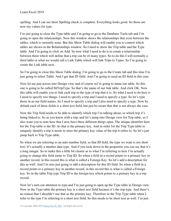spelling. And I can see there Spelling check is complete. Everything looks good. So those are now my values for type.

I'm just going to close the Type table and I'm going to go to the Database Tools tab and I'm going to open the relationships. Now this window shows the relationships that exist between the tables, which is currently none. But this Show Table dialog will enable you to control which tables are shown in the Relationships window. So I need to show the Trip table and the Type table. And I'm going to click on Add. So now what I need to do is to create a relationship between them which will define that a trip can be of many types. So to do this I will normally a third table or what we would call a Link Table which will link Trips to Types. So I'm going to create the Link table next.

So I'm going to close this Show Table dialog, I'm going to go to the Create tab and this time I'm just going to select Table. And I get that ID field. And I'm going to need an ID field in this case.

Now let me just across into Design view and of course we're going to name our table. So this one is going to be called tblTripType. So that's the name of our link table. And click OK. Now this table will enable you to link each trip to the type of trip that it is. So what I need to do here is I need to specify two things. I need to specify a trip and I need to specify a type. So let's type those in as our field names. So I need to specify a trip and I also need to specify a type. Now by default each of these fields is a short text field, but just be aware that that is not always the case.

Now the Trip field needs to be able to identify which trip I'm talking about, so which trip it's being linked to. So as you know with a trip, and let's jump into Design view for Trip table, so I also want you to note here that I now have three different things open. The unique identifier here for the Trip table is the ID. So that is the primary key. And in order for the Trip Type table to uniquely identify a trip it needs to store the primary key value of the trip it refers to. So let's just jump back to Trip Type table.

So when we are referring to an auto number field, so that ID field, the type we want is not short text. It's actually a number data type. And if you look down in the properties you can see that it's a long integer. So to make this a little bit clearer as to what I'm referring to here I'm actually going to change this field name to Trip ID. So when a field in a record points to a primary key in another record, in this record this is what is called a Foreign Key. So let's add a description for this as well. And I'm also just going to add a description for this ID field. So when a field in a record points to a primary key in another record, in this record this is what is called a Foreign key. So in the table Trip type Trip ID is the foreign key which points to a primary key in a trip record.

Now let's turn our attention to type and I'm just going to open up the Type table in Design view. Now in the Type table the primary key is a short text field because it's the trip type. And there's no reason that I shouldn't use that as the primary key. Therefore in the Trip Type table when I refer to the type I'm referring to a short text field. So this needs to be short text as well. I'm just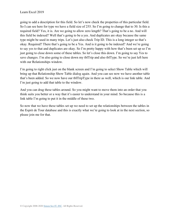going to add a description for this field. So let's now check the properties of this particular field. So I can see here for type we have a field size of 255. So I'm going to change that to 30. Is this a required field? Yes, it is. Are we going to allow zero length? That's going to be a no. And will this field be indexed? Well that's going to be a yes. And duplicates are okay because the same type might be used in many trips. Let's just also check Trip ID. This is a long integer so that's okay. Required? There that's going to be a Yes. And is it going to be indexed? And we're going to say yes to that and duplicates are okay. So I'm pretty happy with how that's been set up so I'm just going to close down some of these tables. So let's close this down. I'm going to say Yes to save changes. I'm also going to close down my tblTrip and also tblType. So we're just left here with our Relationships window.

I'm going to right click just on the blank screen and I'm going to select Show Table which will bring up that Relationship Show Table dialog again. And you can see now we have another table that's been added. So we now have our tblTripType in there as well, which is our link table. And I'm just going to add that table to the window.

And you can drag these tables around. So you might want to move them into an order that you think suits you better or a way that it's easier to understand in your mind. So because this is a link table I'm going to put it in the middle of these two.

So now that we have these tables set up we need to set up the relationships between the tables in the Esprit de Tour database and this is exactly what we're going to look at in the next section, so please join me for that.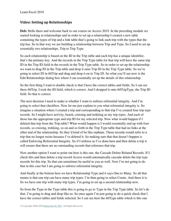#### **Video: Setting up Relationships**

**Deb:** Hello there and welcome back to our course on Access 2019. In the preceding module we started looking at relationships and in order to set up a relationship I created a new table containing the types of trip and a link table that's going to link each trip with the types that the trip has. So in that way we are building a relationship between Trip and Type. So I need to set up essentially two relationships, Trip to Trip Type.

So each relationship is based on the ID in the Trip table and each trip has a unique identifier, that's the primary key. And the records in the Trip Type table for that trip will have the same trip ID in the Trip ID field in the records in the Trip Type table. So in order to set up the relationship we want to drag ID in the Trip table and drop it onto Trip ID in the Trip Type table. So we're going to select ID in tblTrip and drag and drop it on to Trip ID. So what you'll see now is the Edit Relationships dialog box where I can essentially set up the details of this relationship.

So the first thing I want to double check is that I have the correct tables and fields. So I can see there tblTrip. I took the ID field, which is correct. And I dropped it onto tblTripType, the Trip ID field. So that is correct.

The next decision I need to make is whether I want to enforce referential integrity. And I'm going to select that checkbox. Now let me just explain to you what referential integrity is. So imagine a situation where I created a trip and corresponding to that trip I've created four trip type records. So I might have activity, beach, cruising and trekking as my trip types. And each of those has the appropriate type and trip ID for my selected trip. Now what would happen if I deleted that trip from the Trip table? What would happen is I would essentially end up with four records, so cruising, trekking, so on and so forth in the Trip Type table that had no links at the other end of the relationship. So they'd kind of be like orphans. Those records would refer to a trip that no longer exists because I've deleted it. So making sure that that doesn't happen is called Enforcing Referential Integrity. So if I enforce as I've done here and then delete a trip it will ensure that there are no outstanding records that reference that trip.

Now another option I want to point out here is this one, the Cascade Delete Related Records. If I check this and then delete a trip record Access would automatically cascade delete the trip type records for this trip. So that can sometimes be useful to you as well. Now I'm not going to do that in this case but I am going to enforce referential integrity.

And finally at the bottom here we have Relationship Type and it says One to Many. So all that means is that one trip can have many trip types. I'm then going to select Create. And there it is. So we have one trip with many trip types. I'm going to set up a second relationship now.

So from the Type in the Type table this is going to go to Type in the Trip Type table. So let's do that. I'm going to drag and drop like so. So once again I'm just going to do a quick check that I have the correct tables and fields selected. So I can see here the tblType table which is this one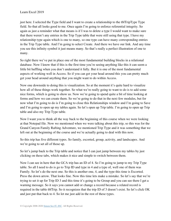just here. I selected the Type field and I want to create a relationship to the tblTripType Type field. So that all looks good to me. Once again I'm going to enforce referential integrity. So again as just a reminder what that means is if I was to delete a type I would want to make sure that there weren't any entries in the Trip Type table that were still using that type. I have my relationship type again which is one to many, so one type can have many corresponding entries in the Trip Type table. And I'm going to select Create. And there we have our link. And any time you see this infinity symbol it just means many. So that's really a perfect illustration of one to many.

So right there we've put in place one of the most fundamental building blocks in a relational database. Now I know that if this is the first time you're seeing anything like this it can seem a little bit baffling when you don't understand it fully. But it is one of the most fundamental aspects of working well in Access. So if you can get your head around this you can pretty much get your head around anything that you might want to do within Access.

Now one downside to doing this is visualization. So at the moment it's quite hard to visualize how all of these things work together. So what we're really going to want to do is to add some nice forms, which is going to show us. Now we're going to spend quite a bit of time looking at forms and how we can create them. So we're going to do that in the next few modules, but for now what I'm going to do is I'm going to close this Relationships window and I'm going to Save and I'm going to open up my tables again. So let's open up Trip table. I'm going to open up Trip table and also my Trip Type table.

Now I want you to think all the way back to the beginning of this course when we were looking at that Notepad file. Now we mentioned when we were talking about this trip, so this was for the Grand Canyon Family Rafting Adventure, we mentioned Trip Type and it was something that we left out at the beginning of the course and we're actually going to deal with this now.

So this trip has five different types. So family, escorted, group, activity, and landscapes. And we're going to set all of those up.

So let's jump back to the Trip table and notice that I can just jump between my tables by just clicking on these tabs, which makes it nice and simple to switch between them.

Now I can see in here that the GCA trip has an ID of 4. So I'm going to jump to my Trip Type table. So all I need to do is go to Trip ID and type in 4 and a type of, well one of them was Family. So let's do the next one. So this is another one, 4, and the type this time is Escorted. Press the down arrow. That looks fine. Now this time lets make a mistake. So let's say that we're trying to set it up for Trip ID 3 and this time it's going to be Group and you can see there I get a warning message. So it says you cannot add or change a record because a related record is required in the table tblTrip. So it recognizes that the trip ID of 3 doesn't exist. So let's click OK and just put that back to 4. So let me just add in the rest of these types.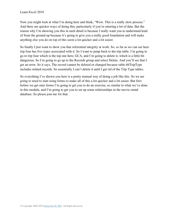Now you might look at what I'm doing here and think, "Wow. This is a really slow process." And there are quicker ways of doing this, particularly if you're entering a lot of data. But the reason why I'm showing you this in such detail is because I really want you to understand kind of from the ground up because it's going to give you a really good foundation and will make anything else you do on top of this seem a lot quicker and a lot easier.

So finally I just want to show you that referential integrity at work. So, so far as we can see here trip four has five types associated with it. So I want to jump back to the trip table. I'm going to go to trip four which is the top one here, GCA, and I'm going to delete it, which is a little bit dangerous. So I'm going to go up to the Records group and select Delete. And you'll see that I get an error. So it says, The record cannot be deleted or changed because table tblTripType includes related records. So essentially I can't delete it until I get rid of the Trip Type tables.

So everything I've shown you here is a pretty manual way of doing a job like this. So we are going to need to start using forms to make all of this a lot quicker and a lot easier. But first before we get onto forms I'm going to get you to do an exercise, so similar to what we've done in this module, and I'm going to get you to set up some relationships in the movie rental database. So please join me for that.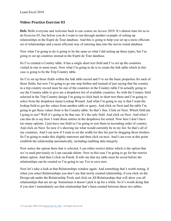#### **Video: Practice Exercise 03**

**Deb:** Hello everyone and welcome back to our course on Access 2019. It's almost time for us to do Exercise 03, but before you do I want to run through another example of setting up relationships in the Esprit de Tour database. And this is going to help you set up a more efficient set of relationships and a more efficient way of entering data into the movie rental database.

Now what I'm going to do is going to be the same as what I did setting up these types, but I'm going to set up countries instead in the Esprit de Tour database.

So I've created a Country table. It has a single short text field and I've set up the countries visited in one or more tours. Now what I'm going to do is to create the link table which in this case is going to be the Trip Country table.

So I've set up those fields within the link table record and I've set the basic properties for each of those fields, but now I'm going to go one step further and instead of just saying that the country in a trip country record must be one of the countries in the Country table I'm actually going to use the Country table to give me a dropdown list of available countries. So with the Country field selected in the Trip Country design I'm going to click back in short text there and I'm going to select from the dropdown menu Lookup Wizard. And what I'm going to say is that I want the lookup field to get the values from another table or query. And click on Next and the table I'm going to get these values from is the Country table. So that's fine. Click on Next. Which field am I going to use? Well it's going to be that one. It's the only field. And click on Next. And what I can also do is say how I want those entries in the dropdown list sorted. Now here I don't have too many options. I just have one field so I'm going to sort them in ascending order of country. And click on Next. So now it's showing me what would currently be in my list. So that's all of my countries. And I can now if I want to set the width for this list just by dragging those borders. So I'm going to make this slightly narrower and then click on next. And I can even at this point establish the relationship automatically, including enabling data integrity.

Now notice the option there that is selected. I can either restrict delete which is the option that we've used previously or I can cascade delete. Now in this case I'm going to go for the restrict delete option. And then I click on Finish. It tells me that my table must be saved before the relationships can be created so I'm going to say Yes to save now.

Now let's take a look at that Relationships window again. And something that's worth noting, if when you select Relationships you don't see that newly created relationship, if you click on the Design tab under the Relationship Tools and click on All Relationships that will show you all relationships that are set up. Sometimes it doesn't pick it up for a while. So it's worth doing that if you don't immediately see that relationship that's been created between those two tables.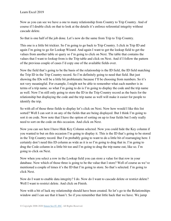Now as you can see we have a one to many relationship from Country to Trip Country. And of course if I double click on that to look at the details it's enforce referential integrity without cascade delete.

So that is one half of the job done. Let's now do the same from Trip to Trip Country.

This one is a little bit trickier. So I'm going to go back to Trip Country. I click in Trip ID and again I'm going to go for Lookup Wizard. And again I want to get the lookup field to get the values from another table or query so I'm going to click on Next. The table that contains the values that I want to lookup from is the Trip table and click on Next. And if I follow the pattern of the previous couple of cases I'd copy one of the available fields over.

Now the field that's going to be the basis of the relationship is the ID field, the ID field matching the Trip ID in the Trip Country record. So I'm definitely going to need that field. But just showing the IDs will be a little bit problematic because I'll be choosing from numbers. So it's not very meaningful. For example, I might not be able to remember what each number is in terms of a trip name. so what I'm going to do is I'm going to display the code and the trip name as well. Now I'm still only going to store the ID in the Trip Country record as the basis for the relationship but displaying the code and the trip name as well will make it easier for people to identify the trip.

So with all of those three fields to display let's click on Next. Now how would I like this list sorted? Well I can sort it on any of the fields that are being displayed. But I think I'm going to sort it on code. Now note that I have the option of sorting on up to four fields but I only really need to sort on the code on this occasion. And click on Next.

Now you can see here I have Hide Key Column selected. Now you could hide the Key column if you wanted to but on this occasion I'm going to display it. This is the ID that's going to be stored in the Trip Country record. But I'm probably going to want to do a little bit of rearranging here. I certainly don't need this ID column as wide as it is so I'm going to drag that in. I'm going to drag the Code column in a little bit too and I'm going to drag the trip name out, like so. I'm going to click on Next.

Now when you select a row in the Lookup field you can store a value for that row in your database. Now which of those three is going to be the value that I store? Well of course as we've mentioned a couple of times it's the ID that I'm going to store. So that's selected. I'm going to click Next.

Now do I want to enable data integrity? I do. Now do I want to cascade delete or restrict delete? Well I want to restrict delete. And click on Finish.

Now with a bit of luck my relationship should have been created. So let's go to the Relationships window and I can see that it hasn't. So if you remember that little hack that we have. We jump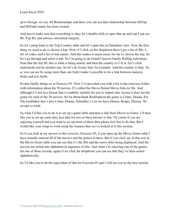up to Design, we say All Relationships and there you can see that relationship between tblTrip and tblTripCountry has been created.

And just to make sure that everything is okay let's double click to open that up and yep I can see ID, Trip ID, and enforce referential integrity.

So let's jump back to the Trip Country table and let's open this in Datasheet view. Now the first thing we need to do is choose a trip. Now, if I click on the dropdown there I get a list of IDs, a list of codes, and a list of trip names. And this makes it much easier for me to choose the trip. So let's go through and select a trip. So I'm going to do Grand Canyon Family Rafting Adventure. Note that the trip ID, this is what is being stored, and then the country is U.S.A. Let's click underneath and do another one. So let's do Iconic Italy for example. And the country is Italy. So as you can see by using more than one field I make it possible to do a link between numeric fields and text fields.

So that finally brings us to Exercise 03. Now I've provided you with a list in the exercises folder with information about the 50 movies. It's called the Movie Rental Movie Info.txt file. And although it's not in a format that is readably suitable for you to import into Access it does list the genre for each of the 50 movies. So for Shawshank Redemption the genre is Crime, Drama. For The Godfather that's also Crime, Drama. Schindler's List we have Drama, Biopic, History. So on and so forth.

So what I'd like you to do is to set up a genre table and then a link from Movie to Genre. I'd then like you to set up some data, just data for two or three movies is fine. Of course if you are enjoying yourself and you want to set up more of them then please feel free to do that. But I would like your setup to work using the features that we've looked at in this section.

So if you look at my answer to this exercise, Exercise 03, if you open up the Movie Genre table I have actually entered all of the movies and the genres in there. But if you click say in this row in the Movie Genre table you can see that it's the IDs and the move titles being displayed. And the movies are sorted into alphabetical sequence of title. And when I'm selecting one of the genres for one of these records, again if we click the dropdown you can see that they've been sorted alphabetically.

So I'd like you to do the equivalent of that for Exercise 03 and I will see you in the next section.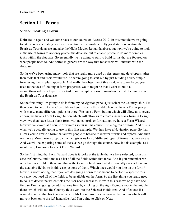## **Section 11 – Forms**

## **Video: Creating a Form**

Deb: Hello again and welcome back to our course on Access 2019. In this module we're going to take a look at creating our first form. And we've made a pretty good start on creating the Esprit de Tour database and also the Night Movies Rental database, but next we're going to look at the use of forms to not only protect the database but to enable people to do more complex tasks within the database. So essentially we're going to start to build forms that are focused on what people need to. And forms in general are the way that most users will interact with the database.

So far we've been using many tools that are really more used by designers and developers rather than tools that end users would use. So we're going to start out by just building a very simple form using the simplest approach. And really the objective of this module is to really get you used to the idea of looking at form properties. So, it might be that I want to build a straightforward form to perform a task. For example a form to maintain the list of countries in the Esprit de Tour database.

So the first thing I'm going to do is from my Navigation pane is just select the Country table. I'm then going to go up to the Create tab and you'll see in the middle here we have a Forms group with many, many different options in there. We have a Form button which will allow us to create a form, we have a Form Design button which will allow us to create a new blank form in Design view, we then have just a blank form with no controls or formatting, we have a Form Wizard. Now we've looked at a couple of wizards so far in this course. I'm a big fan of those. And this is what we're actually going to use in this first example. We then have a Navigation pane. So that allows you to create a form that allows people to browse to different forms and reports. And then we have a More Forms dropdown which gives us lots of different types of forms that we can use. And we will be exploring some of these as we go through the course. Now in this example, as I mentioned, I'm going to select Form Wizard.

So the first thing that Form Wizard does is it looks at the table that we have selected, so in this case tblCountry, and it makes a list of all the fields within that table. And if you remember we only have one field in there and that is the Country field. And what it basically says is these are the available fields, so in this case just one of them. Which ones would you like on the form? Now it's worth noting that if you are designing a form for someone to perform a specific task you may not need all of the fields to be available on the form. So the first thing you really need to do is to determine which fields the user needs access to. Now in this case we only have one field so I'm just going too add that one field by clicking on the right facing arrow in the middle there, which will add the Country field over into the Selected Fields area. And of course if I wanted to move that back to available fields I could use these arrows at the bottom which will move it back on to the left hand side. And I'm going to click on Next.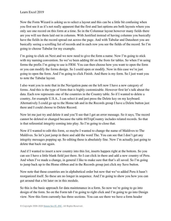Now the Form Wizard is asking us to select a layout and this can be a little bit confusing when you first see it as it's not really apparent that the first and last options are both layouts where you only see one record on this form at a time. So in the Columnar layout however many fields there are you will see them laid out in columns. With Justified instead of having columns you basically have the fields in the record spread out across the page. And with Tabular and Datasheet you are basically seeing a scrolling list of records and in each row you see the fields of the record. So I'm going to choose Tabular for my example.

I'm going to click on Next and we now need to give the form a name. Now I'm going to stick with my naming convention. So we've been adding tbl on the from for tables. So when I'm using forms the prefix I'm going to use is FRM. You can then choose how you want to open the form or you can modify the forms design. So I could open or modify. Now in this case we're just going to open the form. And I'm going to click Finish. And there is my form. So I just want you to note the Tabular layout.

I also want you to note that in the Navigation pane on the left now I have a new category of forms. And this is the type of form that is highly customizable. However first let's talk about the data. Each row represents one of the countries in the Country table. So if I wanted to delete a country, for example U.S.A., I can select it and just press the Delete key on my keyboard. Alternatively I could go up to the Home tab and in the Records group I have a Delete button just there and I could choose to Delete Record.

Now let me just try and delete it and you'll see that I get an error message. So it says, The record cannot be deleted or changed because the table tblTripCountry includes related records. So that is that referential integrity coming into play. So I'm going to close that.

Now if I wanted to edit this form, so maybe I wanted to change the name of Maldives to The Maldives. So let's just jump in there and add the word The. You can see that I don't get any integrity messages popping up. So editing these is absolutely fine. Now I'm actually just going to delete that back out again.

And if I wanted to insert a new country into this list, inserts happen right at the bottom. So you can see I have a little blank field just there. So I can click in there and add a new country of Peru. And when I've made a change, in general I like to make sure that that's all saved. So I'm going to jump back up to the Home ribbon and in the Records group just click my Save button.

Now note that these countries are in alphabetical order but now that we've added Peru it hasn't reorganized itself. So these are no longer in sequence. And I'm going to show you how you can get around that a bit later on in this module.

So this is the basic approach for data maintenance in a form. So now we're going to go into design of the form. So on the Form tab I'm going to right click and I'm going to go into Design view. Now this form currently has three sections. You can see there we have a form header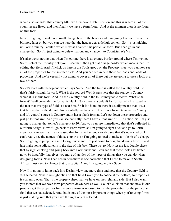which also includes that country title, we then have a detail section and this is where all of the countries are listed, and then finally we have a form footer. And at the moment there is no footer on this form.

Now I'm going to make one small change here to the header and I am going to cover this a little bit more later on but you can see here that the header gets a default content. So it's just picking up Form Country Tabular, which is what I named this particular form. But I can go in and change that. So I'm just going to delete that out and change it to Countries We Visit.

It's also worth noting that when I'm editing there is an orange border around where I'm typing. So if I select the Country field you'll see that I then get that orange border which means that I'm editing that field. And if I click up here in the Tools group on the Property sheet you can now see all of the properties for the selected field. And you can see in here there are loads and loads of properties. And we're certainly not going to cover all of these but we are going to take a look at a few of them.

So let's start with the top one which says Name. And the field is called the Country field. So that's fairly straightforward. What is the source? Well it says here that the source is Country, which it is in this form. And it's the Country field in the tblCountry table record. What's the format? Well currently the format is blank. Now there is a default for format which is based on the fact that this type of field is a text box. So if it's blank in there it usually means that it is a text box as that is the default. So essentially we have a text box on a form, its name is Country and it's control source is Country and it has a blank format. Let's go down these properties and just go to font size. And you can see currently there I have a font size of 11 in action. So I'm just going to change that to, let's change it to 20. And you can see immediately that that's reflected in our form design. Now if I go back to Form view, so I'm going to right click and go to Form view, you can see that it's increased that font size but you can also see that it's now kind of, I can't really see the names of those countries so I'm going to need to make a little bit of a change. So I'm going to jump back into Design view and I'm just going to drag that down a little bit and just make some adjustments to the size of this box. There we go. Now let me just double check that by right clicking and going back into Form view and I can see that those look a lot better now. So hopefully that gives you more of an idea of the types of things that you can do when designing forms. Now I can see in here there is one correction that I need to make in South Africa. I just need to change that to a capital A and I'm going to click Save.

Now I'm going to jump back into Design view one more time and note that the Country field is still selected. Now if we right click on that field I want you to notice at the bottom, so properties is currently open. That's the property sheet that we have on the righthand side. But I also want you to note that we have form properties down here as well. So let's click on that and now in our pane we get the properties for the entire form as opposed to just the properties for the particular field that we had selected. And that is one of the most important things when you're using forms is just making sure that you have the right object selected.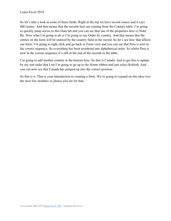So let's take a look at some of these fields. Right at the top we have record source and it says tblCountry. And that means that the records here are coming from the Country table. I'm going to quickly jump across to this Data tab and you can see that one of the properties here is Order By. Now what I'm going to do is I'm going to say Order by country. And that means that the entries on the form will be ordered by the country field in the record. So let's see how that affects our form. I'm going to right click and go back to Form view and you can see that Peru is now in the correct sequence. So everything has been reordered into alphabetical order. So whilst Peru is now in the correct sequence it's still at the end of the records in the table.

I'm going to add another country at the bottom here. So that is Canada. And to get this to update by my sort order that I set I'm going to go up to the Home ribbon and just select Refresh. And you can now see that Canada has jumped up into the correct position.

So that is it. That is your introduction to creating a form. We're going to expand on this idea over the next few modules so please join me for that.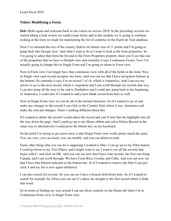#### **Video: Modifying a Form**

**Deb:** Hello again and welcome back to our course on Access 2019. In the preceding sections we started taking a look at how we could create forms and in this module we're going to continue looking at the form we made for maintaining the list of countries in the Esprit de Tour database.

Now I've returned the size of the country field to its former size of 11 points and I'm going to jump back into Design view. And what I want to do is I want to look at the form properties. So I'm going to select that from the list and in the Form Properties property sheet you'll see that one of the properties that we have is Default view and currently it says Continuous Forms. Now I'm actually going to change this to Single Form and I'm going to return to Form view.

Now in Form view I no longer have that continuous view with all of the fields in the form. Now in Single view each record occupies one form. And you can see that I have navigation buttons at the bottom. So currently it says I'm on record 1 of 16, which is Antarctica. And I can use my arrows to go to the next record, which is Argentina and I can scroll through my records that way. I can also jump all the way to the end to Zimbabwe and I could also jump back to the beginning of Antarctica. I could also if I wanted to add a new blank record from here as well.

Now in Single Form view we can do all of the normal functions. So if I wanted to go in and make any changes to this record I can click in the Country field where it says Antarctica and make the relevant changes. There's nothing different about this.

If I wanted to delete the record I could select the record and you'll note that the highlight runs all the way down the page. And I could go up to my Home ribbon and select Delete Record in the same way or alternatively I could press the Delete key on my keyboard.

So the point I'm trying to get across here is that Single Form view works pretty much the same. You can view, you can insert, you can modify, and you can delete records.

Some other things that you can do is supposing I wanted to filter. I can go up to my Filter button, I could go down to my Text Filters, and I might want to say I want to see all the records that begin with C, and click on OK. And you can see now that I have four records, the first one being Canada, and I can scroll through. We have Costa Rica, Croatia, and Cuba. And you can now see that I have that filtered indicator in the bottom bar. So if I wanted to remove the filter I can just click it and my list is now again unfiltered.

I can also search for records. So you can see I have a Search field down here. So if I wanted to search for example for Africa you can see it's taken me straight to the first record where it finds that word.

So in terms of finding my way around I can use those controls on the Home tab when I'm in Continuous Form view or Single Form view.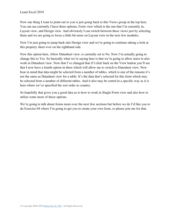Now one thing I want to point out to you is just going back to this Views group at the top here. You can see currently I have three options, Form view which is the one that I'm currently in, Layout view, and Design view. And obviously I can switch between these views just by selecting them and we are going to focus a little bit more on Layout view in the next few modules.

Now I'm just going to jump back into Design view and we're going to continue taking a look at this property sheet over on the righthand side.

Now this option here, Allow Datasheet view, is currently set to No. Now I'm actually going to change this to Yes. So basically what we're saying here is that we're going to allow users to also work in Datasheet view. Now that I've changed that if I click back on the View button you'll see that I now have a fourth option in there which will allow me to switch to Datasheet view. Now bear in mind that data might be selected from a number of tables, which is one of the reasons it's not the same as Datasheet view for a table. It's the data that's selected for this form which may be selected from a number of different tables. And it also may be sorted in a specific way as it is here where we've specified the sort order as country.

So hopefully that gives you a good idea as to how to work in Single Form view and also how to utilize some more of those options.

We're going to talk about forms more over the next few sections but before we do I'd like you to do Exercise 04 where I'm going to get you to create your own form, so please join me for that.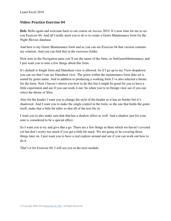#### **Video: Practice Exercise 04**

**Deb:** Hello again and welcome back to our course on Access 2019. It's now time for me to set you Exercise 04. And all I really need you to do is to create a Genre Maintenance form for the Night Movies database.

And here is my Genre Maintenance form and as you can see Exercise 04 that version contains my solution. And you can find that in the exercises folder.

Now note in the Navigation pane you'll see the name of the form, so frmGenreMaintenance, and I just want you to note a few things about this form.

It's default is Single form and Datasheet view is allowed. So if I go up to my View dropdown you can see that I can see Datasheet view. The genre within the maintenance form data set is sorted by genre name. And in addition to producing a working form I've also selected a theme for the form. Now I haven't shown you how to do this but it might be good for you to have a little experiment and see if you can work it out. So when you're in Design view see if you can select the theme of Slice.

Also for the header I want you to change the style of the header so it has no border but it's shadowed. And I want you to make the single control in the form, so the one that holds the genre itself, make that a little bit taller so that all of the text fits in.

I want you to also make sure that that has a shadow effect as well. And a shadow just for your note is considered to be a special effect.

So I want you to try and give that a go. There are a few things in there which we haven't covered yet but don't worry too much if you get a little bit stuck. We are going to be covering those things later on. I just want you to have a real explore around and see if you can work out how to do it.

That's it for Exercise 04. I will see you in the next module.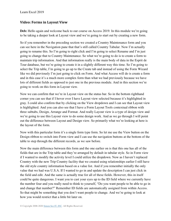#### **Video: Forms in Layout View**

**Deb:** Hello again and welcome back to our course on Access 2019. In this module we're going to be taking a deeper look at Layout view and we're going to start out by creating a new form.

So if you remember in the preceding section we created a Country Maintenance form and you can see here in the Navigation pane that that's still called Country Tabular. Now I'm actually going to rename this. So I'm going to right click and I'm going to select Rename and I'm just going to change that to Country Maintenance. So what we're going to do is to create a form to maintain trip information. And that information really is the main body of data in the Esprit de Tour database, but we're going to create it in a slightly different way this time. So I'm going to select the Trip table, I'm going to go up to the Create tab and instead of using the Form Wizard like we did previously I'm just going to click on Form. And what Access will do is create a form and in this case it's a much more complex form than what we had previously because we have lots of different fields as opposed to just one in the previous module. And in this section we're going to work on this form in Layout view.

Now we can confirm that we're in Layout view on the status bar. So in the bottom righthand corner you can see that if I hover over I have Layout view selected because it's highlighted in gray. I could also confirm that by clicking on the View dropdown and I can see that Layout view is highlighted. And you can also see that I have a Form Layout Tools contextual ribbon with three subtabs, Design, Arrange and Format. And really Layout view is a type of design view and we're going to use this Layout view to do some design work. And as we go through I will point out the difference between Layout and Design view. So primarily what we're looking at here is the layout of the form.

Now with this particular form it's a single form type form. So let me use the View button on the Design ribbon to switch into Form view and I can use the navigation buttons at the bottom of the table to step through the different records, as we saw before.

Now the main difference between this form and the one earlier on is that this one has all of the fields that are in the Trip table and they're arranged by default in tabular style. So in Form view if I wanted to modify the activity level I could utilize the dropdown. Now as I haven't replaced Country with the new Trip Country facility that we created using relationships earlier I still have the old style country information based on a value list. And if you remember initially the only value that we had was U.S.A. If I wanted to go in and update the description I can just click in the field and edit. And the same is actually true for all of these fields. However, this in itself could be quite dangerous. I want you to cast your eyes up to the ID field where we currently have the number four and you really need to think to yourself, "Do you want people to be able to go in and change that number?" Remember ID fields are automatically assigned from within Access. So that might be something that you don't want people to change. And we're going to look at how you would restrict that a little bit later on.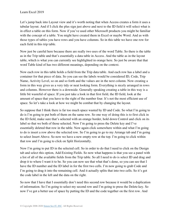Let's jump back into Layout view and it's worth noting that when Access creates a form it uses a tabular layout. And if I click the plus sign just above and next to the ID field it will select what is in effect a table on this form. Now if you've used other Microsoft products you might be familiar with the concept of a table. You might have created them in Excel or maybe Word. And as with those types of tables you have rows and you have columns. So in this table we have one row for each field in this trip table.

Now just be careful here because there are really two uses of the word Table. So there is the table as in the Trip table and that's essentially a data table in Access. And the table as in the layout table, which is what you can currently see highlighted in orange here. So just be aware that that word Table kind of has two different meanings, depending on the context.

Now each row in this table holds a field from the Trip data table. And each row has a label and a container for that piece of data. So you can see the labels would be considered ID, Code, Trip Name, Activity Level, so on and so forth and the values are in the next column. Now creating a form in this way gives us a very tidy or neat looking form. Everything is nicely arranged in rows and columns. However there is a downside. Generally speaking creating a table in this way is a little bit wasteful of space. If you just take a look in that first field, the ID field, look at the amount of space that you have to the right of the number four. It's not the most efficient use of space. So let's take a look at how we might be combat that by changing the layout.

So suppose that I think there is far too much space wasted by ID and Code. So what I'm going to do is I'm going to put both of them on the same row. So one way of doing this is to first click in the ID field, make sure that's selected with an orange border, hold down Control and click on its label so that we both of those selected. Now I'm going to press the Delete key and I've essentially deleted that row in the table. Now again click somewhere within and what I'm going to do is insert a row above the selected row. So I'm going to go to my Arrange tab and I'm going to select Insert Above. So now we have a new empty row at the top. I'm going to click within that row and I'm going to click on Split Horizontally.

Now I'm going to put ID in the selected cell. So in order to do that I need to click on the Design tab and select this option, Add Existing Fields. So now what happens is that you see a panel with a list of all of the available fields from the Trip table. So all I need to do is select ID and drag and drop it to where I want it to be. So you can now see that what that's done, so you can see that I have the ID number and the ID label in for the first two cells. I'm now going to grab Code and I'm going to drag it into the remaining cell. And it actually splits that into two cells. So it's got the code label in the left and the data on the right.

So now that I have that I essentially don't need this second row because it would be a duplication of information. So I'm going to select my second row and I'm going to press the Delete key. So now I've got a better use of space by putting the ID and the code together on the first row. And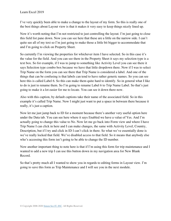I've very quickly been able to make a change to the layout of my form. So this is really one of the best things about Layout view is that it makes it very easy to keep things nicely lined up.

Now it's worth noting that I'm not restricted to just controlling the layout. I'm just going to close this field list pane down. Now you can see here that these are a little on the narrow side. I can't quite see all of my text so I'm just going to make those a little bit bigger to accommodate that and I'm going to click on Property Sheet.

So currently I'm viewing the properties for whichever item I have selected. So in this case it's the value for the field. And you can see there in the Property Sheet it says my selection type is a text box. So for example, if I was to jump to something like Activity Level you can see there it says Selection type combo box because we have that little dropdown there. Now if I was to select Trip Name on the form you can see there that Trip Name is considered a label. And one of the things that can be confusing is that labels can tend to have rather generic names. So you can see here this is called Label 6. So this can make them quite hard to identify. So in general what I like to do is just to rename them. So I'm going to rename Label 6 to Trip Name Label. So that's just going to make it a lot easier for me to locate. You can see it down there now.

Also with this caption, by default captions take their name of the associated field. So in this example it's called Trip Name. Now I might just want to put a space in between there because it really, it's just a caption.

Now let me just jump back to ID for a moment because there's another very useful option here under the Data tab. You can see here where it says Enabled we have a value of Yes. And I'm actually going to change this value to No. Now let me go back into Form view and where I have Trip Name I can click in here and I can make changes, the same with Activity Level, Country, Description, but if I try and click in ID I can't click in there. So what we've essentially done is we've really locked that field. We've disabled access to that field. So it means that anybody else who's accessing this form isn't going to be able to change the ID number.

Now another important thing to note here is that if I'm using this form for trip maintenance and I wanted to add a new trip I can use this button down in my navigation area for New Blank Record.

So that's pretty much all I wanted to show you in regards to editing forms in Layout view. I'm going to save this form as Trip Maintenance and I will see you in the next module.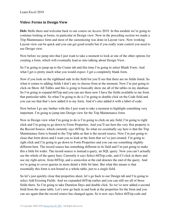#### **Video: Forms in Design View**

Deb: Hello there and welcome back to our course on Access 2019. In this module we're going to continue looking at forms, in particular in Design view. Now in the preceding section we made a Trip Maintenance form and most of the customizing was done in Layout view. Now working Layout view can be quick and you can get good results but if you really want control you need to use Design view.

Now before we jump into that I just want to take a moment to look at one of the other options for creating a form, which will eventually lead us into talking about Design View.

So I'm going to jump up to the Create tab and this time I'm going to select Blank Form. And what I get is pretty much what you would expect. I get a completely blank form.

Now if you look on the righthand side in the field list you'll see that there are no fields listed. So when it comes to adding fields I don't any to choose from at the moment. Now I'm just going to click on Show All Tables and this is going to basically show me all of the tables in my database. So I'm going to expand tblTrip and you can see there now I have the fields available to me from that particular table. So what I'm going to do is I'm going to double click on the Code field and you can see that that's now added it to my form. And it's also added it with a label of code.

Now before I go any further with this I just want to take a moment to highlight something very important. I'm going to jump into Design view for the Trip Maintenance form.

Now in Design view what I'm going to do is I'm going to click on any field, I'm going to right click and I'm going to go down to Form Properties. And you'll see here the very first property is the Record Source, which currently says tblTrip. So what we essentially say here is that the Trip Maintenance form is bound to the Trip table as that is the record source. Now I'm just going to close that form down and I want you to look at the form that we've just created. I'm going to right click and I'm going to go down to Form Properties and you can see something slightly different here. The record source has something different in its field and I'm just going to make this a little bit wider. The record source is instead a query, an SQL query. Now you can't actually see the whole of the query here. Currently it says Select tblTrip.code, and if I click in there and use my right arrow, from tblTrip, and a semicolon at the end denotes the end of the query. And we're going to cover queries in more detail a little bit later. But what this means is that essentially this form is not bound to a whole table, just to a single field.

So let's just quickly close that properties sheet, let's go back to our Design tab and I'm going to select Add Existing Fields. And we expanded tblTrip earlier and you can still see all of those fields there. So I'm going to take Duration Days and double click. So we've now added a second field from the same table. Let's now go back in and look at the properties for the form and you can see again that the record source has changed again. So it now says Select tblTrip.code and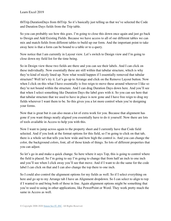tblTrip.DurationDays from tblTrip. So it's basically just telling us that we've selected the Code and Duration Days fields from the Trip table.

So you can probably see how this goes. I'm going to close this down once again and just go back to Design and Add Existing Fields. Because we have access to all of our different tables we can mix and match fields from different tables to build up our form. And the important point to take away here is that a form can be bound to a table or to a query.

Now notice that I am currently in Layout view. Let's switch to Design view and I'm going to close down my field list for the time being.

So in Design view those two fields are there and you can see their labels. And I can click on these individually. Now essentially these are still within that tabular structure, which is why they're kind of nicely lined up. Now what would happen if I essentially removed that tabular structure? Well let's try it. Let's go up to Arrange and click on the Remove Layout button. Now when I click on this what I have essentially is free reign to move these around wherever I like so they're not bound within the structure. And I can drag Duration Days down here. And you'll see that when I select something like Duration Days the label goes with it. So you can see here that that tabular structure that we used to have in place is now gone and I have free reign to drag my fields wherever I want them to be. So this gives you a lot more control when you're designing your forms.

Now that is great but it can also mean a lot of extra work for you. Because that alignment has gone if you want things neatly aligned you essentially have to do it yourself. Now there are lots of tools available in Access to help you with this.

Now I want to jump across again to the property sheet and I currently have that Code field selected. And if you look at the format options for this field, so I'm going to click on that tab, there is a whole set that tells you how wide and how high the control is. And you can change the color, the background colors, font, all of those kinds of things. So lots of different properties that you can adjust.

So let's go in and make a quick change. So here where it says Top, this is going to control where the field is placed. So I'm going to say I'm going to change that from half an inch to one inch and you'll see when I click away you'll see that move. And if I want to do the same for the code label I can click on that and I can also change the top there to one inch.

So I could also control the alignment options for my fields as well. So if I select everything on here and go up to my Arrange tab I have an Alignment dropdown. So I can select to align to top if I wanted to and bring both of those in line. Again alignment options might be something that you're used to using in other applications, like PowerPoint or Word. They work pretty much the same in Access as well.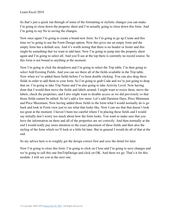So that's just a quick run through of some of the formatting or stylistic changes you can make. I'm going to close down the property sheet and I'm actually going to close down this form. And I'm going to say No to saving the changes.

Now once again I'm going to create a brand new form. So I'm going to go up Create and this time we're going to use the Form Design option. Now this gives me an empty form and the empty form has a default size. And it's worth noting that there is no header or footer and this might be something that we want to add later. Now I'm going to jump into the property sheet again and I'm going to select all. And you'll see at the top there is currently no record source. So this form is not bound to anything at the moment.

Now I'm going to click the dropdown and I'm going to select the Trip table. I'm then going to select Add Existing Fields. And you can see there all of the fields available in the Trip table. Now when we've added these fields before I've been double clicking. You can also drag these fields in order to add them to your form. So I'm going to grab Code and we're just going to drop that on. I'm going to take Trip Name and I'm also going to take Activity Level. Now having done that I would then move the fields and labels around. I might want to resize them, move the labels, check the properties, and I also might want to disable access as we did previously so that those fields cannot be edited. So let's add a few more. Let's add Duration Days, Price Minimum and Price Maximum. Now having added those fields to the form what I would normally do is go back and look in Form view just to see what that looks like. Now I can see that that doesn't look too great at the moment. I haven't been too careful where I'm placing these fields and I would say initially don't worry too much about how the form looks. You want to make sure that you have the information on there and all of the properties are set correctly. And then normally at the end I would really pay more attention to the exact placement of these fields and then also the styling of the form which we'll look at a little bit later. But in general I would do all of that at the end.

So my advice here is to roughly get the design correct first and save the detail for later.

Now I'm going to close this form. I'm going to click on Close and I'm going to save changes and we're going to call this one frmTripDesign and click on OK. And there we go. That's it for this module. I will see you in the next one.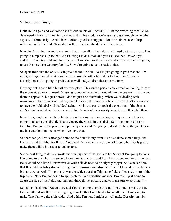#### **Video: Form Design**

Deb: Hello again and welcome back to our course on Access 2019. In the preceding module we developed a basic form in Design view and in this module we're going to go through some other aspects of form design. And this will offer a good starting point for the maintenance of trip information for Esprit de Tour staff as they maintain the details of their trips.

Now the first thing I want to ensure is that I have all of the fields that I need on this form. So I'm going to jump back up to that Add Existing Fields button and you can see that I haven't yet added the Country field and that's because I'm going to show the countries visited but I'm going to use the new Trip Country facility. So we're going to come back to that.

So apart from that the only missing field is the ID field. So I'm just going to grab that and I'm going to drag it and drop it onto the form. And the other field it looks like I don't have is Description so I'm going to grab that as well and just drop that onto my form.

Now my fields are a little bit all over the place. This isn't a particularly attractive looking form at the moment. So in a moment I'm going to move these fields around into the positions that I want them to appear in, but just before I do that just one other thing. When we're dealing with maintenance forms you don't always need to show the name of a field. So you don't always need to have the field label visible. Not having it visible doesn't impair the operation of the form at all. So I just wanted you to be aware of that. You don't necessarily have to have this label there.

Now I'm going to move these fields around in a moment into a logical sequence and I'm also going to rename the label fields and change the words in the labels. So I'm going to close my field list, I'm going to open up my property sheet and I'm going to do all of those things. So join me in a couple of moments when I've done that.

So there we go. I've rearranged some of the fields in my form. I've also done some things like I've removed the label for ID and Code and I've also renamed some of these other labels just to make them a little bit easier to understand.

So the next thing to do is to work out how big each field needs to be. So what I'm going to do is I'm going to open Form view and I can look at my form and I can kind of get an idea as to which fields could be a little bit narrower or which fields need to be slightly bigger. So I can see here that ID could probably do with being much narrower and also the Code field could probably be a bit narrower as well. I'm going to want to widen out that Trip name field so I can see more of the trip name. Now I'm not going to approach this in a scientific manner. I'm really just going to adjust the size of the fields and then run through the existing data to make sure everything fits.

So let's go back into Design view and I'm just going to grab this and I'm going to make the ID field a little bit smaller. I'm also going to make that Code field a bit smaller and I'm going to make Trip Name quite a bit wider. And while I'm here I might as well make Description a bit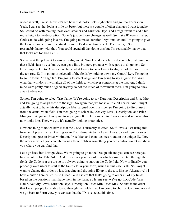wider as well, like so. Now let's see how that looks. Let's right click and go into Form view. Yeah, I can see that looks a little bit better but there's a couple of other changes I want to make. So I could do with making these even smaller and Duration Days, and I might want to add a bit more height to the description. So let's just do those changes as well. So make ID even smaller, Code can do with going in a bit. I'm going to make Duration Days smaller and I'm going to give the Description a bit more vertical room. Let's do one final check. There we go. So I'm reasonably happy with that. You could spend all day doing this but I'm reasonably happy that that looks not too bad as it is.

So the next thing I want to look at is alignment. Now I've done a fairly decent job of aligning up these fields just by eye but we can get a little bit more granular with regards to alignment. So let's jump back into Design view. Now what I want to do is I want to align all of the controls in the top row. So I'm going to select all of the fields by holding down my Control key. I'm going to go up to the Arrange tab. I'm going to select Align and I'm going to say align to top. And what that will do is it will align all of the fields to whichever control is at the top. And I think mine were pretty much aligned anyway so not too much of movement there. I'm going to click away to deselect.

So now I'm going to select Trip Name. We're going to say Duration, Description and Price Max and I'm going to align those to the right. So again that just looks a little bit neater. And I might actually want to have this description label aligned over this side. So I'm going to disconnect it from the actual value field. I'm then going to select ID, Activity Level, Description, and Price Min, go to Align and I'm going to say align left. So let's switch to Form view and see what this now looks like. There we go. It's actually looking pretty nice.

Now one thing to notice here is that the Code is currently selected. So if I was a user using this form and I press my Tab key it goes to Trip Name, Activity Level, Duration and it jumps over Description, goes to Price Minimum, Price Max and then it comes round to the unique ID. Now the order in which you can tab through these fields is something you can control. So let me show you where you can find that.

Let's go back into Design view. We're going to go to the Design tab and you can see here you have a button for Tab Order. And this shows you the order in which a user can tab through the fields. So Code is at the top so it's always going to start on the Code field. Now ordinarily you probably want users to start at the first field in your form, which in this case is ID. So I might want to change this order by just dragging and dropping ID up to the top, like so. Alternatively I have a button here called Auto Order. So if I select that that's going to order all of my fields based on the positions that I have them in the form. So let me see, we've got ID, Code, Trip Name, Activity Level, Duration Days, Description, Price Min, Price Max. So that is the order that I want people to be able to tab through the fields in so I'm going to click on OK. And now if we go back to Form view you can see that the ID is selected this time.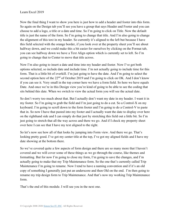Now the final thing I want to show you here is just how to add a header and footer into this form. So again on the Design tab you'll see you have a group that says Header and Footer and you can choose to add a logo, a title or a date and time. So I'm going to click on Title. Now the default title is just the name of the form. So I'm going to change that title. And I'm also going to change the alignment of this text in my header. So currently it's aligned to the left but because I have this field selected with the orange border, if you look over at the property sheet you'll see about halfway down, and we could make this a bit easier for ourselves by clicking on the Format tab, you can see halfway down we have a Text Align option which is currently set to left. So I'm going to change that to Center to move that title across.

Now I'm also going to insert a date and time into my header and footer. Now I've got both options selected, so include date and include time. I'm not actually going to include time for this form. That is a little bit of overkill. I'm just going to have the date. And I'm going to select the second option here of the 22<sup>nd</sup> of October 2019 and I'm going to click on OK. And I don't know if you can see it. Very small in the top corner here we have a form field. So here we have equals Date. And once we're in this Design view you're kind of going to be able to see the coding that sits behind this date. When we switch to view the actual form you will see the actual date.

So don't worry too much about that. But I actually don't want my date in my header. I want it in my footer. So I'm going to grab the field and I'm just going to do a cut. So a Control-X on my keyboard. I'm going to scroll down to the form footer and I'm going to do a Control-V to paste that in. So now I have that pasted into my footer and I actually want the date to display over here on the righthand side and I can simply do that just by stretching this field out a little bit. So I'm just going to stretch that all the way across and there we go. And if I check my property sheet over here I can see that I have my text aligned to the right.

So let's now see how all of that looks by jumping into Form view. And there we go. That's looking pretty good. I've got my center title at the top, I've got my aligned fields and I have my date showing at the bottom there.

So we've covered quite a few aspects of form design and there are so many more that I haven't covered and we will cover some of these things as we go through the course, like themes and formatting. But for now I'm going to close my form, I'm going to save the changes, and I'm actually going to make that my Trip Maintenance form. So the one that's currently called Trip Maintenance I'm going to rename. Now I tend to have a naming convention and if it's an old copy of something I generally just put an underscore and then Old on the end. I'm then going to rename my trip design form to Trip Maintenance. And that's now my working Trip Maintenance form.

That's the end of this module. I will see you in the next one.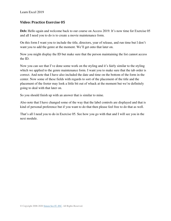#### **Video: Practice Exercise 05**

**Deb:** Hello again and welcome back to our course on Access 2019. It's now time for Exercise 05 and all I need you to do is to create a movie maintenance form.

On this form I want you to include the title, directors, year of release, and run time but I don't want you to add the genre at the moment. We'll get onto that later on.

Now you might display the ID but make sure that the person maintaining the list cannot access the ID.

Now you can see that I've done some work on the styling and it's fairly similar to the styling which we applied to the genre maintenance form. I want you to make sure that the tab order is correct. And note that I have also included the date and time on the bottom of the form in the center. Now some of these fields with regards to sort of the placement of the title and the placement of the footer may look a little bit out of whack at the moment but we're definitely going to deal with that later on.

So you should finish up with an answer that is similar to mine.

Also note that I have changed some of the way that the label controls are displayed and that is kind of personal preference but if you want to do that then please feel free to do that as well.

That's all I need you to do in Exercise 05. See how you go with that and I will see you in the next module.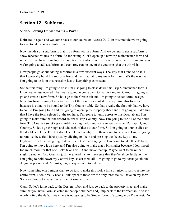# **Section 12 - Subforms**

## **Video: Setting Up Subforms – Part 1**

Deb: Hello again and welcome back to our course on Access 2019. In this module we're going to start to take a look at Subforms.

Now the idea of a subform is that it's a form within a form. And we generally use a subform to show repeated values in a form. So for example, let's open up a new trip maintenance form and remember we haven't include the country or countries on this form. So what we're going to do is we're going to add a subform and each row can be one of the countries that the trip visits.

Now people go about adding subforms in a few different ways. The way that I tend to do it is that I generally build the subform first and then I add it to my main form, so that's the way that I'm going to do it on this occasion just to keep things consistent.

So the first thing I'm going to do is I'm just going to close down this Trip Maintenance form. I know we've just opened it but we're going to come back to that in a moment. And I'm going to go and create a new form. So let's go to the Create tab and I'm going to select Form Design. Now this form is going to contain a list of the countries visited on a trip. And this form in this instance is going to be bound to the Trip Country table. So that's really the first job that we have to do. So I'm going to in and I'm going to open up the property sheet and I'm going to make sure that I have the form selected at the top here. I'm going to jump across to this Data tab and I'm going to make sure that the record source is Trip Country. Now I'm going to use all of the fields from Trip Country so let's go to Add Existing Fields and you can see we have ID, Trip ID, and Country. So let's go through and add each of these to our form. So I'm going to double click on ID, double click the Trip ID, double click on Country. I'm then going to go in and I'm just going to remove these field labels just by clicking on them and pressing the Delete key on my keyboard. I'm then just going to do a little bit of rearranging. So I'm going to take this ID field, I'm going to move it up here, and I'm also going to make that a bit smaller because I don't need too much room for that one. Let's take Trip ID and move that up. Maybe want to make that slightly smaller. And Country just there. And just to make sure that they're all perfectly in line I'm going to hold down my Control key, select them all, I'm going to go to my Arrange tab, the Align dropdown and I'm just going to say align to top like so.

Now something else I might want to do just to make this look a little bit nicer is just to resize the entire form. I don't really need all this space if these are the only three fields I have on my form. So I can choose to make this a little bit smaller like so.

Okay. So let's jump back to the Design ribbon and just go back to the property sheet and make sure that you have Form selected in the top field there and jump back to the Format tab. And it's worth noting the default view here is not going to be Single Form. It's going to be Datasheet. Do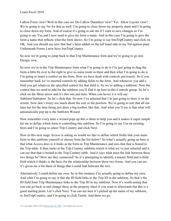I allow Form view? Well in this case no. Do I allow Datasheet view? Yes. Allow Layout view? We're going to say No for that as well. I'm going to close down my property sheet and I'm going to close down my form. And of course it's going to ask me if I want to save changes so I'm going to say Yes and I now need to give my form a name. And in this case I'm going to give the form a name that reflects what the form shows. So I'm going to say frmTripCountry and click on OK. And you should see now that that's been added on the left hand side in my Navigation pane. Underneath Forms I now have frmTripCountry.

So now we're going to jump back to that Trip Maintenance form and we're going to go into Design view.

So now we're in the Trip Maintenance form what I'm going to do is I'm just going to drag the form a little bit over to the right to give us some room in there and then what I'm going to do is I'm going to insert a control on the form. Now we have dealt with controls previously. So if you remember back we've inserted controls by adding fields to the form. And whenever you add a field you get whatever the specified control for that field is. So we're adding a subform. Now the control that we need to add for the subform you'll find it up here in this Controls group. So let's click on the More arrow and it's this one just here. When you hover it it will say Subform/Subreport. So let's click that. So now I've selected that I'm just going to draw it on the screen. Now don't worry too much about the size or the position. We're going to sort that all out later but for the time being just draw a big textbox like that. And what you'll see is that what will automatically pop up is the Subform Wizard.

Now remember every time a wizard pops up this is there to help you and it makes it super simple for me to define which form is controlling this subform. So I'm going to say Use an existing form and I'm going to select Trip Country and click Next.

Now in this next stage Access is asking us would we like to define which fields link your main form to this subform yourself or choose from the list below? So what's actually going on here is that what Access does is it looks at the form in Trip Maintenance and sees that that is bound to the Trip table. It then looks at the Trip Country subform which is what we've just selected and it can see that that is bound to the Trip Country table. And it says what must the link between these two things be? How are they connected? So it's attempting to identify a master field and a child field which it thinks is the basis for the relationship between these two forms. And you can see it's given me a list there of things that I could link between the two.

Alternatively I could define my own. So in this instance I'm actually going to define my own. And what I'm going to say is that the ID field links to the Trip ID in the subform. So that's the ID field from Trip Maintenance links to the Trip ID in my subform. Now it's worth noting that you can go back in and change these in the property sheet if you want to afterwards but this is a good starting point. Let's click Next. You can see here it's picked up the name of my subform, so frmTripCountry, and I'm going to click Finish. And there we go.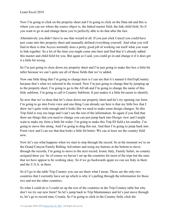Now I'm going to click on the property sheet and I'm going to click on the Data tab and this is where you can see where the source object is, the linked master field, the link child field. So if you want to go in and change these you're perfectly able to do that after the fact.

Alternatively you didn't have to use that wizard at all. If you just click Cancel you could have just come into this property sheet and manually defined everything yourself. And what you will find in there is that Access normally does a pretty good job of working out itself what you want to link together. So a lot of the time you might come into here and find that it's already added this master and child field for you. But again as I said, you could go in and change it if it does get it a little bit wrong.

So I'm just going to close down my property sheet and I'm just going to make this box a little bit taller because we can't quite see all of those fields that we've added.

Now one little thing that I'm going to change here is I can see that it's named it frmTripCountry because that's what we selected in the wizard. Now I'm just going to change that by jumping up to the property sheet. I'm going to go to the All tab and I'm going to change the name of this little subform. I'm going to call it Country Subform. It just makes it a little bit easier to identify.

So now that we've done that let's close down our property sheet and let's try opening our form. I'm going to go into Form view and one thing I can already see here is that my little box that I drew isn't quite wide enough and it looks like we need to make some design changes. So this Trip field is way too large and I can't see the rest of the information. So again if you find that there are things that you need to change you can just jump back into Design view and I might want to make my form a little bit wider. I'm going to make this Trip ID field a lot smaller. I'm going to move this along. And I'm going to drag this out. And then I'm going to jump back into Form view and I can see that that looks a little bit better. We can at least see the country field now.

Now let's see what happens when we start to step through the record. So at the moment we're on the Grand Canyon Family Rafting Adventure and using my buttons at the bottom to move through the records, I'm going to move to the next record, Iconic Italy, Family Safari, no country assigned there yet. So of course we haven't set up the countries for most of the trips but the ones that we have appear to be working okay. So if we go backwards again we can see Italy in there and the U.S.A. in there.

So if I go to the table Trip Country you can see there what I mean. Those are the only two countries that I currently have set up which is why it's pulling through the information for those two and not the other countries.

So what I could do is I could set up the rest of the countries in the Trip Country table but why don't we try our new form? So let's jump back to Trip Maintenance and let's just move through to, let's go to record nine, Croatia. So I'm going to click in the Country field, click the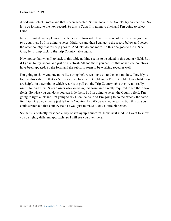dropdown, select Croatia and that's been accepted. So that looks fine. So let's try another one. So let's go forward to the next record. So this is Cuba. I'm going to click and I'm going to select Cuba.

Now I'll just do a couple more. So let's move forward. Now this is one of the trips that goes to two countries. So I'm going to select Maldives and then I can go to the record below and select the other country that this trip goes to. And let's do one more. So this one goes to the U.S.A. Okay let's jump back to the Trip Country table again.

Now notice that when I go back to this table nothing seems to be added in this country field. But if I go up to my ribbon and just do a Refresh All and there you can see that now those countries have been updated. So the form and the subform seem to be working together well.

I'm going to show you one more little thing before we move on to the next module. Now if you look in this subform that we've created we have an ID field and a Trip ID field. Now whilst these are helpful in determining which records to pull out the Trip Country table they're not really useful for end users. So end users who are using this form aren't really required to see these two fields. So what you can do is you can hide them. So I'm going to select the Country field, I'm going to right click and I'm going to say Hide Fields. And I'm going to do the exactly the same for Trip ID. So now we're just left with Country. And if you wanted to just to tidy this up you could stretch out that country field as well just to make it look a little bit neater.

So that is a perfectly reasonable way of setting up a subform. In the next module I want to show you a slightly different approach. So I will see you over there.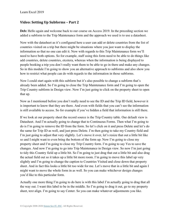#### **Video: Setting Up Subforms – Part 2**

**Deb:** Hello again and welcome back to our course on Access 2019. In the preceding section we added a subform to the Trip Maintenance form and the approach we used is to use a datasheet.

Now with the datasheet as it's configured here a user can add or delete countries from the list of countries visited on a trip but there might be situations where you just want to display the information so that no one can edit it. Now with regards to this Trip Maintenance form we'll need to have both options. So for example, staff using this form need to be able to do things like add countries, delete countries, etcetera, whereas when the information is being displayed to people booking a trip you don't really want them to be able to go in there and make any changes. So in this module I'm going to show you an alternative approach to subforms and also show you how to restrict what people can do with regards to the information in those subforms.

Now I could start again with this subform but it's also possible to change a subform that's already been added. So I'm going to close the Trip Maintenance form and I'm going to open the Trip Country subform in Design view. Now I'm just going to click on the property sheet to open that up.

Now as I mentioned before you don't really need to see the ID and the Trip ID field, however it is important to know that they are there. And even with fields that you can't see the information is still available to access. So for example if you've hidden a field that information is still there.

If we look at our property sheet the record source is the Trip Country table. Our default view is Datasheet. And I'm actually going to change that to Continuous Forms. Then what I'm going to do is I'm going to remove the ID from the form. So let's click on it and press Delete and let's do the same for Trip ID as well, and just press Delete. I'm then going to take my Country field and I'm just going to adjust that very slightly. Let's move it over, let's resize that out a little bit like so and I might want to even bring the bottom of the form up. Now I'm going to close my property sheet and I'm going to close my Trip Country form. I'm going to say Yes to save the changes. And now I'm going to go into Trip Maintenance in Design view. So now I'm just going to tidy this Country field up a little bit. So I'm going to just drag that out a little bit and also drag the actual field out so it takes up a little bit more room. I'm going to move this label up very slightly and I'm going to change the caption to Countries Visited and close down that property sheet. And in fact this looks a little bit too wide for me. Let's move that in a little bit and again I might want to move the whole form in as well. So you can make whichever design changes you'd like to this particular form.

Actually one more thing I'm going to do here is with this label I'm actually going to drag that all the way out. I want this label to be in the middle. So I'm going to drag it out, go to my property sheet, text align. I'm going to say Center. So you can make whatever adjustments you like.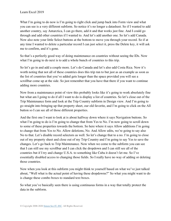What I'm going to do now is I'm going to right click and jump back into Form view and what you can see is a very different subform. So notice it's no longer a datasheet. So if I wanted to add another country, say Antarctica, I can go there, add it and that works just fine. And I could go through and add other countries if I wanted to. And let's add another one. So let's add Canada. Now also note your little Select buttons at the bottom to move you through your record. So if at any time I wanted to delete a particular record I can just select it, press the Delete key, it will ask me to confirm, and it's gone.

So that's a perfectly good way of doing maintenance on countries without seeing the IDs. Now what I'm going to do next is to add a whole bunch of countries to this trip.

So let's go in and add a couple more. Let's do Canada and let's also add Costa Rica. Now it's worth noting that not all of these countries does this trip run to but just as an example as soon as the list of countries that you've added gets longer than the space provided you will see a scrollbar come up at the side. So just remember that you have that there if you want to continue adding more countries.

Now from a maintenance point of view this probably looks like it's going to work absolutely fine but what am I going to do if all I want to do is display a list of countries. So let's close out of the Trip Maintenance form and look at the Trip Country subform in Design view. And I'm going to go straight into bringing up that property sheet, our old favorite, and I'm going to click on the All button so I can see all of those different properties.

And the first one I want to look at is about halfway down where it says Navigation buttons. So what I'm going to do is I'm going to change that from Yes to No. I'm now going to scroll down to some of these properties towards the bottom. So here where it says Allow additions I'm going to change that from Yes to No. Allow deletions, No. And Allow edits, we're going to say also No to that. Let's disable record selectors as well. So let's change that to a no. I'm going to close out of my property sheet and close out of my Trip Country and I'm going to say Yes to save the changes. Let's go back to Trip Maintenance. Now when we come to the subform you can see that I can still use my scrollbar and I can click the dropdown and I can still see all of the countries but if I try and change U.S.A. to something like Cuba it doesn't let me. So I've essentially disabled access to changing those fields. So I really have no way of adding or deleting those countries.

Now when you look at this subform you might think to yourself based on what we've just talked about, "Well what is the actual point of having these dropdowns?" So what you might want to do is change these combo boxes to standard text boxes.

So what you've basically seen there is using continuous forms in a way that totally protect the data in the subform.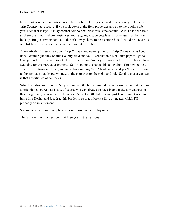Now I just want to demonstrate one other useful field. If you consider the country field in the Trip Country table record, if you look down at the field properties and go to the Lookup tab you'll see that it says Display control combo box. Now this is the default. So it is a lookup field so therefore in normal circumstances you're going to give people a list of values that they can look up. But just remember that it doesn't always have to be a combo box. It could be a text box or a list box. So you could change that property just there.

Alternatively if I just close down Trip Country and open up the form Trip Country what I could do is I could right click on this Country field and you'll see that in a menu that pops if I go to Change To I can change it to a text box or a list box. So they're currently the only options I have available for this particular property. So I'm going to change this to text box. I'm now going to close this subform and I'm going to go back into my Trip Maintenance and you'll see that I now no longer have that dropdown next to the countries on the righthand side. So all the user can see is that specific list of countries.

What I've also done here is I've just removed the border around the subform just to make it look a little bit neater. And as I said, of course you can always go back in and make any changes to this design that you want to. So I can see I've got a little bit of a gab just here. I might want to jump into Design and just drag this border in so that it looks a little bit neater, which I'll probably do in a moment.

So now what we essentially have is a subform that is display only.

That's the end of this section. I will see you in the next one.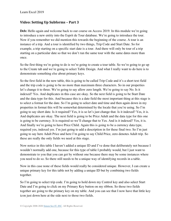#### **Video: Setting Up Subforms – Part 3**

**Deb:** Hello again and welcome back to our course on Access 2019. In this module we're going to introduce a new entity into the Esprit de Tour database. We're going to introduce the tour. Now if you remember we did mention this towards the beginning of the course. A tour is an instance of a trip. And a tour is identified by two things, Trip Code and Start Date. So for example, a trip starting on a specific start date is a tour. And there will only be tour of a trip starting on a particular date so that we don't run the same tour with the same dates more than once.

So the first thing we're going to do is we're going to create a tour table. So we're going to go up to the Create tab and we're going to select Table Design. And what I really want to do here is to demonstrate something else about primary keys.

So the first field in the new table, this is going to be called Trip Code and it's a short text field and the trip code is going to be no more than maximum three characters. So in our properties let's change it to three. We're going to say allow zero length. We're going to say No. Is it indexed? Yes. And duplicates in this case are okay. So the next field is going to be Start Date and the data type for this. And because this is a date field the most important thing at this stage is to select a format for the date. So I'm going to select date and time and then again down in my properties in format this will be somewhat determined by the locale that you're using. So I'm going to say short date. Is it required? Yes, it is so let's just change that. Is it indexed? Yes, it is. And duplicates are okay. The next field is going to be Price Adult and the data type for this one is going to be currency. It is required so we'll change that to Yes. And is it indexed? Yes, it is. And finally we're going to have Price Child. Again this is going to be a currency data type, required yes, indexed yes. I'm just going to add a description in for these final two. So I'm just going to say here Adult Price and here I'm going to say Child Price, zero denotes Adult trip. So these are really the only fields we need at this stage.

Now notice in this table I haven't added a unique ID and I've done that deliberately not because I wouldn't normally add one, because for this type of table I probably would, but I just want to demonstrate to you that you can get by without one because there may be some instances where you need to do so. So there still needs to be a unique way of identifying records in a table.

Now in this case none of these fields would really be considered unique. However, I can create a unique primary key for this table not by adding a unique ID but by combining two fields together.

So I'm going to select trip code. I'm going to hold down my Control key and also select Start Date and I'm going to click on my Primary Key button on my ribbon. So those two fields together are going to the primary key on my table. And you can see that I now have that little key icon just down here at the side next to those two fields.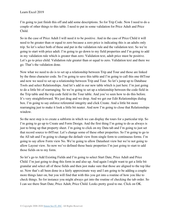I'm going to just finish this off and add some descriptions. So for Trip Code. Now I need to do a couple of other things to this table. I need to put in some validation for Price Adult and Price Child.

So in the case of Price Adult I will need it to be positive. And in the case of Price Child it will need to be greater than or equal to zero because a zero price is indicating this is an adults only trip. So let's select both of these and put in the validation rule and the validation text. So we're going to start with price adult. I'm going to go down to my field properties and I'm going to add in my validation rule which is greater than zero. Validation text, adult price must be positive. Let's go to price child. Validation rule greater than or equal to zero. Validation text and there we go. That's the validation done.

Now what we need to do is to set up a relationship between Trip and Tour and those are linked by the three character code. So I'm going to save this table and I'm going to call this one tblTour and now we need to set up a relationship between Trip and Tour. So let's jump up to Database Tools and select Relationships. And let's add in our new table which is just here. I'm just going to do a little bit of rearranging. So we're going to set up a relationship between the code field in the Trip table and the trip code field in the Tour table. And you've seen how to do this before. It's very straightforward. We just drag and we drop. And we get our Edit Relationships dialog box. I'm going to say enforce referential integrity and click Create. And a little bit more rearranging just to make it look a little bit neater. And now I'm going to close that Relationships window.

So the next step is to create a subform in which we can display the tours for a particular trip. So I'm going to go up to Create and Form Design. And the first thing I'm going to do as always is just to bring up that property sheet. I'm going to click on my Data tab and I'm going to just set that record source to tblTour. Let's change some of these other properties. So I'm going to go to the All tab and I'm going to change the default view from single form to continuous forms. I'm going to say allow Form view No. We're going to allow Datasheet view but we're not going to allow Layout view. So now we've defined those basic properties I'm just going to start to add those fields on to my form.

So let's go to Add Existing Fields and I'm going to select Start Date, Price Adult and Price Child. I'm just going to drag this form in and also up. And again I might want to get a little bit granular and select all of these fields and then just make sure that those are aligned to the top like so. Now that's all been done in a fairly approximate way and I am going to be adding a couple more things later on, but you will find that with this you get into a routine of how you like to check things. So for instance you might always get into the routine of checking the tab order. So I can see there Start Date, Price Adult, Price Child. Looks pretty good to me. Click on OK.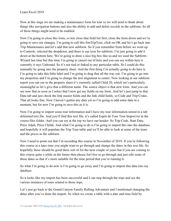Now at this stage we are making a maintenance form for tour so we will need to think about things like navigation buttons and also the ability to add and delete records in the subform. So all of those things might need to be enabled.

Now I'm going to close this form, so lets close that field list first, close the form down and we're going to save our changes. I'm going to call this frmTripTour, click on OK and let's go back into Trip Maintenance and let's add that new subform. So if you remember from before we went up to Controls, selected the dropdown, and there is our icon for subform. I'm just going to add it down at the bottom here. We're going to draw a nice big box like so and we used the Subform Wizard last time but this time I'm going to cancel out of here and you can see within here it currently it says Unbound. So it's not tied or linked to any particular table. So I could do this manually by going into the property sheet. And the first thing I'm actually going to do here is I'm going to take this little label and I'm going to drag that all the way out. I'm going to go into my properties and I'm going to change the text alignment to center. Now looking at our subform report you can see in the property sheet it's currently called Child 20, which isn't particularly meaningful so let's give that a different name. The source object is that new form. And you can see now that as soon as I select that I now get my fields on my form. And let's just jump to that Data tab and just check the link master fields and the link child fields, so Code and Trip Codes. That all looks fine. Now I haven't gotten any data yet so I'm going to add some data in a moment, but for now I'm going to save this as it is.

Now I'm going to import some tour information and I have my tour information stored in a tab delimited text file. And you'll find this text file, it's called Esprit de Tour Tour Import.txt in the course files folder. And you can see at the top we have our header. So Trip Code, Start Date, Price Adult, Price Childe. And what I'm going to do is I'm going to import this into the database and hopefully it will populate the Trip Tour table and we'll be able to look at some of the tours and the prices in the subform.

Now I need to point out that I'm recording this course in November of 2019. If you're following this course at a later time you might want to go through and change the dates in this text file. So hopefully these should be good there sort of for the next couple of years but if you are coming to this course quite a while in the future then please feel free to go through and just edit some of these dates so that it's more suitable for the time period that you're running it.

So what I'm going to do now is I'm going to go away and I'm going to import this data into my database.

So it looks like my import has been successful and I can step through the trips and see the various instances of tours related to those trips.

Let's just go back to the Grand Canyon Family Rafting Adventure and I mentioned changing the dates after you've done the import. So when we create a table with a date and time field by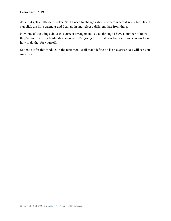default it gets a little date picker. So if I need to change a date just here where it says Start Date I can click the little calendar and I can go in and select a different date from there.

Now one of the things about this current arrangement is that although I have a number of tours they're not in any particular date sequence. I'm going to fix that now but see if you can work out how to do that for yourself.

So that's it for this module. In the next module all that's left to do is an exercise so I will see you over there.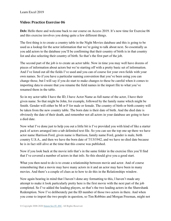### **Video: Practice Exercise 06**

**Deb:** Hello there and welcome back to our course on Access 2019. It's now time for Exercise 06 and this exercise involves you doing quite a few different things.

The first thing is to create a country table in the Night Movies database and this is going to be used as a lookup for the actor information that we're going to talk about next. So essentially as you add actors to the database you'll be confirming that their country of birth is in that country list and also selecting their country of birth. So that's the first part of the job.

The second part of the job is to create an actor table. Now in time you may well have dozens of pieces of information about actors but we're starting off with a pretty basic set of information. And I've listed out all the fields I've used and you can of course list your own fields with your own names. So if you have a particular naming convention that you've been using you can change those, but I will say if you do start to make changes to these be careful when it comes to importing data to ensure that you rename the field names in the import file to what you've renamed them in the table.

So in my actor table I have the ID, I have Actor Name as full name of the actor, I have their given name. So that might be John, for example, followed by the family name which might be Smith. Gender will either be M or F for male or female. The country of birth or birth country will be taken from the new country table. The born date is their date of birth. And the died date is obviously the date of their death, and remember not all actors in your database are going to have a died date.

Now what I've done just to help you out a little bit is I've provided you with kind of like a starter pack of actors arranged into a tab delimited text file. So you can see the top one up there we have actor name Harrison Ford, given name is Harrison, family name Ford, gender is male, birth country U.S.A., and then we have the born date of 7/13/1942, and we have no died date because he is in fact still alive at the time that this course was published.

Now if you look back at the movie info that's in the same folder in the exercise files you'll find that I've covered a number of actors in that info. So this should give you a good start.

What you then need to do is to create a relationship between movie and actor. And of course remembering that a movie may have many actors in it and an actor may have been in many movies. And there's a couple of clues as to how to do this in the Relationships window.

Now again bearing in mind that I haven't done any formatting to this, I haven't made any attempt to make it look particularly pretty here is the first movie with the next part of the job completed. So I've added the leading players, so that's the two leading actors in the Shawshank Redemption. Now I've deliberately put the ID number of those two actors in there. And when you come to import the two people in question, so Tim Robbins and Morgan Freeman, might not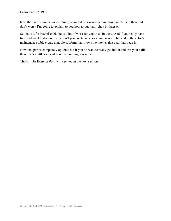have the same numbers as me. And you might be worried seeing those numbers in there but don't worry I'm going to explain to you how to put that right a bit later on.

So that's it for Exercise 06. Quite a lot of work for you to do in there. And if you really have time and want to do more why don't you create an actor maintenance table and in the actor's maintenance table create a movie subform that shows the movies that actor has been in.

Now that part is completely optional but if you do want to really get into it and test your skills then that's a little extra add on that you might want to do.

That's it for Exercise 06. I will see you in the next section.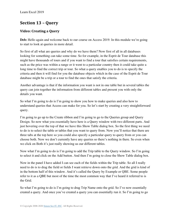# **Section 13 – Query**

# **Video: Creating a Query**

Deb: Hello again and welcome back to our course on Access 2019. In this module we're going to start to look at queries in more detail.

So first of all what are queries and why do we have them? Now first of all in all databases looking for something can take some time. So for example, in the Esprit de Tour database this might have thousands of tours and if you want to find a tour that satisfies certain requirements, such as the price was within a range or it went to a particular country then it could take quite a long time to find the correct trip or tour. So what a query enables you to do is to specify the criteria and then it will find for you the database objects which in the case of the Esprit de Tour database might be a trip or a tour to find the ones that satisfy the criteria.

Another advantage is that if the information you want is not in one table but in several tables the query can join together the information from different tables and present you with only the details you want.

So what I'm going to do is I'm going to show you how to make queries and also how to understand queries that Access can make for you. So let's start by creating a very straightforward query.

I'm going to go up to the Create ribbon and I'm going to go to the Queries group and Query Design. So now what you essentially have here is a Query window with two different parts. And just hovering over the top of that we have this Show Table dialog box. So the first thing we need to do is to select the table or tables that you want to query from. Now you'll notice that there are three tabs at the top here so you could also specify a particular query to query from or you can choose both. Now we don't currently have any queries so there's nothing in there. So even when we click on Both it's just really showing us our different tables.

Now what I'm going to do is I'm going to add the Trip table to the Query window. So I'm going to select it and click on the Add button. And then I'm going to close the Show Table dialog box.

Now in the panel I have added I can see each of the fields within the Trip table. So all I really need to do is to drag the field or fields I want retrieve down onto the grid. And the grid is kind of in the bottom half of this window. And it's called the Query by Example or QBE. Some people refer to it as a QBE but most of the time the most common way that I've heard it referred to is the Grid.

So what I'm going to do is I'm going to drag Trip Name onto the grid. So I've now essentially created a query. And once you've created a query you can essentially run it. So I'm going to go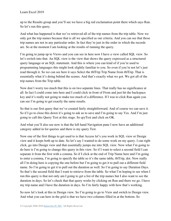up to the Results group and you'll see we have a big red exclamation point there which says Run. So let's run this query.

And what has happened is that we've retrieved all of the trip names from the trip table. Now we only got the trip names because that is all we specified as our criteria. And you can see that those trip names are not in any particular order. In fact they're just in the order in which the records are. So at the moment I am looking at the results of running the query.

I'm going to jump up to Views and you can see in here now I have a view called SQL view. So let's switch into that. An SQL view is the view that shows the query expressed as a structured query language or an SQL statement. And this is where you can kind of if you're used to programming languages this might look slightly familiar to you. So even if you're not let's just read through it. So we can see here it says Select the tblTrip Trip Name from tblTrip. That is essentially what it's doing behind the scenes. And that's exactly what we got. We got all of the trip names from the Trip table.

Now don't worry too much that this is on two separate lines. That really has no significance at all. In fact I could come into here and I could click in front of From and just hit the backspace key and it's really not going to make too much of a difference. If I was to click Run again you can see I'm going to get exactly the same results.

So that is our first query that we've created fairly straightforward. And of course we can save it. So if I go to close this down it's going to ask us to save and I'm going to say Yes. And I'm just going to call this Query Test at this stage. So qryTest and click on OK.

And what you'll also see now is that the left hand Navigation pane I now have an additional category added in for queries and there is my query Test.

Now one of the first things to get used to is that Access let's you work in SQL view or Design view and it keeps both up to date. So let's say I wanted to do some work on my query. I can right click, go into Design view and that essentially jumps me into SQL view. Now what I'm going to do here is I'm going to change this query in this view. So if I want to select a second field I can separate it from the first with a comma. So if I click at the end of Trip Name here and I'm going to enter a comma, I'm going to specify the table so it's the same table, tblTrip, dot. Now really all I'm doing here is copying the one before but I'm going to get it to pull out a different field name. So I'm going to get it to pull out the duration as well. So I'm going to say Duration Days. So that's the second field that I want to retrieve from the table. So what I'm hoping to see when I run this query is that not only am I going to get a list of the trip names but I also want to see the duration in days. So let's check that that query works by clicking on Run and there we go. I have my trip name and I have the duration in days. So I'm fairly happy with how that's working.

So now let's look at this in Design view. So I'm going to go to View and switch to Design view. And what you can here in the grid is that we have two columns filled in at the bottom. So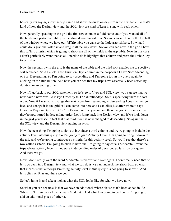basically it's saying show the trip name and show the duration days from the Trip table. So that's kind of how the Design view and the SQL view are kind of kept in sync with each other.

Now generally speaking in the grid the first row contains a field name and if you wanted all of the fields in a particular table you can drag down this asterisk. So you can see here in the top half of the window where we have our tblTrip table you can see the little asterisk here. So what I could do is grab that asterisk and drag it all the way down. So you can see now in the grid I have this tblTrip asterisk which is going to show me all of the fields in the trip table. Now in this case I don't particularly want that so all I need to do is highlight that column and press the Delete key to get rid of it.

Now the second row in the grid is the name of the table and the third row enables me to specify a sort sequence. So if I click in the Duration Days column in the dropdown I have Sort Ascending or Sort Descending. So I'm going to say ascending and I'm going to run my query again by clicking on the Run button. And now you can see that my trips have essentially been sorted by duration in ascending order.

Now if I go back to our SQL statement, so let's go to View and SQL view, you can see that we now have a new row. So it says Order by tblTrip.durationdays. So it's specifying there the sort order. Now if I wanted to change that sort order from ascending to descending I could either go back and change it in the grid or I can come into here and I can click just after where it says Duration Days and type in DESC. Let's run our query again and there we go. You can see that they're now sorted in descending order. Let's jump back into Design view and if we look down in the grid you'll see in fact that that third row has now changed to descending. So again that is the SQL view and the Design view staying in sync.

Now the next thing I'm going to do is to introduce a third column and we're going to include the activity level into this query. So I'm going to grab Activity Level, I'm going to bring it down to the grid and we're going to introduce a criteria for this activity level. So you'll see that there's a row called Criteria. I'm going to click in here and I'm going to say equals Moderate. I want the trips whose activity level is moderate in descending order of duration. So let's run our query. And there we go.

Now I don't really want the word Moderate listed over and over again. I don't really need that so let's go back into Design view and what we can do is we can uncheck the Show box. So what that means is that although I'm using activity level in this query it's not going to show it. And let's click on Run and there we go.

So let's jump in and take a look at what the SQL looks like for what we have now.

So what you can see now is that we have an additional Where clause that's been added in. So Where tblTrip Activity Level equals Moderate. And what I'm going to do here is I'm going to add an additional piece of criteria.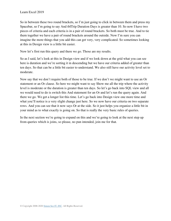So in between these two round brackets, so I'm just going to click in between them and press my Spacebar, so I'm going to say And tblTrip Duration Days is greater than 10. So now I have two pieces of criteria and each criteria is in a pair of round brackets. So both must be true. And to tie them together we have a pair of round brackets around the outside. Now I'm sure you can imagine the more things that you add this can get very, very complicated. So sometimes looking at this in Design view is a little bit easier.

Now let's first run this query and there we go. Those are my results.

So as I said, let's look at this in Design view and if we look down at the grid what you can see here is duration and we're sorting it in descending but we have our criteria added of greater than ten days. So that can be a little bit easier to understand. We also still have our activity level set to moderate.

Now say that we don't require both of those to be true. If we don't we might want to use an Or statement or an Or clause. So here we might want to say Show me all the trip where the activity level is moderate or the duration is greater than ten days. So let's go back into SQL view and all we would need to do is switch this And statement for an Or and let's run the query again. And there we go. We get a longer list this time. Let's go back into Design view one more time and what you'll notice is a very slight change just here. So we now have our criteria on two separate rows. And you can see that it now says Or at the side. So it just helps you organize a little bit in your mind as to what exactly is going on. So that is really the very basic rules of queries.

In the next section we're going to expand on this and we're going to look at the next step up from queries which is joins, so please, no pun intended, join me for that.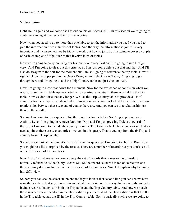#### **Video: Joins**

Deb: Hello again and welcome back to our course on Access 2019. In this section we're going to continue looking at queries and in particular Joins.

Now when you need to go to more than one table to get the information you need you need to join the information from a number of tables. And the way the information is joined is very important and it can sometimes be tricky to work out how to join. So I'm going to cover a couple of basic examples of SQL queries that involve joins of tables.

Now we're going to carry on using our test query or query Test and I'm going to into Design view. And I'm going to clear out this criteria. So I'm just going delete out that and that. And I'll also do away with the sort for the moment but I am still going to reference the trip table. Now if I right click on the upper part in the Query Designer and select Show Table, I'm going to go through here and I'm going to add the Trip Country table and just click on Add.

Now I'm going to close that down for a moment. Now for the avoidance of confusion when we originally set the trip table up we started off by putting a country in there as a field in the trip table. Now we don't use that any longer. We use the Trip Country table to provide a list of countries for each trip. Now when I added this second table Access looked to see if there are any relationships between these two and of course there are. And you can see that relationship just there in the middle.

So now I'm going to run a query to list the countries for each trip. So I'm going to remove Activity Level, I'm going to remove Duration Days and I'm just pressing Delete to get rid of those, but I'm going to include the country from the Trip Country table. Now you can see that we need a join as there are two countries involved in this query. That is country from the tblTrip and country from tblTripCountry.

So before we look at the join let's first of all run this query. So I'm going to click on Run. Now you might be a little surprised by the results. There are a number of records but you don't see all of the trips or all of the countries.

Now first of all whenever you run a query the set of records that comes out as a result is normally referred to as the Query Record Set. So the record set here has ten or so records and they certainly don't include all of the trips or all of the countries. Now I'll explain why by going into SQL view.

So here you can see the select statement and if you look at that second line you can see we have something in here that says Inner Join and what inner join does is to say that we're only going to include records that exist in both the Trip table and the Trip Country table. And how we match those is whatever is specified in the On condition just there. And the On condition is that the ID in the Trip table equals the ID in the Trip Country table. So it's basically saying we are going to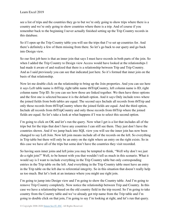see a list of trips and the countries they go to but we're only going to show trips where there is a country and we're only going to show countries where there is a trip. And of course if you remember back to the beginning I never actually finished setting up the Trip Country records in this database.

So if I open up the Trip Country table you will see the trips that I've set up countries for. And there's definitely a few of them missing from there. So let's go back to our query and go back into Design view.

So our first job here is that an inner join that says I must have records in both parts of the join. So when I added the Trip Country to Design view Access would have looked at the relationships I had made it aware of and realized that there is a relationship between Trip and Trip Country. And as I said previously you can see that indicated just here. So it's formed that inner join on the basis of that relationship.

Now let me double click on the relationship to bring up the Join properties. And you can see here it says Left table name is tblTrip, right table name tblTripCountry, left column name is ID, right column name Trip ID. So you can see how those are linked together. We then have three options and the first one is selected because it is the default option. And it says Only include rows where the joined fields from both tables are equal. The second says Include all records from tblTrip and only those records from tblTripCountry where the joined fields are equal. And the third option, Include all records from tblTripCountry and only those records from tblTrip where the joined fields are equal. So let's take a look at what happens if I was to select this second option.

I'm going to click on OK and let's run the query. Now what I get is a list that includes all of the trips but for the trips that don't have any countries I can still see them. They just don't have the countries shown. And if we jump back into SQL view you will see the inner join has now been changed to say Left Join. Now left join means include all of the records on the left. So everything in Trip table but there will only be an entry on the right where an entry on the right exists. So in this case we have all of the trips but some don't have the countries they visit recorded.

So having seen inner joins and left joins you may be tempted to think, "Well why don't we just do a right join?" Well, to be honest with you that wouldn't tell us much in this scenario. What it would say is I want to include everything in the Trip Country table but only corresponding entries in the Trip table on the left. And everything in the Trip Country table must have an entry in the Trip table on the left due to referential integrity. So in this situation that doesn't really help us too much. But let's look at an instance where you might use right join.

I'm going to jump into Design view and I'm going to show the Country table. And I'm going to remove Trip Country completely. Now notice the relationship between Trip and Country. In this case we have a relationship based on the old country field in the trip record. So I'm going to take country from the Country table and we've already got trip name from the Trip table and I'm going to double click on that join, I'm going to say I'm looking at right, and let's run that query.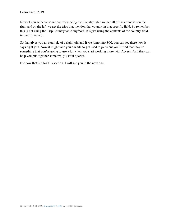Now of course because we are referencing the Country table we get all of the countries on the right and on the left we get the trips that mention that country in that specific field. So remember this is not using the Trip Country table anymore. It's just using the contents of the country field in the trip record.

So that gives you an example of a right join and if we jump into SQL you can see there now it says right join. Now it might take you a while to get used to joins but you'll find that they're something that you're going to use a lot when you start working more with Access. And they can help you put together some really useful queries.

For now that's it for this section. I will see you in the next one.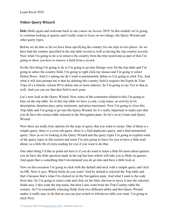### **Video: Query Wizard**

**Deb:** Hello again and welcome back to our course on Access 2019. In this module we're going to continue looking at queries and I really want to focus on two things, the Query Wizard and other query types.

Before we do that so far we have been specifying the country for our trips in two places. So we have had the country specified in the trip table record as well as having the trip country records. Now what I'm going to do is to remove the country from the trip record and as part of that I'm going to show you how to remove a field from a record.

So the first thing I'm going to do is I'm going to go into Design view for the trip table and I'm going to select the country field, I'm going to right click my mouse and I'm going to select Delete Rows. And it's asking me do I want to permanently delete so I'm going to click Yes. And what it will also prompt me is that by deleting this country field it requires the Esprit de Tour Trips of a Lifetime version 09 to delete one or more indexes. So I'm going to say Yes to that as well. And you can see that that field is now gone.

Let's now look at the Query Wizard. Now some of the comments related to this I'm going to base on the trip table. So in this trip table we have a code, a trip name, an activity level, description, duration days, price minimum, and price maximum. Now I'm going to close this Trip table and I'm going to go into the Query Wizard. So it's really important to make sure that you do have the correct table selected in the Navigation pane. So let's so to Create and Query Wizard.

Now there are really four options for the type of query that you want to create. One of them is a simple query, there is a cross tab query, there is a find duplicates query, and a find unmatched query. Now as we're looking at the Query Wizard and the query types I'm going to explain some of the query types in this section and some I'm just going to leave for you to have a little read about, so a little bit of extra reading for you if you want to do that.

One other thing I'd like to point out here is if you do want to learn a little bit more about queries you do have the little question mark in the top bar here which will take you to Help on queries. And again that is something that I recommend you do go into and have a little look at.

Now on this occasion I'm going to stick with the default and stick with a simple query and click on OK. Now it says, Which fields do you want? And by default it selected the Trip table and that's because that's what I'm clicked on in the Navigation pane. And what I want is the code from that. So I'm going to select code and click on the little chevron to move it into the selected fields area. I also want the trip name, but then I also want from the Trip Country table the country. So I'm essentially selecting fields from two different tables and this Query Wizard makes it really easy to do that as you can just switch to whichever table you want. I'm going to click Next.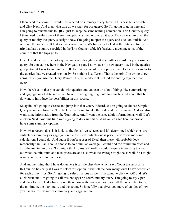I then need to choose if I would like a detail or summary query. Now in this case let's do detail and click Next. And then what title do we want for our query? So I'm going to go in here and I'm going to rename this to QRY, just to keep the same naming convention, Trip Country query. I then need to select one of these two options at the bottom. So it says, Do you want to open the query or modify the query's design? Now I'm going to open the query and click on Finish. And we have the same result that we had earlier on. So it's basically looked at the data and for every trip that has a country specified in the Trip Country table it's basically given me a list of the countries that the trips go to.

Once I've done that I've got a query and even though I created it with a wizard it's just a simple query. So you can see here in the Navigation pane I now have my new query listed in the queries group. And if I was to go into the SQL for this you would see it pretty much looks very similar to the queries that we created previously. So nothing is different. That's the point I'm trying to get across when you use the Query Wizard. It's just a different method for putting together that query.

Now there's a lot that you can do with queries and you can do a lot of things like summarizing and aggregation of data and so on. Now I'm not going to go into too much detail about that but I do want to introduce the possibilities in this course.

So again let's go up to Create and jump into that Query Wizard. We're going to choose Simple Query again and from the Trip table we're going to take the code and the trip name. And we also want some information from the Tour table. And I want the price adult information as well. Let's click on Next. And this time we're going to do a summary. And you can see here underneath I have some summary options.

Now what Access does is it looks at the fields I've selected and it's determined which ones are suitable for summary or aggregation. So the most suitable one is price. So it offers me some calculations I could do. And again if you're a user of Excel then these will probably look reasonably familiar. I could choose to do a sum, an average. I could find the minimum price and also the maximum price. So I might think to myself, well, it could be quite interesting to check out what the minimum and max prices are and also what the average might be as well. So I might want to select all three of these.

And another thing that I have down here is a little checkbox which says Count the records in tblTour. So basically if I was to select this option it will tell me how many tours I have scheduled for each of my trips. So I'm going to select that one as well. I'm going to click on OK and let's click Next and I'm going to call this one qryTripTourSummary query. I'm going to say Open and click Finish. And what you see there now is the average price over all the scheduled tours, the minimum, the maximum, and the count. So hopefully that gives you more of an idea of how you can use this wizard for summary and aggregation.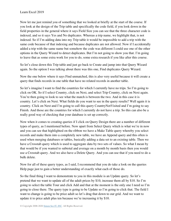Now let me just remind you of something that we looked at briefly at the start of the course. If you look at the design of the Trip table and specifically the code field, if you look down in the field properties in the general where it says Field Size you can see that the three character code is indexed, and so it says Yes and No duplicates. Whereas a trip name, we highlight that, is not indexed. So if I'm adding data into my Trip table it would be impossible to add a trip with the same code because of that indexing and because duplicates are not allowed. Now if I accidentally added a trip with the same name but somehow the code was different I could use one of the other options in the Query Wizard to detect duplicates. But I'm not going to show you that. I'm going to leave that as some extra work for you to do, some extra research if you like after this course.

So let's close down this Trip table and just go back to Create and jump into that Query Wizard again. So the option I was talking about there was this one, Find duplicates Query Wizard.

Now the one below where it says Find unmatched, this is also very useful because it will create a query that finds records in one table that have no related records in another table.

So let's imagine I want to find the countries for which I currently have no trips. So I'm going to click on OK. So if I select Country, click on Next, and select Trip Country, click on Next again. You're then going to look to see what the match is between the two. And in this case it is country. Let's click on Next. What fields do you want to see in the query results? Well again it is country. Click on Next and I'm going to call this query CountryNotVisited and I'm going to say Finish. And those are the countries for which I currently do not have a trip. So this can also be a really good way of checking that your database is set up correctly.

Now when it comes to creating queries if I click on Query Design there are a number of different types of query, as I mentioned before. Now apart from Select Query which is what we're in now and you can see that highlighted on the ribbon we have a Make Table query whereby you select records and make them into a completely new table, we have an Append query and this often is used when merging databases or tables, basically adding a data set to an existing table. Then we have a Crosstab query which is used to aggregate data by two sets of values. So what I mean by that would be if you wanted to subtotal and average on a month by month basis then you would use a Crosstab query. And we also have a Delete Query. And you can use that if you need to do a bulk delete.

Now for all of these query types, as I said, I recommend that you do take a look on the queries Help page just to gain a better understanding of exactly what each of those do.

So the final thing I want to demonstrate to you in this module is an Update query. So let's pretend that we want to update all of the adult prices by \$10, increase them all by \$10. So I'm going to select the table Tour and click Add and that at the moment is the only one I need so I'm going to close there. The query type is going to be Update so I'm going to click that. The field I want to change is going to be price adult so let's drag that down to our grid. And we want to update it to price adult plus ten because we're increasing it by \$10.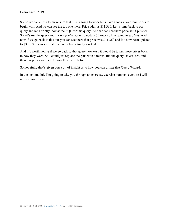So, so we can check to make sure that this is going to work let's have a look at our tour prices to begin with. And we can see the top one there. Price adult is \$11,360. Let's jump back to our query and let's briefly look at the SQL for this query. And we can see there price adult plus ten. So let's run the query and it says you're about to update 70 rows so I'm going to say Yes. And now if we go back to tblTour you can see there that price was \$11,360 and it's now been updated to \$370. So I can see that that query has actually worked.

And it's worth noting if we go back to that query how easy it would be to put those prices back to how they were. So I could just replace the plus with a minus, run the query, select Yes, and then our prices are back to how they were before.

So hopefully that's given you a bit of insight as to how you can utilize that Query Wizard.

In the next module I'm going to take you through an exercise, exercise number seven, so I will see you over there.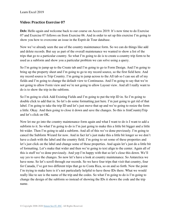#### **Video: Practice Exercise 07**

Deb: Hello again and welcome back to our course on Access 2019. It's now time to do Exercise 07 and Exercise 07 follows on from Exercise 06. And in order to set up this exercise I'm going to show you how to overcome an issue in the Esprit de Tour database.

Now we've already seen the use of the country maintenance form. So we can do things like add and delete records. But say as part of the overall maintenance we wanted to show a list of the trips that go to a particular country. So what I'm going to do is to create a country trip form to be used as a subform and show you a particular problem we can solve using a query.

So I'm going to jump up to the Create tab and I'm going to go to Form Design. And I'm going to bring up the property sheet and I'm going to go to my record source, so the first field here. And my record source is Trip Country. I'm going to jump across to the All tab so I can see all of my fields and I'm going to change the default view to Continuous. And I'm going to say that we're not going to allow Form view and we're not going to allow Layout view. And all I really want to do is to show the trip in the subform.

So I'm going to click Add Existing Fields and I'm going to put the trip ID in. So I'm going to double click to add that in. So let's do some formatting just here. I'm just going to get rid of that label. I'm going to take the trip ID and let's just move that up and we're going to resize the form a little. Okay. And then going to close it down and save the changes. So this is frmCountryTrip and let's click on OK.

Now let me go into the country maintenance form again and what I want to do is I want to add a subform to it. So what I'm going to do is I'm just going to make this a little bit bigger and a little bit wider. Then I'm going to add a subform. And all of this we've done previously. I'm going to cancel the Subform Wizard for now. And in fact let's just make this a little bit longer so we don't have a clash with the label and the country field. I'm going to set some of these properties and let's just click on the label and change some of those properties. And again let's just do a little bit of formatting. Let's make that wider and then we're going to text align to the center. Again all of this is stuff we've done previously. And yep I'm happy with that so let's close this down. We'll say yes to save the changes. So now let's have a look at country maintenance. So Antarctica we have none. So let's scroll through our records. So we have four trips that visit that country, four for Canada, I've got two different trips that go to Costa Rica, so on and so forth. Now the point I'm trying to make here is it's not particularly helpful to have those IDs there. What we would really like to see is the name of the trip and the codes. So what I'm going to do is I'm going to change the design of the subform so instead of showing the IDs it shows the code and the trip name.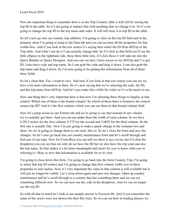Now the important thing to remember here is in the Trip Country table it will still be storing the trip ID in the table. So it's not going to replace that with anything that we change it to. So it's not going to change the trip ID to the trip name and codes. It will still store it as trip ID in the table.

So let's now go into our country trip subform. I'm going to click on the trip ID field and in the property sheet I'm going to jump to the Data tab and you can see here all the properties for that combo box. And if you look at the row source it's saying here select the ID from tblTrip or the Trip table. And what I can do is I can actually change that. So if I click in that field you'll see the little ellipses to the righthand side, those three little dots, if I click those it will take me into the Query Builder or Query Designer. And you can see here I have access to my tblTrip and I've got ID. I also have code and trip name. So I can grab the code and drag it down. I can also grab the trip name and drag it down. So I'm now going to be getting this information from all of these three fields.

So let's close that. Yes, I want to save. And now if you look in that row source you can see we have a lot more information in there. So it's now saying that we're selecting the code, the ID, and the trip name from tblTrip. And let's just make this a little bit wider so it's a bit easier to see.

Now one thing that's very important here is that now I'm selecting three things to display in that control. Which one of them is the bound column? So which of those three is bound to the control source trip ID? And it's the first column, which you can see there in that bound column field.

Now let's jump across to our Format tab and we're going to say that instead of one column we've actually got three. And you can see under there the width of each column. So we have 0.2813 inches for the first column, 0.375 for the second and 3.0625 for the third column. So the first one is actually fine. Now I'm just going to make a quick change to the columns two and three. So we're going to change them to one inch, like so. So let's close the form and save the changes. So let's now go back into our country maintenance form and let's scroll through and find one of our trips. Now for Costa Rica you can still see there it says seven, but if I click the dropdown you can see that not only do we have the ID but we also have the trip code and also the trip name. So that makes it a lot more meaningful and easier for you to know what you're referring to. Okay so now that information is available for us to view.

I'm going to close down this form. I'm going to go back into the form Country Trip, I'm going to select that trip ID control and I'm going to change that first column width over in these properties to zero inches. Now it's very important the value in that column is still available but it will just no longer be visible. Let's close down again and save our changes. Open up country maintenance and let's scroll through to a country that has something there and we can see something different now. So we can now see the code in the dropdown. And we can no longer see the trip ID.

So with all that in mind let's look at our sample answer to Exercise 06. And if you remember the name of the actors were not shown but their IDs were. So we can see here in leading players we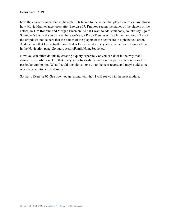have the character name but we have the IDs linked to the actors that play these roles. And this is how Movie Maintenance looks after Exercise 07. I'm now seeing the names of the players or the actors, so Tim Robbins and Morgan Freeman. And if I want to add somebody, so let's say I go to Schindler's List and you can see there we've got Ralph Fiennes or Ralph Fiennes. And if I click the dropdown notice here that the names of the players or the actors are in alphabetical order. And the way that I've actually done that is I've created a query and you can see the query there in the Navigation pane. So query ActorsFamilyNameSequence.

Now you can either do this by creating a query separately or you can do it in the way that I showed you earlier on. And that query will obviously be used on this particular control or this particular combo box. What I could then do is move on to the next record and maybe add some other people into here and so on.

So that's Exercise 07. See how you get along with that. I will see you in the next module.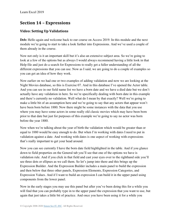# **Section 14 – Expressions**

# **Video: Setting Up Validations**

Deb: Hello again and welcome back to our course on Access 2019. In this module and the next module we're going to start to take a look further into Expressions. And we've used a couple of them already in the course.

Now not only is it an important skill but it's also an extensive subject area. So we're going to look at a few of the options but as always I would always recommend having a little look in that Help file and just do a search for Expressions to really get a fuller understanding of all the different expressions that you can use. Now as I said, we are going to do a couple of examples so you can get an idea of how they work.

Now earlier on we had one or two examples of adding validation and now we are looking at the Night Movies database, so this is Exercise 07. And in this database I've opened the Actor table. And you can see in our field name list we have a born date and we have a died date but we don't actually have any validation in here. So we're specifically dealing with born date in this example and there's currently no validation. Well what do I mean by that exactly? Well we're going to make a little bit of an assumption here and we're going to say that any actors that appear won't have been born before 1880. Now there might be some instances with the data that you use where you may have some actors in some really old classic movies which may have been born prior to that date but just for purposes of this example we're going to say no actor was born before the year 1880.

Now when we're talking about the year of birth the validation which would be greater than or equal to 1880 would be easy enough to do. But when I'm working with dates I need to put in validation against a date. And working with dates is one aspect of working with expressions that's really important to get your head around.

Now you can see currently I have the born date field highlighted in the table. And if you glance down to field properties on the General tab you'll see that one of the options we have is validation rule. And if you click in that field and cast your eyes over to the righthand side you'll see three dots or ellipses as we call them. So let's jump into there and this brings up the Expression Builder. And the Expression Builder includes a main panel to build the expression and then below that three other panels, Expression Elements, Expression Categories, and Expression Values. And if I want to build an expression I can build it in the upper panel using components from the lower panel.

Now in the early stages you may use this panel but after you've been doing this for a while you will find that you can probably type in to the upper panel the expression that you want to use, but again that just takes a little bit of practice. And once you have been using it for a while you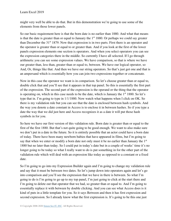might very well be able to do that. But in this demonstration we're going to use some of the elements from those lower panels.

So our basic requirement here is that the born date is no earlier than 1880. And what that means is that the date is greater than or equal to January the  $1<sup>st</sup> 1880$ . Or perhaps we could say greater than December the 31<sup>st</sup> 1879. Now that expression is in two parts. First there is an operator and the operator is greater than or equal to or greater than. And if you look at the first of the lower panels expression elements one section is operators. And when you select operators you can see the expression categories there in the middle. So currently I have all selected. If I go through arithmetic you can see some expression values. We have comparison, so that is where we have our greater than, less than, greater than or equal to, between. We have our logical operator, so And, Or, things like that. And then we have our string operators. So that's just got one and that is an ampersand which is essentially how you can join two expressions together or concatenate.

Now in this case the operator we want is in comparison. So let's choose greater than or equal to, double click that and you'll see that it appears in that top panel. So this is essentially the first part of the expression. The second part of the expression is the operand or the thing that the operator is operating on, which in this case needs to be the date, which is January the  $1<sup>st</sup> 1880$ . So let's type that in. I'm going to type in 1/1/1880. Now watch what happens when I click on OK. So there is my validation rule but you can see that the date is enclosed between hash symbols. And the way you denote a date constant in Access is to enclose it in between hashes. So if you type a date the way that we did just here and Access recognizes it as a date it will put those hash symbols in for you.

So here we have our first version of this validation rule. Born date is greater than or equal to the first of the first 1880. But that's not quite going to be good enough. We want to also make sure we don't put in a date in the future. So it is entirely possible that an actor could have a born date of today. There have been many newborn babies that have appeared in films, but I'm going to say that when we enter or modify a born date not only must it be no earlier than January the 1<sup>st</sup> 1880 but no later than today. So I could put in today's date but in a couple of weeks' time it's no longer going to be today so what I really want to do is put something in for the other part of the validation rule which will deal with an expression like today as opposed to a constant or a fixed date.

So I'm going to go into my Expression Builder again and I'm going to change my validation rule and say that it must be between two dates. So let's jump down into operators again and let's go into comparison and you'll see the expression that we have in there is between. So what I'm going to do is I'm going to go up to my top panel, I'm just going to click at the start there and I'm going to delete out that operator that we had, so greater than or equal to. And I'm going to essentially replace it with between by double clicking. And you can see what Access does is it kind of puts in a little template for you. So it says Between and then it has first expression and second expression. So I already know what the first expression is. It's going to be this one just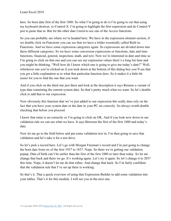here. So born date first of the first 1880. So what I'm going to do is I'm going to cut that using my keyboard shortcut, so Control-X. I'm going to highlight the first expression and do Control-V just to paste that in. But for the other date I need to use one of the Access functions.

So you can probably see where we're headed here. We have in the expression element section, if we double click on Functions you can see that we have a folder essentially called Built-in Functions. And we have some expression categories again. So expressions are divided down into these different categories. So we have some conversion expressions or functions, date and time functions, financial, general, inspection, math, and text. Now we're interested in date and time so I'm going to click on that one and you can see our expression values there's a long list here and you might be thinking, "Well how do I know which one is going to give me today's date?" Well, whichever one you're clicked on if you look down at the bottom of this dialog box you'll see that you get a little explanation as to what that particular function does. So it makes it a little bit easier for you to find the one that you want.

And if you click on the third one just there and look at the description it says Returns a variant of type date containing the current system date. So that's pretty much what we want. So let's double click to add that to our expression.

Now obviously this function that we've just added to our expression this really does rely on the fact that you have your system date or the date in your PC set correctly. So always worth double checking that before you proceed.

I know that mine is set correctly so I'm going to click on OK. And if you look now down in our validation rule we can see what we have. It says Between the first of the first 1880 and today's date.

Now let me go to the field below and put some validation text in. I'm then going to save that validation and let's take it for a test drive.

So let's pick a record here. Let's go with Morgan Freeman's record and I'm just going to change the born date from six of the first 1937 to 1837. Nope. So there we're getting our validation popup. Date of birth can't be earlier than the first of the first 1880 or later than today. So let me change that back and there we go. It's working again. Let's try it again. So let's change it to 2037 this time. Nope, it doesn't let me do that either. And change that back. So I'm fairly confident that the validation rule that I've set up there is working.

So that's it. That a quick overview of using that Expression Builder to add some validation into your tables. That's it for this module. I will see you in the next one.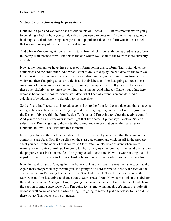#### **Video: Calculation using Expressions**

Deb: Hello again and welcome back to our course on Access 2019. In this module we're going to be taking a look at how you can do calculations using expressions. And what we're going to be doing is a calculation using an expression to populate a field on a form which is not a field that is stored in any of the records in our database.

And what we're looking at now is the trip tour form which is currently being used as a subform in the trip maintenance form. And this is the one where we list all of the tours that are currently available.

Now at the moment we have three pieces of information in this subform. That's start date, the adult price and the child price. And what I want to do is to display the end date for the tour. So let's first start by making some space for the end date. So I'm going to make this form a little bit wider and then I'm going to take my fields and their labels and I'm just going to move those over. And of course you can go in and you can tidy this up a little bit. If you need to I can move these over slightly just to make some minor adjustments. And whereas I have a start date here, which is bound to the control source start date, what I actually want is an end date. And I'll calculate it by adding the trip duration to the start date.

So the first thing I need to do is to add a control on to the form for the end date and that control is going to be a text box. So what I'm going to do is I'm going to go up to my Controls group on the Design ribbon within the form Design Tools tab and I'm going to select the textbox control. And you can see as I hover over it there I get that little screen tip that says Textbox. So let's select it and I'm just going to draw a textbox. And you can see that currently that is set to Unbound, but we'll deal with that in a moment.

Now if you look at the start date control in the property sheet you can see that the name of the control is Start Date. Now if you click on the start date control and click on All in the property sheet you can see the name of that control is Start Date. So let's be consistent when we're naming our end date control. So I'm going to click on my new textbox that I've just drawn and in the property sheet in that name field I'm going to call it end date. Now it's worth noting that this is just the name of the control. It has absolutely nothing to do with where we get the data from.

Now the label for Start Date, again if we have a look at the property sheet the name says Label 0. Again that's not particularly meaningful. It's going to be hard for me to identify it based on that current name. So I'm going to change that to Start Date Label. Now the caption is currently StartDate and I'm just going to change that to Start, space, Date. Now let me look at the label for the end date control. And again I'm just going to change the name to End Date Label and change the caption to End, space, Date. And I'm going to just move that label. Let's make it a little bit wider as well so we can see the whole thing. I'm going to move it just a bit closer to its field. So there we go. That looks a little bit neater.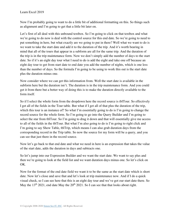Now I'm probably going to want to do a little bit of additional formatting on this. So things such as alignment and I'm going to get that a little bit later on.

Let's first of all deal with this unbound textbox. So I'm going to click on that textbox and what we're going to do now is deal with the control source for this end date. So we're going to need to put something in here, but what exactly are we going to put in there? Well what we want to do is we want to take the start date and add it to the duration of the trip. And it's worth bearing in mind that all of the tours that appear in a subform are all for the same trip. And the duration of the trip is in the trip maintenance form. Now we don't simply add the number of days to the start date. So if it's an eight day tour what I need to do is add the eight and take one off because an eight day tour to get from start date to end date you add the number of nights, which is one less than the number of days. So the formula I'm going to be using to work this out is the start date plus the duration minus one.

Now consider where we can get this information from. Well the start date is available in the subform here but the duration isn't. The duration is in the trip maintenance form. And you could get it from there but a better way of doing this is to make the duration directly available to the form itself.

So if I select the whole form from the dropdown here the record source is tblTour. So effectively I get all of the fields in the Tour table. But what if I get all of that plus the duration of the trip, which this tour is an instance of? So what I'm essentially going to do is I'm going to change the record source for the whole form. So I'm going to go into the Query Builder and I'm going to select the star from tblTour. So I'm going to drag it down and that will essentially give me access to all of the fields in the tblTour. But what I'm also going to do is I'm going to right click and I'm going to say Show Table, tblTrip, which means I can also grab duration days from the corresponding record in the Trip table. So now the source for my form will be a query, and you can see that just there in the record source.

Now let's go back to that end date and what we need in here is an expression that takes the value of the start date, adds the duration in days and subtracts one.

So let's jump into our Expression Builder and we want the start date. We want to say plus and then we're going to look at the field list and we want duration days minus one. So let's click on OK.

Now for the format of the end date field we want it to be the same as the start date which is short date. Now let's close and save that and let's look at trip maintenance now. And if I do a quick visual check, so I can see here that this is an eight day tour and we've got our start date there. So May the  $13<sup>th</sup>$  2021, end date May the  $20<sup>th</sup>$  2021. So I can see that that looks about right.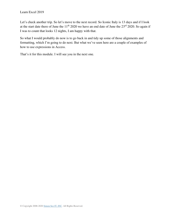Let's check another trip. So let's move to the next record. So Iconic Italy is 13 days and if I look at the start date there of June the  $11<sup>th</sup> 2020$  we have an end date of June the  $23<sup>rd</sup> 2020$ . So again if I was to count that looks 12 nights, I am happy with that.

So what I would probably do now is to go back in and tidy up some of those alignments and formatting, which I'm going to do next. But what we've seen here are a couple of examples of how to use expressions in Access.

That's it for this module. I will see you in the next one.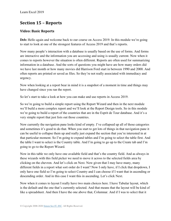# **Section 15 – Reports**

## **Video: Basic Reports**

Deb: Hello again and welcome back to our course on Access 2019. In this module we're going to start to look at one of the strongest features of Access 2019 and that's reports.

Now many people's interaction with a database is usually based on the use of forms. And forms are interactive and the information you are accessing and using is usually current. Now when it comes to reports however the situation is often different. Reports are often used for summarizing information in a database. And the sorts of questions you might have are how many orders did we have last month or how many movies did Harrison Ford start in between 1990 and 2000. And often reports are printed or saved as files. So they're not really associated with immediacy and urgency.

Now when looking at a report bear in mind it is a snapshot of a moment in time and things may have changed since you ran the report.

So let's start to take a look at how you can make and use reports in Access 2019.

So we're going to build a simple report using the Report Wizard and then in the next module we'll build a more complex report and we'll look at the Report Design tools. So in this module we're going to build a report of the countries that are in the Esprit de Tour database. And it's a very simple report that just lists out those countries.

Now currently the navigation pane looks kind of empty. I've collapsed up all of those categories and sometimes it's good to do that. When you start to get lots of things in that navigation pane it can be useful to collapse them up and really just expand the section that you're interested in at that particular moment. So I'm going to expand tables and I'm going to select the table first. And the table I want to select is the Country table. And I'm going to go up to the Create tab and I'm going to go to the Report Wizard.

Now in this table we only have one available field and that's the country field. And as always in these wizards with this field picker we need to move it across to the selected fields area by clicking on the chevron. And let's click on Next. Now given that I may have many, many different fields in a report what sort order do I want? Now I only have, if I click that dropdown, I only have one field so I'm going to select Country and I can choose if I want that in ascending or descending order. And in this case I want this in ascending. Let's click Next.

Now when it comes to layout I really have two main choices here. I have Tabular layout, which is the default and the one that's currently selected. And that means that the layout will be kind of like a spreadsheet. And then I have the one above that, Columnar. And if I was to select that it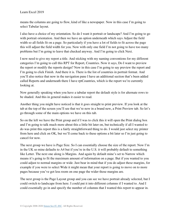means the columns are going to flow, kind of like a newspaper. Now in this case I'm going to select Tabular layout.

I also have a choice of my orientation. So do I want it portrait or landscape? And I'm going to go with portrait orientation. And then we have an option underneath which says Adjust the field width so all fields fit on a page. So particularly if you have a lot of fields to fit across the page this will adjust the field width for you. Now with only one field I'm not going to have too many problems but I'm going to leave that checked anyway. And I'm going to click Next.

I now need to give my report a title. And sticking with my naming conventions for my different categories I'm going to call this RPT for Report, Countries. Now it says, Do I want to preview the report or modify the reports design? Now in this case I'm going to say preview the report and I'm going to click Finish. And there it is. There is the list of countries in portrait format. And you'll also notice that now in the navigation pane I have an additional section that's been added called Reports and underneath there I have rptCountries, which is the report we're currently looking at.

Now generally speaking when you have a tabular report the default style is for alternate rows to be shaded. And this in general makes it easier to read.

Another thing you might have noticed is that it goes straight to print preview. If you look at the tab at the top of the screen you'll see that we're now in a brand new, a Print Preview tab. So let's go through some of the main options we have on this tab.

So on the left we have the Print group and if I was to click this it will open the Print dialog box and I'm going to talk much more about this a little bit later on, but technically if all I wanted to do was print this report this is a fairly straightforward thing to do. I would just select my printer from here and click on OK, but we'll come back to these options a bit later so I'm just going to cancel for now.

The next group we have is Page Size. So I can essentially choose the size of the report. Now I'm in the UK so mine defaults to A4 but if you're in the U.S. it will probably default to something like Letter. The next one along is Margins. And again by default mine's set to Narrow which means it's going to fit the maximum amount of information on a page. But if you wanted to you could adjust to normal margins or wide. Just bear in mind that if you do adjust these margins, for example if you were to select Wide it might mean that your report is going to move on to more pages because you've got less room on one page the wider those margins are.

The next group is the Page Layout group and you can see we have portrait already selected, but I could switch to landscape from here. I could put it into different columns if I wanted to. And I could essentially go in and specify the number of columns that I wanted this report to appear in.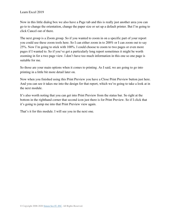Now in this little dialog box we also have a Page tab and this is really just another area you can go to to change the orientation, change the paper size or set up a default printer. But I'm going to click Cancel out of there.

The next group is a Zoom group. So if you wanted to zoom in on a specific part of your report you could use these zoom tools here. So I can either zoom in to 200% or I can zoom out to say 25%. Now I'm going to stick with 100%. I could choose to zoom to two pages or even more pages if I wanted to. So if you've got a particularly long report sometimes it might be worth zooming in for a two page view. I don't have too much information in this one so one page is suitable for me.

So those are your main options when it comes to printing. As I said, we are going to go into printing in a little bit more detail later on.

Now when you finished using this Print Preview you have a Close Print Preview button just here. And you can see it takes me into the design for that report, which we're going to take a look at in the next module.

It's also worth noting that you can get into Print Preview from the status bar. So right at the bottom in the righthand corner that second icon just there is for Print Preview. So if I click that it's going to jump me into that Print Preview view again.

That's it for this module. I will see you in the next one.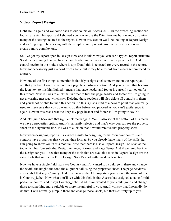### **Video: Report Design**

**Deb:** Hello again and welcome back to our course on Access 2019. In the preceding section we looked at a simple report and I showed you how to use the Print Preview button and customize many of the settings related to the report. Now in this section we'll be looking at Report Design and we're going to be sticking with the simple country report. And in the next section we'll create a more complex one.

So I've got my report open in Design view and in this view you can see a typical report structure. So at the beginning here we have a page header and at the end we have a page footer. And this central section in the middle where it says Detail this is repeated for every record in the report. Now not necessarily just a record from a table but it may be a record from a data set produced by a query.

Now one of the first things to mention is that if you right click somewhere on the report you'll see that you have towards the bottom a page header/footer option. And you can see that because the icon next to it is highlighted it means that page header and footer is currently turned on for this report. Now if I was to click that in order to turn the page header and footer off I'm going to get a warning message which says Deleting these sections will also delete all controls in them and you'll not be able to undo this action. So this is just a kind of a beware point that you really need to make sure that you do want to do that before you proceed as you can't easily undo it again. Now in this case I want to keep my page header and footer so I'm going to say No.

And let's jump back into that right click menu again. You'll also see at the bottom of this menu we have a properties option. And it's currently selected and that's why you can see the property sheet on the righthand side. If I was to click on that it would remove that property sheet.

Now when designing reports it's kind of similar to designing forms. You have controls and controls have properties that you can then format. So you already have many of the skills that I'm going to show you in this module. Note that there is also a Report Design Tools tab at the top which has four subtabs: Design, Arrange, Format, and Page Setup. And if we jump back to the Design tab you'll see that many of the tools that are available to us in Report Design are the same tools that we had in Form Design. So let's start with this details section.

Now we have a single field that says Country and if I wanted to I could go in there and change the width, the height, the font, the alignment all using the properties sheet. The page header is also a label that says Country. And if we look at the All properties you can see the name of that is Country Label. Now what you'll see with this field is that Access has assigned a name for this particular control and it says Country\_Label. And if you wanted to you could go in and change those to something more suitable or more meaningful to you. And I will say that I normally do do that. I will normally jump in there and change those labels, but that's entirely up to you.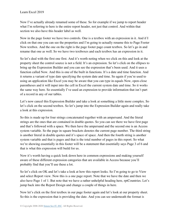Now I've actually already renamed some of these. So for example if we jump to report header what I'm referring to here is the entire report header, not just that control. And within that section we also have this header label as well.

Now in the page footer we have two controls. One is a textbox with an expression in it. And if I click on that one you can see the properties and I'm going to actually rename this to Page Footer Now textbox. And the one on the right is the page footer page count textbox. So let's go in and rename that one as well. So we have two textboxes and each textbox has an expression in it.

So let's deal with the first one first. And it's worth noting when we click on this and look at the property sheet the control source is not a field. It's an expression. So let's click on the ellipses to bring up the Expression Builder and you can see the expression that's been used. And it uses a function called Now. And this is one of the built in functions. It's a date and time function. And it returns a variant of type date specifying the system date and time. So again if you're used to using an application like Excel you may be aware that you can type in equals Now, open-close parentheses and it will input into the cell in Excel the current system date and time. So it works the same way here. So essentially I've used an expression to provide information that isn't part of a record in any of our tables.

Let's now cancel this Expression Builder and take a look at something a little more complex. So let's click on the second textbox. So let's jump into the Expression Builder again and really take a look at this expression.

So this is made up for four strings concatenated together with an ampersand. And the literal strings are the ones that are contained in double quotes. So you can see there we have first page and that's followed with a space. We then have the ampersand and the second one is an Access system variable. So the page in square brackets denotes the current page number. The third string is another literal in double quotes and it's space of space. And then the fourth string is another system variable and that is pages and that is the total number of pages in this report. So what we're showing essentially in this footer will be a statement that essentially says Page 3 of 6 and that is what this expression will build for us.

Now it's worth having a quick look down here in common expressions and making yourself aware of these different expression categories that are available in Access because you'll probably find that you'll use these a lot.

So let's click on OK and let's take a look at how this report looks. So I'm going to go to View and select Report view. Now this is a one page report. Note that we have the date and then we also have Page 1 of 1. But note that we have a rather unhelpful heading here, rptCountries. Let's jump back into the Report Design and change a couple of things in here.

Now let's click on the first textbox in our page footer again and let's look at our property sheet. So this is the expression that is providing the date. And you can see underneath the format is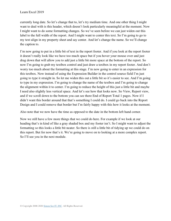currently long date. So let's change that to, let's try medium time. And one other thing I might want to deal with is this header, which doesn't look particularly meaningful at the moment. Now I might want to do some formatting changes. So we've seen before we can just widen out this label to the full width of the report. And I might want to center this text. So I'm going to go to my text align in my property sheet and say center. And let's change the name. So we'll change the caption to.

I'm now going to put in a little bit of text in the report footer. And if you look at the report footer it doesn't really look like we have too much space but if you hover your mouse over and just drag down that will allow you to add just a little bit more space at the bottom of the report. So now I'm going to grab my textbox control and just draw a textbox in my report footer. And don't worry too much about the formatting at this stage. I'm now going to enter in an expression for this textbox. Now instead of using the Expression Builder in the control source field I'm just going to type it straight in. So let me widen this out a little bit so it's easier to see. And I'm going to type in my expression. I'm going to change the name of the textbox and I'm going to change the alignment within it to center. I'm going to reduce the height of this just a little bit and maybe I need also slightly less vertical space. And let's see how that looks now. So View, Report view, and if we scroll down to the bottom you can see there End of Report Total 1 pages. Now if I didn't want this border around that that's something I could do. I could go back into the Report Design and I could remove that border but I'm fairly happy with this how it looks at the moment.

Also note that we now have the time as opposed to the date in the bottom left hand corner.

Now we still have a few more things that we could do here. For example if we look at our heading that's in kind of like a gray shaded box and my footer isn't. So I might want to adjust the formatting so this looks a little bit neater. So there is still a little bit of tidying up we could do on this report. But for now that's it. We're going to move on to looking at a more complex report. So I'll see you in the next module.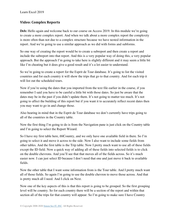## **Video: Complex Reports**

**Deb:** Hello again and welcome back to our course on Access 2019. In this module we're going to create a more complex report. And when we talk about a more complex report the complexity is more often than not due to a complex structure because we have nested information in the report. And we're going to use a similar approach as we did with forms and subforms.

So one way of creating the report would be to create a subreport and then create a report and include the subreport into that report. And this is a very popular way of doing this, a very popular approach. But the approach I'm going to take here is slightly different and it may seem a little bit like I'm cheating but it does give a good result and it's a lot easier to understand.

So we're going to create a report for the Esprit de Tour database. It's going to list the visited countries and for each country it will show the trips that go to that country. And for each trip it will list out the scheduled tours.

Now if you're using the dates that you imported from the text file earlier in the course, if you remember I said you have to be careful a little bit with those dates. So just be aware that the dates may be in the past if you didn't update them. It's not going to matter too much. It's not going to affect the building of this report but if you want it to accurately reflect recent dates then you may want to go in and change those.

Also bearing in mind that in the Esprit de Tour database we don't currently have trips going to all of the countries in the Country table.

Now the first thing I'm going to do is from the Navigation pane is just click on the Country table and I'm going to select the Report Wizard.

So I have my first table here, tblCountry, and we only have one available field in there. So I'm going to select it and move it across to the side. Now I also want to include some fields from other tables. And the first table is the Trip table. Now I pretty much want to use all of these fields except the ID field. Now a quick way of adding all of these fields into selected fields is to click on the double chevrons. And you'll see that that moves all of the fields across. So it's much easier now. I can just select ID because I don't need that one and just move it back to available fields.

Now the other table that I want some information from is the Tour table. And I pretty much want all of those fields. So again I'm going to use the double chevron to move those across. And that is pretty much all I need. And I click on Next.

Now one of the key aspects of this is that this report is going to be grouped. So the first grouping level will be country. So for each country there will be a section of the report and within that section all of the trips for that country will appear. So I'm going to make sure I have Country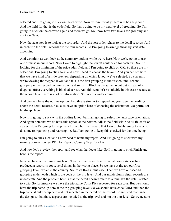selected and I'm going to click on the chevron. Now within Country there will be a trip code. And the field for that is the code field. So that's going to be my next level of grouping. So I'm going to click on the chevron again and there we go. So I now have two levels for grouping and click on Next.

Now the next step is to look at the sort order. And the sort order relates to the detail records. And in each trip the detail records are the tour records. So I'm going to arrange those by start date ascending.

And we might as well look at the summary options while we're here. Now we're going to use one of these in our report. Now I want to highlight the lowest adult price for each trip. So I'm looking for the minimum of the price adult field and I'm going to click on OK. So those are my selections. I'm going to click Next and now I need to choose the layout. And you can see here that we have kind of a little preview, depending on which layout we've selected. So currently we're viewing the stepped layout and this is the first grouping in the first column, second grouping in the second column, so on and so forth. Block is the same layout but instead of a diagonal effect everything is blocked across. And this wouldn't be suitable in this case because at the second level there is a lot of information. So I need a wider column.

And we then have the outline option. And this is similar to stepped but you have the headings above the detail records. You also have an option here of choosing the orientation. So portrait or landscape layout.

Now I'm going to stick with the outline layout but I am going to select the landscape orientation. And again note that we do have this option at the bottom, adjust the field width so all fields fit on a page. Now I'm going to keep that checked but I am aware that I am probably going to have to do some reorganizing and rearranging. But I am going to keep this checked for the time being.

I'm going to click Next and I now need to name my report. And I'm going to stick with my naming convention. So RPT for Report, Country Trip Tour List.

And now let's preview the report and see what that looks like. So I'm going to click Finish and here is the report.

Now we have a few issues just here. Now the main issue here is that although Access has produced a report its got several things in the wrong place. So we have at the top our first grouping level, which is the country. So Costa Rica in this case. Then we have our second grouping underneath which is the code or the trip level. And our multicolumn detail records are underneath. And the problem here is that the detail doesn't relate to a tour. It's the detail related to a trip. So for instance we have the trip name Costa Rica repeated for each tour. But we should have the trip name up here at the trip grouping level. So we should have code CRM and then the trip name should be up here and not repeated in the detail of the record. So we need to change the design so that those aspects are included at the trip level and not the tour level. So we need to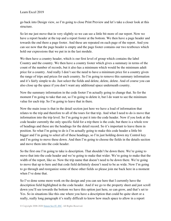go back into Design view, so I'm going to close Print Preview and let's take a closer look at this structure.

So let me just move that in very slightly so we can see a little bit more of our report. Now we have a report header at the top and a report footer at the bottom. We then have a page header and towards the end there a page footer. And these are repeated on each page of the report. And you can see now that the page header is empty and the page footer contains our two textboxes which hold our expressions that we put in in the last module.

We then have a country header, which is our first level of group which contains the label Country and the country. We then have a country footer which gives a summary in terms of the count of the number of records, but it also has a minimum which would be the minimum adult price for a country. And really I don't see the need to have a minimum price for a country given the range of trips and prices for each country. So I'm going to remove this summary information and it's fairly simple to do. Just select the fields and delete, delete, delete. And of course you can also close up the space if you don't want any additional space underneath country.

Now the summary information in the code footer I'm actually going to change that. So for the moment I'm going to take that out, so I'm going to delete it, but I do want to see the minimum value for each trip. So I'm going to leave that in there.

Now the main issue is that in the detail section just here we have a load of information that relates to the trip and therefore to all of the tours for that trip. And what I need to do is move that information into the trip level. So I'm going to put it into the code header. Now if you look at the code header currently the only specific field for a trip there is the code, but there is a whole row of headings and these are the headings for the detail record. So it's important to leave them in position. So what I'm going to do is I'm actually going to make this code header a little bit bigger and I'm going to select all of these headings, so I'm just holding down my Control key and I'm going to move these down. And then I'm going to choose the fields in the details section and move them into the code header.

So the first one I'm going to take is description. That shouldn't be down there. We're going to move that into the code header and we're going to make that wider. We're going to make that the width of the report, like so. Now the trip name that doesn't need to be down there. We're going to move that up to here and that code field definitely doesn't need to be as wide. Now I'm going to go through and reorganize some of these other fields so please join me back here in a moment when I've done that.

So I've done some more work on the design and you can see here that I currently have the description field highlighted in the code header. And if we go to the property sheet and just scroll down you'll see towards the bottom we have this option just here, so can grow, and that's set to Yes. So in situations like this one where you have a description that could be quite short or a really, really long paragraph it's really difficult to know how much space to allow in a report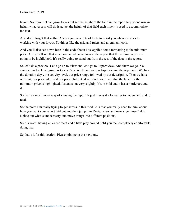layout. So if you set can grow to yes but set the height of the field in the report to just one row in height what Access will do is adjust the height of that field each time it's used to accommodate the text.

Also don't forget that within Access you have lots of tools to assist you when it comes to working with your layout. So things like the grid and rulers and alignment tools.

And you'll also see down here in the code footer I've applied some formatting to the minimum price. And you'll see that in a moment when we look at the report that the minimum price is going to be highlighted. It's really going to stand out from the rest of the data in the report.

So let's do a preview. Let's go up to View and let's go to Report view. And there we go. You can see our top level group is Costa Rica. We then have our trip code and the trip name. We have the duration days, the activity level, our price range followed by our description. Then we have our start, our price adult and our price child. And as I said, you'll see that the label for the minimum price is highlighted. It stands out very slightly. It's in bold and it has a border around it.

So that's a much nicer way of viewing the report. It just makes it a lot easier to understand and to read.

So the point I'm really trying to get across in this module is that you really need to think about how you want your report laid out and then jump into Design view and rearrange those fields. Delete out what's unnecessary and move things into different positions.

So it's worth having an experiment and a little play around until you feel completely comfortable doing that.

So that's it for this section. Please join me in the next one.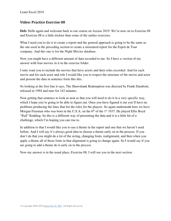#### **Video: Practice Exercise 08**

Deb: Hello again and welcome back to our course on Access 2019. We're now on to Exercise 08 and Exercise 08 is a little trickier than some of the earlier exercises.

What I need you to do is to create a report and the general approach is going to be the same as the one used in the preceding section to create a structured report for the Esprit de Tour company. And this one is for the Night Movies database.

Now you might have a different amount of data recorded to me. So I have a version of my answer with four movies in it in the exercise folder.

I only want you to include the movies that have actors and their roles recorded. And for each movie and for each actor and role I would like you to respect the structure of the movie and actor and present the data in sentence form like this.

So looking at the first line it says, The Shawshank Redemption was directed by Frank Darabont, released in 1994 and runs for 142 minutes.

Now getting that sentence to look as neat as that you will need to do it in a very specific way, which I hope you're going to be able to figure out. Once you have figured it out you'll have no problems producing the lines that list the roles for the players. So again underneath here we have Morgan Freeman who was born in the U.S.A. on the  $6<sup>th</sup>$  of the 1<sup>st</sup> 1937. He played Ellis Boyd "Red" Redding. So this is a different way of presenting the data and it is a little bit of a challenge, which I'm hoping you can rise to.

In addition to that I would like you to use a theme in the report and one that we haven't used before. And I will say it's always good idea to choose a theme early on in the process. If you don't do that you might do a lot of the sizing, changing fonts, realignment, and then when you apply a theme all of those fonts in that alignment is going to change again. So I would say if you are going to add a theme do it early on in the process.

Now my answer is in the usual place, Exercise 08. I will see you in the next section.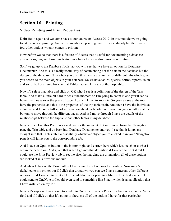# **Section 16 – Printing**

### **Video: Printing and Print Properties**

**Deb:** Hello again and welcome back to our course on Access 2019. In this module we're going to take a look at printing. And we've mentioned printing once or twice already but there are a few other options when it comes to printing.

Now before we do that there is a feature of Access that's useful for documenting a database you're designing and I use this feature as a basis for some discussions on printing.

So if we go up to the Database Tools tab you will see that we have an option for Database Documenter. And this is a really useful way of documenting not the data in the database but the design of the database. Now when you open this there are a number of different tabs which give you access to the main objects in your database. So we have tables, queries, forms, reports, so on and so forth. Let's jump back to that Tables tab and let's select the Trip table.

Now if I select that table and click on OK what I see is a definition of the design of the Trip table. And that's a little bit hard to see at the moment so I'm going to zoom in and you'll see as I hover my mouse over the piece of paper I can click just to zoom in. So you can see at the top I have the properties and this is the properties of the trip table itself. And then I have the individual columns. and I have a full set of information about each column. I have navigation buttons at the bottom to move through the different pages. And as I move through I have the details of the relationships between the trip table and other tables in my database.

Now let me close this Print Preview down for the moment. Let me choose from the Navigation pane the Trip table and go back into Database Documenter and you'll see that it jumps me straight into that Tables tab. So essentially whichever object you're clicked in in your Navigation pane it will jump you to the corresponding tab.

And I have an Options button in the bottom righthand corner there which lets me choose what I see in the definition. And given that when I go into that definition if I wanted to print it out I could use the Print Preview tab to set the size, the margins, the orientation, all of these options we looked at in a previous module.

And when I click on the Print button I have a number of options for printing. Now mine's defaulted to my printer but if I click that dropdown you can see I have numerous other different options. So if I wanted to print a PDF I could do that or print to a Microsoft XPS document. I could send to OneNote or I could even send to something like Snagit which is an application that I have installed on my PC.

Now let's suppose I was going to send it to OneNote. I have a Properties button next to the Name field and if I click on that it's going to show me all of the options I have for that particular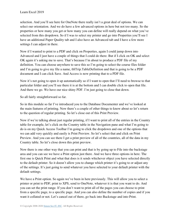selection. And you'll see here for OneNote there really isn't a great deal of options. We can select our orientation. And we do have a few advanced options in here but not too many. So the properties or how many you get or how many you can define will really depend on what you've selected from this dropdown. So if I was to select my printer and go into Properties you'll see I have an additional Paper Quality tab and I also have an Advanced tab and I have a few more settings I can adjust in there.

Now if I wanted to print to a PDF and click on Properties, again I could jump down into Advanced and I just have a couple of things that I could do there. But if I click on OK and select OK again it's asking me to save. That's because I'm about to produce a PDF file of my definition. You can choose anywhere to save this so I'm going to select the course files folder and I'm going to give my file a name, tblTrip.TableDefinition and that is going to be a PDF document and I can click Save. And Access is now printing that to a PDF file.

Now it's not going to open it up automatically so if I want to open that I'll need to browse to that particular folder and you'll see there it is at the bottom and I can double click to open that file. And there we go. We have our nice shiny PDF. I'm just going to close that down.

So all fairly straightforward so far.

So in this module so far I've introduced you to the Database Documenter and we've looked at the main features of printing. Now there's a couple of other things to know about so let's return to the question of regular printing. So let's close out of this Print Preview.

Now if we're talking about just regular printing, if I want to print all of the entries in the Country table for example, let's click on the Country table in the Navigation pane and what I'm going to do is on my Quick Access Toolbar I'm going to click the dropdown and one of the options that we can add very quickly and easily is Print Preview. So let's select that and click on Print Preview. And you can see there I get a print preview of all of the countries, all of the data in my Country table. So let's close down this print preview.

Now there is one other way that you can print and that is by going up to File into the backstage area and you can see we have a Print option just there. And we have three options in here. The first one is Quick Print and what that does is it sends whichever object you have selected directly to the default printer. So it doesn't allow you to change which printer it's going to or adjust any of the settings. It's just going to send whatever you have selected to your default printer with the default settings.

We have a Print option. So again we've been in here previously. This will allow you to select a printer or print to PDF, print to XPS, send to OneNote, whatever it is that you want to do. And you can set the print range. If you don't want to print all of the pages you can choose to print from a specific page, to a specific page. And you can also define the number of copies and if you want it collated or not. Let's cancel out of there, go back into Backstage and into Print.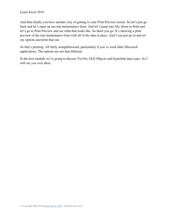And then finally you have another way of getting to your Print Preview screen. So let's just go back and let's open up our trip maintenance form. And let's jump into file, down to Print and let's go to Print Preview and see what that looks like. So there you go. It's showing a print preview of the trip maintenance form with all of the data in place. And I can just go in and set my options and print that out.

So that's printing. All fairly straightforward, particularly if you've used other Microsoft applications. The options are not that different.

In the next module we're going to discuss Yes/No, OLE Objects and hyperlink data types. So I will see you over there.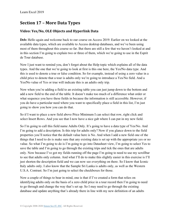## **Section 17 – More Data Types**

## **Video: Yes/No, OLE Objects and Hyperlink Data**

**Deb:** Hello again and welcome back to our course on Access 2019. Earlier on we looked at the available data types, which are available to Access desktop databases, and we've been using most of them throughout this course so far. But there are still a few that we haven't looked at and in this section I'm going to explain two or three of them, which we're going to use in the Esprit de Tour database.

Now I just want to remind you, don't forget about the Help topic which explains all of the data types. And the one that we're going to look at first is this one here, the Yes/No data type. And this is used to denote a true or false condition. So for example, instead of using a zero value in a child price to denote that a tour is adults only we're going to introduce a Yes/No field. And a Yes/No value of Yes or true will indicate this is an adults only trip.

Now when you're adding a field to an existing table you can just jump down to the bottom and add a new field to the end of the table. It doesn't make too much of a difference what order or what sequence you have these fields in because the information is still accessible. However, if you do have a particular need where you want to specifically place a field in this list, I'm just going to show you how you can do that.

So if I want to place a new field above Price Minimum I can select that row, right click and select Insert Rows. And you see that I now have a nice gab where I can put in my new field.

So I'm going to call this field name Adults Only. It's going to have a data type of Yes/No. And I'm going to add a description. Is this trip for adults only? Now if you glance down to the field properties you'll notice that the default value here is No. And when I add a new field one of the things that I need to do is make sure that any existing data is set up with the appropriate yes or no value. So what I'm going to do is I'm going to go into Datasheet view, I'm going to select Yes to save the table and I'm going to go through the existing trips and tick the ones that are adults only. Now because I've got my fields running off the page I'm going to need to use my scrollbar to see that adults only column. And what I'll do to make this slightly easier in this exercise is I'll just shorten the description field and we can now see everything on there. So I know that Iconic Italy adults only. I also know that the Sample Sri Lanka is adults only, as well as the Western U.S.A. Contrast. So I'm just going to select the checkboxes for those.

Now a couple of things to bear in mind, one is that if I've created a form that relies on identifying adults only on the basis of a zero child price in a tour record then I'm going to need to go through and change the way that's set up. So I may need to go through the existing database and update anything that's already there in line with my new definition of an adults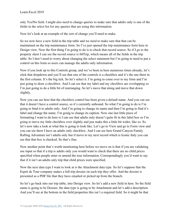only Yes/No field. I might also need to change queries to make sure that adults only is one of the fields in the select list for any queries that are using this information.

Now let's look at an example of the sort of change you'll need to make.

So we now have a new field in the trip table and we need to make sure that that can be maintained on the trip maintenance form. So I've just opened the trip maintenance form here in Design view. Now the first thing I'm going to do is to check that record source. So if I go to the property sheet I can see the record source is tblTrip, which means all of the fields in the trip table. So I don't need to worry about changing the select statement but I'm going to need to put a control on this form so users can manage the adults only information.

Now if you look up to this Controls group, and we've been in here numerous times already, let's click that dropdown and you'll see that one of the controls is a checkbox and it's the one there in the first column. It's the big tick. So let's select it. I'm going to come over to my form and I'm just going to draw a checkbox. And I can see that my label and my checkbox are overlapping so I'm just going to do a little bit of rearranging. So let's move that along and move that down slightly.

Now you can see here that the checkbox control has been given a default name. And you can see that it doesn't have a control source, so it's currently unbound. So what I'm going to do is I'm going to bind it to adults only. And I'm going to change its name and then I'm going to find it's label and change the name. I'm going to change its caption. Now one last little piece of formatting I want to do here is I can see that adults only doesn't quite fit in this label box so I'm going to move my little checkbox over slightly and just make this a little bit wider, like so. So let's now take a look at what this is going to look like. Let's go to View and go to Form view and you can see there I have an adults only checkbox. And I can see here Grand Canyon Family Rafting Adventure isn't adults only but if move to my next record which is Iconic Italy you can see that that box is checked. So that's fine.

Now another point that's worth mentioning here before we move on is that if you are validating use input so that if a trip is adults only you would want to check that there are no child prices specified when people enter or amend the tour information. Correspondingly you'd want to say that if it isn't an adults only trip that child prices were specified.

Now the next data type I want to look at is the Attachment data type. So let's suppose that the Esprit de Tour company makes a full trip dossier on each trip they offer. And the dossier is presented as a PDF file that they have emailed or picked up from the branch.

So let's go back into our trip table, into Design view. So let's add a new field in here. So the field name is going to be Dossier, the data type is going to be Attachment and let's add a description. And you'll see at the bottom in the field properties this isn't a required field. So it might be that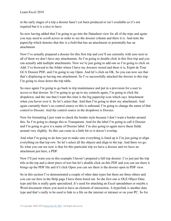in the early stages of a trip a dossier hasn't yet been produced or isn't available so it's not required but it is a nice to have.

So now having added that I'm going to go into the Datasheet view for all of the trips and again you may need to scroll across in order to see the dossier column and there it is. And note the paperclip which denotes that this is a field that has an attachment or potentially has an attachment.

Now I've actually prepared a dossier for this first trip and you'll see currently with zero next to all of them we don't have any attachments. So I'm going to double click in this first trip and you can actually add multiple attachments. Now we're just going to add one so I'm going to click on Add. I've browsed to the folder where I have my dossiers stored and there it is, Esprit de Tour GCA Dossier PDF, and I'm going to say Open. And let's click on OK. So you can now see that that's displaying as having one attachment. So I've successfully attached the dossier to this trip. I'm going to close down the trip table.

So once again I'm going to go back to trip maintenance and put in a provision for a user to access to that dossier. So I'm going to go up to my controls again, I'm going to click the dropdown, and the one that I want this time is the big paperclip icon which says Attachment when you hover over it. So let's select that. And then I'm going to draw my attachment. And again currently there's no control source so this is unbound. I'm going to change the name of that control to Dossier. And the control source in the dropdown is Dossier.

Now for formatting I just want to check the border style because I don't want a border around this. So I'm going to change this to Transparent. And for the label I'm going to call it Dossier and I'm going to give it a name of Dossier label. I'm also going to again move these fields around very slightly. So this can come in a little bit so it doesn't overlap.

And what I'm going to do here just to make sure everything is lined up is I'm just going to align everything on that top row. So let's select all the objects and align to the top. And there we go. So what you can see now is that for this particular trip we have a dossier and we have an attachment just here, a PDF.

Now I'll just warn you in this example I haven't prepared a full trip dossier. I've just put the trip title at the top and a short piece of text but let's double click on this PDF and you can see there it brings up the PDF file and if I click Open you can see there is the dossier open in PDF view.

So in this section I've demonstrated a couple of other data types but there are three others and you can see here in the Help page I have them listed out. So the first one is OLE Object Data type and this is really quite specialized. It's used for attaching an Excel spreadsheet or maybe a Word document where you need to have an element of interaction. A hyperlink is another data type and that's really to be used to link to a file on the internet or intranet or on your PC. So for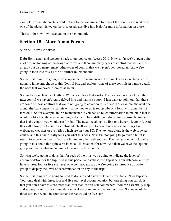example, you might create a field linking to the tourism site for one of the countries visited or to one of the places visited on the trip. As always dive into Help for more information on those.

That's it for now. I will see you in the next module.

## **Section 18 – More About Forms**

#### **Video: Form Controls**

**Deb:** Hello again and welcome back to our course on Access 2019. Now so far we've spent quite a lot of time looking at the design of forms and there are many types of control that we've used already but also many, many other types of control that we haven't yet looked at. And we're going to look into this a little bit further in this module.

So the first thing I'm going to do is open the trip maintenance form in Design view. Now we're going to jump straight up to this Control box and explore some of these controls in a more detail, the ones that we haven't looked at so far.

So this first one here is a textbox. We've seen how that works. The next one is a label. But the next control we haven't really delved into and that is a button. I just want to point out that there are some of these controls that we're not going to cover on this course. For example, the next one along, the Tab control. What this will allow you to do is set up tabs or a form with a number of tabs on it. So for example, in trip maintenance if you had so much information to maintain that it wouldn't fit all on the screen you might decide to have different tabs running across the top and that is the control you would use for that. The next one along is a link or a hyperlink control. And this will allow you to put in a control which allows you to have quick access to things like webpages, websites or even files which are on your PC. The next one along is the web browser control and this name really tells you what this does. Now I'm not going to go over it but it is useful to experiment with if you are linking to other web sources. The navigation control, we're going to talk about this quite a bit later so I'll leave that for now. And then we have the Options group and that's what we're going to look at in this module.

So what we're going to do is that for each of the trips we're going to indicate the level of accommodation for the trip. And in this particular database, the Esprit de Tour database, all trips have a three, four or five star level of accommodation. So we're going to introduce an option group to display the level of accommodation on any of the trips.

So the first thing we're going to need to do is to add a new field to the trip table. Now Esprit de Tour only deal with three, four and five star level accommodation but one thing you can do is that you don't have to store three star, four star, or five star somewhere. You can essentially map and say my values for accommodation level are going to be one, two or three. So one would be three star, two would be four star and three would be five star.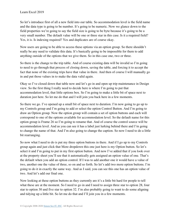So let's introduce first of all a new field into our table. So accommodation level is the field name and the data type is going to be number. It's going to be numeric. Now we glance down to the field properties we're going to say the field size is going to be byte because it's going to be a very small number. The default value will be one or three star in this case. Is it a required field? Yes, it is. Is indexing required? Yes and duplicates are of course okay.

Now users are going to be able to access these options via an option group. So there shouldn't really be any need to validate this data. It's basically going to be impossible for them to add anything outside of the options that we give them. So in this case one, two or three.

So there is the change to the trip table. And of course existing data will be invalid so I'm going to need to go through that process of closing down, saving the table, and forcing it to accept the fact that none of the existing trips have that value in there. And then of course I will manually go in and put those values in to make the data valid again.

Okay so I've closed down that table now and let's go in and open up trip maintenance in Design view. So the first thing I really need to decide here is where I'm going to put that accommodation level, that little options box. So I'm going to make a little bit of space next to duration just here. So let me do that and I will join you back here in a few moments.

So there we go. I've opened up a small bit of space next to duration. I'm now going to go up to my Controls group and I'm going to add or select the option Control Button. And I'm going to draw an Option group. Now the option group will contain a set of option buttons and each will correspond to one of the options available for accommodation level. So the default name for this option group is Frame 26 so I'm going to rename that. And of course the control source will be accommodation level. And as you can see it has a label just lurking behind there and I'm going to change the name of that. And I'm also going to change the caption. So now I need to do a little bit rearranging.

So now what I need to do is put my three option buttons in there. And if I go up to my Controls group again and just click that More dropdown this one just here is my Option button. So let's select it and I'm going to put in my first option button. And now I've added that if you look over at the property sheet you'll see that it automatically gets assigned an option value of one. That's the default when you add an option control. If I was to add another one it would have a value of two, another one the value of three, so on and so forth. So let's add two more option buttons. I'm going to do it in exactly the same way. And as I said, you can see this one has an option value of two. And let's add our final one.

Now looking at these option buttons as they currently are it's a little bit hard for people to tell what these are at the moment. So I need to go in and I need to assign three star to option 28, four star to option 30 and five star to option 32. I'm also probably going to want to do some aligning and tidying up a little bit. So let me do that and I'll join you in a few moments.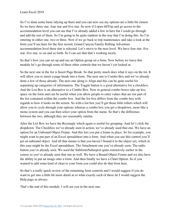So I've done some basic tidying up there and you can now see my options are a little bit clearer. So we have three star, four star and five star. So now if I open tblTrip and go across to the accommodation level you can see that I've already added a few in here but I could go through and add the rest of them. So I'm going to be quite random in the way that I'm doing this. So I'm entering in either one, two or three. Now if we go back to trip maintenance and take a look at the form you'll see here for the first record, Grand Canyon Family Rafting Adventure accommodation level three star is selected. Let's move to the next level. We have four star, five star, five star, so on and so forth. So I can see that that's working nicely.

So that's how you can set up and use an Option group on a form. Now before we leave this module let's go through some of these other controls that we haven't yet looked at.

So the next one in the list is Insert Page Break. So that pretty much does what it says on the tin. It will allow you to insert a page break into a form. The next one is Combo Box and we've already done a few of those already. The next one along is Align and this can be quite useful for separating up categories of information. The Toggle button is a good alternative for a checkbox. And the List Box is an alternative to a Combo Box. Now in general combo boxes take up less space on the form and can be useful when you allow people to enter values that are not part of the list contained within the combo box. And the list box differs from the combo box with regards to how it looks on the screen. So with a list box you'll get those little rollers which will allow you to cycle through your options whereas a combo box you get a dropdown, more like a menu system and you can then select your option from the menu. So that's the difference between the two, although they are reasonably similar.

After the List Box we have the Rectangle which again is useful for grouping. And let's click the dropdown. The Checkbox we've already seen in action, we've already used that one. We have an option for an Unbound Object Frame. And this lets you put a frame in place. So for example, you might want to put part of an Excel spreadsheet into a form. And when you use this control you'll get an unbound object. And all that means is that you haven't bound it to the object yet, which in this case might be the Excel spreadsheet. The Attachment one you've already seen. The radio button you've already seen. We used the Subform/Subreport quite extensively earlier in the course so you've already seen that one as well. We have a Bound Object Frame and we also have the ability to put an image onto a form. And then finally we have a Chart Option. So if you wanted to add some kind of chart to your form you could also do that from here.

So that's a really quick review of the remaining form controls and I would suggest if you do want to get into a little bit more detail as to what exactly each of these do I would suggest the Help page as always.

That's the end of this module. I will see you in the next one.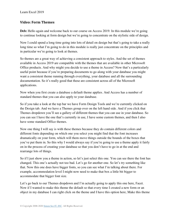### **Video: Form Themes**

**Deb:** Hello again and welcome back to our course on Access 2019. In this module we're going to continue looking at form design but we're going to concentrate on the stylistic side of design.

Now I could spend a long time going into lots of detail on design but that's going to take a really long time so what I'm going to do in this module is really just concentrate on the principles and in particular we're going to look at themes.

So themes are a great way of achieving a consistent approach to styles. And the set of themes available in Access 2019 are compatible with the themes that are available in other Microsoft Office products. And why might you decide to use a theme in Access? Now that's a particularly useful point because if you're preparing documents to go along with your database you might want a consistent theme running through everything, your database and all the surrounding documentation. So it's really good that these are consistent across all of the Microsoft applications.

Now when you first create a database a default theme applies. And Access has a number of standard themes that you can also apply to your database.

So if you take a look at the top bar we have Form Design Tools and we're currently clicked on the Design tab. And we have a Themes group over on the left hand side. And if you click that Themes dropdown you'll see a gallery of different themes that you can use in your database. So you can see I have the one that's currently in use, I have some custom themes, and then I also have some standard Office themes.

Now one thing I will say is with these themes because they do contain different colors and different fonts depending on which one you select you might find that the font increases dramatically on your form, which will them move things outside the bounds of the boxes that you've put them in. So this why I would always say if you're going to use a theme apply it fairly on in the process of creating your database so that you don't have to go in at the end and rearrange lots of things.

So if I just show you a theme in action, so let's just select this one. You can see there the font has changed. This one's actually not too bad. Let's go for another one. So let's try something like that. Now this one does have bigger fonts, so you can see what I'm talking about there. For example, accommodation level I might now need to make that box a little bit bigger to accommodate that bigger font size.

Let's go back to our Themes dropdown and I'm actually going to apply this one here, Facet. Now if I wanted to make this theme the default so that every time I created a new form or an object in my database I can right click on the theme and I have this option here, Make this theme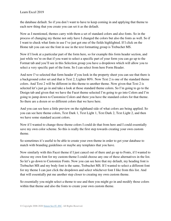the database default. So if you don't want to have to keep coming in and applying that theme to each new thing that you create you can set it as the default.

Now as I mentioned, themes carry with them a set of standard colors and also fonts. So in the process of changing my theme not only have I changed the colors but also the fonts as well. So if I want to check what fonts in use I've just got one of the fields highlighted. If I click on the Home tab you can see the font in use in the text formatting group is Trebuchet MS.

Now if I look at a particular part of the form here, so for example this form header section, and just while we're on that if you want to select a specific part of your form you can go up to the Format tab and you'll see in this Selection group you have a dropdown which will allow you to select a very specific part of the form. So I can select from here Form Header.

And now I've selected that form header if you look in the property sheet you can see that there is a background color set and that is Text 2, Lighter 80%. Now Text 2 is one of the standard theme colors. And Text 2 will be different in this theme to another theme. Now given that Text 2 is selected let's just go in and take a look at those standard theme colors. So I'm going to go to the Design tab and given that we have the Facet theme selected I'm going to go into Colors and I'm going to jump down to Customize Colors and there you have the standard colors for that theme. So there are a dozen or so different colors that we have here.

And you can see here a little preview on the righthand side of what colors are being applied. So you can see here theme colors, Text Dark 1, Text Light 1, Text Dark 2, Text Light 2, and then we have some standard accent colors.

Now if I wanted to change those theme colors I could do that from here and I could essentially save my own color scheme. So this is really the first step towards creating your own custom theme.

So sometimes it's useful to be able to create your own theme in order to get your database to match with branding guidelines or maybe any templates that you have.

Now similarly with this Facet theme if I just cancel out of there and go up to Fonts, if I wanted to choose my own font for my custom theme I could choose any one of these alternatives in the list. So let's go down to Customize Fonts. Now you can see here that my default, my heading font is Trebuchet MS and my body font is the same, Trebuchet MS. If I wanted to select a different font for my theme I can just click the dropdown and select whichever font I like from this list. And that will essentially put me another step closer to creating my own custom theme.

So essentially you might select a theme to use and then you might go in and modify those colors within that theme and also the fonts to create your own custom theme.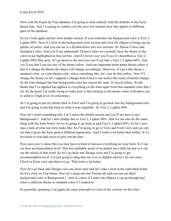Now with the Esprit de Tour database I'm going to stick entirely with the defaults in the Facet theme font. And I'm going to explain over the next few minutes how that applies to different parts of the database.

So let's look again and the form header section. If you remember the background color is Text 2, Lighter 80%. Now if I click in the background color section and click the ellipses it brings up my palette of colors. And you can see it's divided down into two sections. So Theme Colors and Standard Colors. And you'll see underneath Theme Colors we currently have the theme or the color in use highlighted in that red box. And if I hover over you'll see it's described as Text 2, Lighter 80% blue-gray. If I go down to the next one you'll see that's Text 2, Lighter 60%. And you'll see that I can use any of the theme colors. And one important point about theme colors is that if I change the theme the object will change accordingly. However, if I give this theme a standard color, so a non-theme color, select something like, let's just do this yellow. Now if I change the theme, so let's suppose I change from Facet to Ion notice that many elements change. So the font changed but that background color has stayed the same. It stayed yellow. So the theme that I've applied has applied to everything on the form apart from that standard color that I set. So the point I'm really trying to make here is that sticking to the theme colors will allow you to achieve I high level of consistency.

So I'm going to put my theme back to Facet and I'm going to go back into my background color and I'm going to put that back to what it was originally. So Text 2, Lighter 80%.

Now let's select something else. Let's select the details section and you'll see here it says Background 1. And let's also change this to Text 2, Lighter 80%. And we can also do the same thing with the form footer. So we're going to go back in and Text 2, Lighter 80%. So let's now take a look at what our form looks like. So I'm going to go to View and Form view and you can see that it gives the form quite a different appearance. And it looks a lot better than before. It's a lot easier to read and easier to pick out the data.

Now once you've done this you may have to kind of reassess everything on your form. So I can see here accommodation level. This box probably needs to be pulled out a little bit just so I can see the whole of that word. So let's go back into Design view and I'm going to get accommodation level. I'm just going to drag that out ever so slightly and let's do one more. Check in Form view and there we go. That looks a lot better.

Now let's go back into Design view one more time and let's take a look at the individual fields. So let's click on Trip Name. Now let's jump into the Format tab and you can see there background color is Background 1. And of course if I select the ellipses I can go through and select a different theme or standard color if I wanted to.

So generally speaking I can apply the same principles to each of the controls on the form.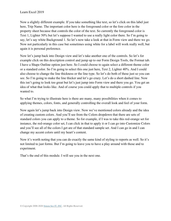Now a slightly different example. If you take something like text, so let's click on this label just here, Trip Name. The important color here is the foreground color or the fore color in the property sheet because that controls the color of the text. So currently the foreground color is Text 1, Lighter 50% but let's suppose I wanted to use a really light color there. So I'm going to say, let's say white Background 1. So let's now take a look at that in Form view and there we go. Now not particularly in this case but sometimes using white for a label will work really well, but again it is personal preference.

Now let's jump back into Design view and let's take another one of the controls. So let's for example click on this description control and jump up to our Form Design Tools, the Format tab. I have a Shape Outline option just here. So I could choose to again select a different theme color or a standard color. So I'm going to select this one just here, Text 2, Lighter 40%. And I could also choose to change the line thickness or the line type. So let's do both of these just so you can see. So I'm going to make the line thicker and let's go crazy. Let's do a short dashed line. Now this isn't going to look too great but let's just jump into Form view and there you go. You get an idea of what that looks like. And of course you could apply that to multiple controls if you wanted to.

So what I'm trying to illustrate here is there are many, many possibilities when it comes to applying themes, colors, fonts, and generally controlling the overall look and feel of your form.

Now again let's jump back into Design view. Now we've mentioned colors already and the idea of creating custom colors. And you'll see from the Colors dropdown that there are sets of standard colors you can apply to a theme. So for example, if I was to take this red-orange set for instance, the red-orange color set, I can click in that to apply it or I can go into Customize Colors and you'll see all of the colors I get are of that standard sample set. And I can go in and I can change my accent colors until my heart's content.

Now it's worth noting that you can do exactly the same kind of styling to reports as well. So it's not limited to just forms. But I'm going to leave you to have a play around with those and to experiment.

That's the end of this module. I will see you in the next one.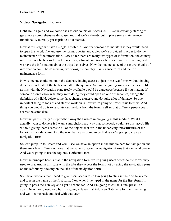#### **Video: Navigation Forms**

**Deb:** Hello again and welcome back to our course on Access 2019. We're certainly starting to get a more comprehensive database now and we've already put in place some maintenance functionality to really get Esprit de Tour started.

Now at this stage we have a single .accdb file. And for someone to maintain it they would need to open the .accdb file and use the forms, queries and tables we've provided in order to do the maintenance of the information. Now so far there are really two types of information, the country information which is sort of reference data, a list of countries where we have trips visiting, and we have the information about the trips themselves. Now the maintenance of these two chunks of information could be done using two forms, the country maintenance form and the trip maintenance form.

Now someone could maintain the database having access to just those two forms without having direct access to all of the tables and all of the queries. And in fact giving someone the .accdb file as it is with the Navigation pane freely available would be dangerous because if you imagine if someone didn't know what they were doing they could open up one of the tables, change the definition of a field, delete some data, change a query, and do quite a lot of damage. So one important thing to look at and start to work on is how we're going to present this to users. And thing you would do is to separate out the data from the form itself so that different people could access the same data.

Now that part is really a step further away than where we're going in this module. What I actually want to do here is I want a straightforward way that somebody could use this .accdb file without giving them access to all of the objects that are in the underlying infrastructure of the Esprit de Tour database. And the way that we're going to do that is we're going to create a navigation form.

So let's jump up to Create and you'll see we have an option in the middle here for navigation and there are a few different options that we have, so about six navigation forms that we could create. And we're going to use the top one, Horizontal tabs.

Now the principle here is that in the navigation form we're giving users access to the forms they need to use. And in this case with the tabs they access the forms not by using the navigation pane on the left but by clicking on the tabs of the navigation form.

So I have two tabs that I need to give users access to so I'm going to click in the Add New area and type in the name of the first form. Now when I've typed in the name for the first form I'm going to press the Tab key and I get a second tab. And I'm going to call this one, press Tab again. Now I only need two but I'm going to leave that Add New Tab there for the time being and we'll come back and deal with that later.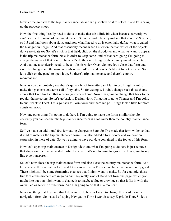Now let me go back to the trip maintenance tab and we just click on it to select it, and let's bring up the property sheet.

Now the first thing I really need to do is to make that tab a little bit wider because currently we can't see the full name of trip maintenance. So in the width lets try making that about 50% wider, so 1.5 and that looks about right. And now what I need to do is essentially define what is called the Navigation Target. And that essentially means when I click on that tab which of the objects do we navigate to? So let's click in that field, click on the dropdown and what we want to appear is the trip maintenance form. Now in order to keep some kind of standard going I'm going to change the name of that control. Now let's do the same thing for the country maintenance tab. And that one also clearly needs to be a little bit wider. Okay. So now let's close that form and save the changes and the name is frmNavigationForm and now let's take it for a test drive. So let's click on the panel to open it up. So there's trip maintenance and there's country maintenance.

Now as you can probably see there's quite a bit of formatting still left to do. I might want to make things consistent across all of my tabs. So for example, I didn't change back those theme colors that I set. So I set that red-orange color scheme. Now I'm going to change that back to the regular theme colors. So let's go back to Design view. I'm going to go to Themes and I'm going to put it back to Facet. Let's go back to Form view and there we go. Things look a little bit more consistent now.

Now one other thing I'm going to do here is I'm going to make the forms similar size. So currently you can see that the trip maintenance form is a lot wider than the country maintenance form.

So I've made an additional few formatting changes in here. So I've made that form wider so that it kind of matches the trip maintenance form. I've also added a form footer and we have an expression in there of date. So we're going to have our date contained in the footer of this form.

Now let's open trip maintenance in Design view and what I'm going to do here is just remove that shape outline that we added earlier because that's not looking too good. So I'm going to say line type transparent.

So let's now close the trip maintenance form and also close the country maintenance form. And let's go into the navigation form and let's look at that in Form view. Now that looks pretty good. There might still be some formatting changes that I might want to make. So for example, those two tabs at the moment are in green and they really kind of stand out from the page, which you might like but you might want to change it to maybe a blue or gray hue so that it fits in with the overall color scheme of the form. And I'm going to do that in a moment.

Now one thing that I can see that I do want to do here is I want to change this header on the navigation form. So instead of saying Navigation Form I want it to say Esprit de Tour. So let's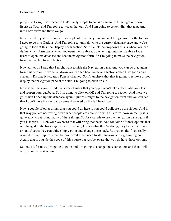jump into Design view because that's fairly simple to do. We can go up to navigation form, Esprit de Tour, and I'm going to widen that out. And I am going to center align that text. And into Form view and there we go.

Now I need to just finish up with a couple of other very fundamental things. And for the first one I need to go into Options. And I'm going to jump down to the current database page and we're going to look at this, the Display Form section. So if I click the dropdown this is where you can define which form opens when you open the database. So when I go into my database I want users to open this database and see the navigation form. So I'm going to make the navigation form my display form selection.

Now earlier on I said that I might want to hide the Navigation pane. And you can do that again from this section. If we scroll down you can see here we have a section called Navigation and currently Display Navigation Pane is checked. So if I uncheck that that is going to remove or not display that navigation pane at the side. I'm going to click on OK.

Now sometimes you'll find that some changes that you apply won't take affect until you close and reopen your database. So I'm going to click on OK and I'm going to reopen. And there we go. When I open up this database again it jumps straight to the navigation form and you can see that I don't have the navigation pane displayed on the left hand side.

Now a couple of other things that you could do here is you could collapse up the ribbon. And in that way you are narrowing down what people are able to do with this form. Now in reality it is quite easy to get round many of these things. So for example to see the navigation pane again if you just press F11 on your keyboard that will bring that back. And for some of those options that we changed in the backstage area if somebody knows what they're doing, they know their way around Access they can quite simply go in and change those back. But you could if you really wanted to even suppress that, but you would then need to start looking at programming code. Again, that is outside the scope of this course but just be aware that you do have those options.

So that's it for now. I'm going to go in and I'm going to change those tab colors and then I will see you in the next section.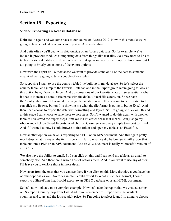# **Section 19 – Exporting**

#### **Video: Exporting an Access Database**

**Deb:** Hello again and welcome back to our course on Access 2019. Now in this module we're going to take a look at how you can export an Access database.

And quite often you'll deal with data outside of an Access database. So for example, we've looked in previous modules at importing data from things like text files. So I may need to link to tables in external databases. Now much of the linkage is outside of the scope of this course but I am going to briefly cover some of the export options.

Now with the Esprit de Tour database we want to provide some or all of the data to someone else. And we're going to take a couple of examples.

So supposing I want to use the country table I've built up in my database. So let's select the country table, let's jump to the External Data tab and in the Export group we're going to look at this option here, Export to Excel. And up comes one of our favorite wizards. So essentially what it does is it creates a default file name with the default Excel file extension. So we have tblCountry.xlsx. And if I wanted to change the location where this is going to be exported to I can click my Browse button. It's showing me what the file format is going to be, so Excel. And then I can choose to export the data with formatting and layout. So I'm going to click on OK and at this stage I can choose to save these export steps. So if I wanted to do this again with another table, if I've saved the export steps it makes it a lot easier because it means I can just go my ribbon and click on Saved Exports. And click on Close. So very, very simple to export to Excel. And if I wanted to now I could browse to that folder and open my table as an Excel file.

Now another option we have is exporting to a PDF or an XPS document. And this again pretty much does what it says on the tin. It's very similar to what we did before. So it will export that table out into a PDF or an XPS document. And an XPS document is really Microsoft's version of a PDF file.

We also have the ability to email. So I can click on this and I can send my table as an email to somebody else. And there are a whole host of options there. And if you want to use any of them I'll leave you to explore those in more detail.

Now apart from the ones that you can see there if you click on this More dropdown you have lots of other options as well. So for example, I could export to Word in rich text format, I could export to a SharePoint list, I could export to an ODBC database or as an HTML document.

So let's now look at a more complex example. Now let's take the report that we created earlier on. So report Country Trip Tour List. And if you remember this report lists the available countries and tours and the lowest adult price. So I'm going to select it and I'm going to choose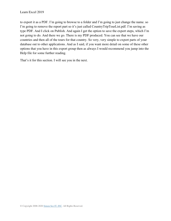to export it as a PDF. I'm going to browse to a folder and I'm going to just change the name. so I'm going to remove the report part so it's just called CountryTripTourList.pdf. I'm saving as type PDF. And I click on Publish. And again I get the option to save the export steps, which I'm not going to do. And there we go. There is my PDF produced. You can see that we have our countries and then all of the tours for that country. So very, very simple to export parts of your database out to other applications. And as I said, if you want more detail on some of these other options that you have in this export group then as always I would recommend you jump into the Help file for some further reading.

That's it for this section. I will see you in the next.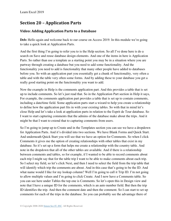# **Section 20 – Application Parts**

### **Video: Adding Application Parts to a Database**

Deb: Hello again and welcome back to our course on Access 2019. In this module we're going to take a quick look at Application Parts.

And the first thing I'm going to refer you to is the Help section. So all I've done here is do a search on Save and reuse database design elements. And one of the items in here is Application Parts. So rather than use a template as a starting point you may be in a situation where you are partway through creating a database but you need to add some functionality. And the functionality you need to add is functionality that many other people have added to databases before you. So with an application part you essentially get a chunk of functionality, very often a table and with the table very often some forms. And by adding these to your database you get a really good starting point on the functionality you want to add.

Now the example in Help is the comments application part. And this provides a table that is set up to include comments. So let's just read that. So in the Application Part section in Help it says, For example, the comments application part provides a table that is set up to contain comments, including a date/time field. Some application parts start a wizard to help you create a relationship to define how the application part fits in with your existing tables. So with that in mind let's close Help and let's take a look at application parts in relation to the Esprit de Tour database. So I want to start capturing comments that the admins of the database make about the trips. And it might be that I want to extend that to capturing comments from users.

So I'm going to jump up to Create and in the Templates section you can see we have a dropdown for Application Parts. And it's divided into two sections. We have Blank Forms and Quick Start. And underneath Quick Start you will see that we have an option for Comments. So when I click Comments it gives me the option of creating relationships with other tables that exist in my database. So it's set up a form that helps me create a relationship with the country table. And note in the dropdown that all of the other tables are available. And if there is a relationship between comments and tables, so for example, if I wanted to be able to record comments about each trip I might say that for the table trip I want to be able to make comments about each trip. So I select my field, so let's click Next, and then I need to select the field from the trip table that will identify which trip the comments are about. And in this case that's going to be the ID. And what name would I like for my lookup column? Well I'm going to call it Trip ID. I'm not going to allow multiple values and I'm going to click Create. And I now have a Comments table. So you can see here under Tables the top one is Comments. So let's open this in Design view and note that I have a unique ID for the comments, which is an auto number field. But then the trip ID identifies the trip. And then the comment date and then the comment. So I can start to set up comments for each of the trips in the database. So you can probably see the advantage there of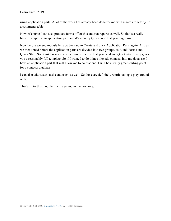using application parts. A lot of the work has already been done for me with regards to setting up a comments table.

Now of course I can also produce forms off of this and run reports as well. So that's a really basic example of an application part and it's a pretty typical one that you might use.

Now before we end module let's go back up to Create and click Application Parts again. And as we mentioned before the application parts are divided into two groups, so Blank Forms and Quick Start. So Blank Forms gives the basic structure that you need and Quick Start really gives you a reasonably full template. So if I wanted to do things like add contacts into my database I have an application part that will allow me to do that and it will be a really great starting point for a contacts database.

I can also add issues, tasks and users as well. So those are definitely worth having a play around with.

That's it for this module. I will see you in the next one.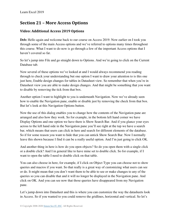# **Section 21 – More Access Options**

## **Video: Additional Access 2019 Options**

**Deb:** Hello again and welcome back to our course on Access 2019. Now earlier on I took you through some of the main Access options and we've referred to options many times throughout this course. What I want to do now is go through a few of the important Access options that I haven't covered so far.

So let's jump into File and go straight down to Options. And we're going to click on the Current Database tab.

Now several of these options we've looked at and I would always recommend you reading through to check your understanding but one option I want to draw your attention to is this one just here, Enable design changes for tables in Datasheet view. So remember that when you're in Datasheet view you are able to make design changes. And that might be something that you want to disable by removing the tick from that box.

Another option I want to highlight to you is underneath Navigation. Now we've already seen how to enable the Navigation pane, enable or disable just by removing the check from that box. But let's look at this Navigation Options button.

Now the use of this dialog enables you to change how the contents of the Navigation pane are arranged and also how they work. So for example, in the bottom left hand corner we have Display Options and one option we have there is Show Search Bar. And if you glance your eyes across to the left hand side in the Navigation pane you'll see right at the top we have a search bar, which means that users can click in here and search for different elements of the database. So if for some reason you want to hide that you can untick Show Search Bar. Now I normally leave this shown because I find it can be a really useful option. And I'm just going to click OK.

And another thing in here is how do you open objects? So do you open them with a single click or a double click? And I in general like to have mine set to double click. So for example, if I want to open the table I need to double click on that table.

You can also choose in here, for example, if I click on Object Type you can choose not to show queries and macros if you want. So that really is a great way of customizing what users can see or do. It might mean that you don't want them to be able to see or make changes to any of the queries so you can disable that and it will no longer be displayed in the Navigation pane. And click on OK. And you can see now that those queries have disappeared from my Navigation pane.

Let's jump down into Datasheet and this is where you can customize the way the datasheets look in Access. So if you wanted to you could remove the gridlines, horizontal and vertical. So let's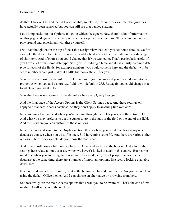do that. Click on OK and then if I open a table, so let's say tblTour for example. The gridlines have actually been removed but you can still see that banded shading.

Let's jump back into our Options and go to Object Designers. Now there's a lot of information on this page and again this is really outside the scope of this course so I'll leave you to have a play around and experiment with these yourself.

I will say though that in the top of the Table Design view that let's you see some defaults. So for example, the default field type. So when you add a field into a table it will default to a data type of short text. And of course you could change that if you wanted to. That's particularly useful if you have a lot of the same data type. So if you're building a table and it has a fairly common data type for each of the fields, for example numbers, you could come in here and the default will be set to number which just makes it a little bit more efficient for you.

You can also choose the default text field size. So if you remember if you glance down into the properties when you add a short text field it will default to 255. But again you could change that to whatever you wanted to.

You also have some options for the defaults when using Query Design.

And the final page of the Access Options is the Client Settings page. And these settings only apply to a standard Access database. So they don't apply to anything like web apps.

Now you may have noticed when you're tabbing through the fields you select the entire field. And what you may prefer is to get the cursor to go to the start of the field or the end of the field. And this is where you can customize those options.

Now if we scroll down into the Display section, this is where you can define how many recent databases you see when you go to file open. So I have mine set to 50. And there are various other options in here. For example, do you show the status bar?

And if we scroll down a bit more we have an Advanced section at the bottom. And a lot of the settings here relate to multiuser use which we haven't looked at at all in this course. But bear in mind that when you are using Access in multiuser mode, i.e., lots of people can access the database at the same time, there are a number of important options, like record locking available down here.

If we scroll down a little bit more, right at the bottom we have default theme. So you can see I'm using the default Office theme. And I can choose an alternative by browsing from here.

So those really are the main Access options that I want you to be aware of. That's the end of this module. I will see you in the next one.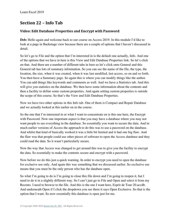# **Section 22 – Info Tab**

### **Video: Edit Database Properties and Encrypt with Password**

**Deb:** Hello again and welcome back to our course on Access 2019. In this module I'd like to look at a page in Backstage view because there are a couple of options that I haven't discussed in detail.

So let's go to File and the option that I'm interested in is the default one actually, Info. And one of the options that we have in here is this View and Edit Database Properties link. So let's click on that. And there are a number of different tabs in here so let's click onto General and this General tab has lots of summary information. So you can see the name of the file, the type, the location, the size, when it was created, when it was last modified, last access, so on and so forth. You then have a Summary page. So again this is where you can modify things like the author. You can add things like keywords and comments as well. And we have a Statistics tab. And this will give you statistics on the database. We then have some information about the contents and then a facility to define some custom properties. And again setting custom properties is outside the scope of this course. So that's the View and Edit Database Properties.

Now we have two other options in this Info tab. One of them is Compact and Repair Database and we actually looked at this earlier on in the course.

So the one that I'm interested in or what I want to concentrate on is this one here, the Encrypt with Password. Now one important aspect is that you may have a database where you may not want people to see everything in the database. So essentially you want to secure the data. And in much earlier versions of Access the approach to do this was to use a password on the database. And whilst that kind of basically worked it was a little bit limited and it had one big flaw. And the flaw was that people could use other pieces of software to open the Access database and they could read the data. So it wasn't particularly secure.

Now the way that Access was changed to get around this was to give you the facility to encrypt the data. So essentially to make the contents secure and encrypt with a password.

Now before we do this just a quick warning. In order to encrypt you need to open the database for exclusive use only. And again this was something that we discussed earlier. So exclusive use means that you must be the only person who has the database open.

So what I'm going to do is I'm going to close this file down and I'm going to reopen it, but I need to do it in a slightly different way. So I can't just go to File and Open and select it from my Recents. I need to browse to the file. And this is the one I want here, Esprit de Tour 20.accdb. And underneath Open if I click the dropdown you see there it says Open Exclusive. So that is the option that I want. So now essentially this database is open just for me.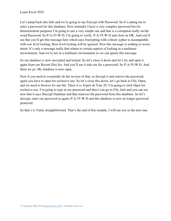Let's jump back into Info and we're going to say Encrypt with Password. So it's asking me to enter a password for this database. Now normally I have a very complex password but for demonstration purposes I'm going to use a very simple one and that is a corruption really on the word Password. So P-A-55-W-D. I'm going to verify. P-A-55-W-D and click on OK. And you'll see that you'll get this message here which says Encrypting with a block sypher is incompatible with row level locking. Row level locking will be ignored. Now this message is nothing to worry about. It's only a message really that relates to certain aspects of locking in a multiuser environment. And we're not in a multiuser environment so we can ignore this message.

So our database is now encrypted and locked. So let's close it down and let's try and open it again from our Recent files list. And you'll see it asks me for a password. So P-A-55-W-D. And there we go. My database is now open.

Now if you need to essentially do the reverse of that, so decrypt it and remove the password, again you have to open for exclusive use. So let's close this down, let's go back to File, Open, and we need to browse for our file. There it is, Esprit de Tour 20. I'm going to click Open for exclusive use. I'm going to type in my password and then I can go to File, Info and you can see now that it says Decrypt Database and that removes the password from this database. So let's decrypt, enter our password in again, P-A-55-W-D and this database is now no longer password protected.

So that's it. Fairly straightforward. That's the end of this module. I will see you in the next one.